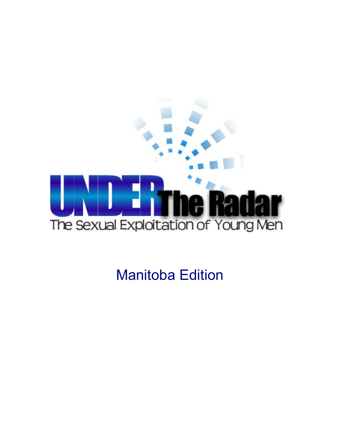

Manitoba Edition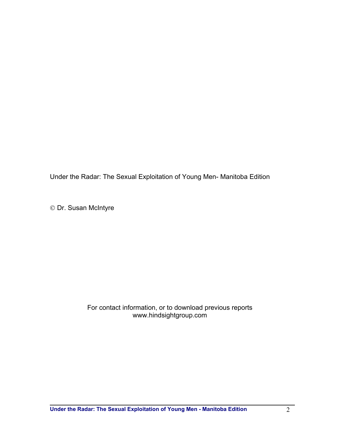Under the Radar: The Sexual Exploitation of Young Men- Manitoba Edition

Dr. Susan McIntyre

#### For contact information, or to download previous reports www.hindsightgroup.com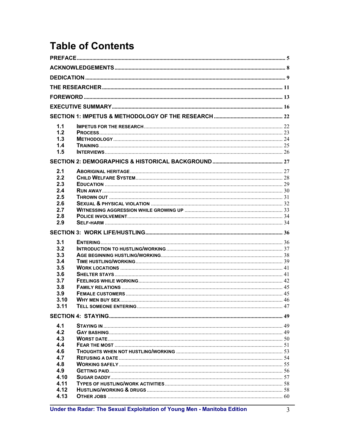# **Table of Contents**

| 1.1          |                          |  |
|--------------|--------------------------|--|
| 1.2          |                          |  |
| 1.3          |                          |  |
| 1.4          |                          |  |
| 1.5          |                          |  |
|              |                          |  |
|              |                          |  |
| 2.1          |                          |  |
| 2.2          |                          |  |
| 2.3          |                          |  |
| 2.4          |                          |  |
| 2.5          |                          |  |
| 2.6          |                          |  |
| 2.7          |                          |  |
| 2.8          |                          |  |
| 2.9          |                          |  |
|              |                          |  |
|              |                          |  |
| 3.1          |                          |  |
| 3.2          |                          |  |
| 3.3          |                          |  |
| 3.4          |                          |  |
| 3.5          |                          |  |
| 3.6          |                          |  |
| 3.7          |                          |  |
| 3.8          |                          |  |
| 3.9          |                          |  |
| 3.10         |                          |  |
| 3.11         | TELL SOMEONE ENTERING 47 |  |
|              |                          |  |
| 4.1          |                          |  |
| 4.2          |                          |  |
| 4.3          |                          |  |
| 4.4          |                          |  |
| 4.6          |                          |  |
| 4.7          |                          |  |
| 4.8          |                          |  |
| 4.9          |                          |  |
| 4.10         |                          |  |
| 4.11         |                          |  |
| 4.12<br>4.13 |                          |  |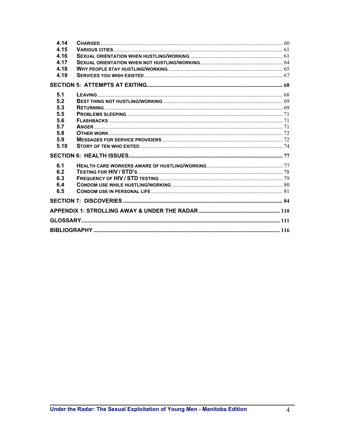| 4.14 |  |
|------|--|
| 4.15 |  |
| 4.16 |  |
| 4.17 |  |
| 4.18 |  |
| 4.19 |  |
|      |  |
| 5.1  |  |
| 5.2  |  |
| 5.3  |  |
| 5.5  |  |
| 5.6  |  |
| 5.7  |  |
| 5.8  |  |
| 5.9  |  |
| 5.10 |  |
|      |  |
| 6.1  |  |
| 6.2  |  |
| 6.3  |  |
| 6.4  |  |
| 6.5  |  |
|      |  |
|      |  |
|      |  |
|      |  |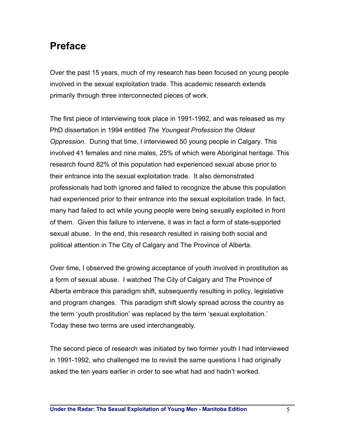# **Preface**

Over the past 15 years, much of my research has been focused on young people involved in the sexual exploitation trade. This academic research extends primarily through three interconnected pieces of work.

The first piece of interviewing took place in 1991-1992, and was released as my PhD dissertation in 1994 entitled *The Youngest Profession the Oldest Oppression*. During that time, I interviewed 50 young people in Calgary. This involved 41 females and nine males, 25% of which were Aboriginal heritage. This research found 82% of this population had experienced sexual abuse prior to their entrance into the sexual exploitation trade. It also demonstrated professionals had both ignored and failed to recognize the abuse this population had experienced prior to their entrance into the sexual exploitation trade. In fact, many had failed to act while young people were being sexually exploited in front of them. Given this failure to intervene, it was in fact a form of state-supported sexual abuse. In the end, this research resulted in raising both social and political attention in The City of Calgary and The Province of Alberta.

Over time, I observed the growing acceptance of youth involved in prostitution as a form of sexual abuse. I watched The City of Calgary and The Province of Alberta embrace this paradigm shift, subsequently resulting in policy, legislative and program changes. This paradigm shift slowly spread across the country as the term 'youth prostitution' was replaced by the term 'sexual exploitation.' Today these two terms are used interchangeably.

The second piece of research was initiated by two former youth I had interviewed in 1991-1992, who challenged me to revisit the same questions I had originally asked the ten years earlier in order to see what had and hadn't worked.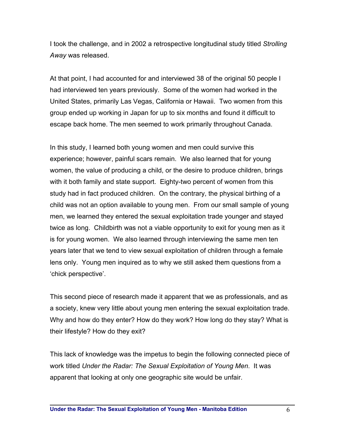I took the challenge, and in 2002 a retrospective longitudinal study titled *Strolling Away* was released.

At that point, I had accounted for and interviewed 38 of the original 50 people I had interviewed ten years previously. Some of the women had worked in the United States, primarily Las Vegas, California or Hawaii. Two women from this group ended up working in Japan for up to six months and found it difficult to escape back home. The men seemed to work primarily throughout Canada.

In this study, I learned both young women and men could survive this experience; however, painful scars remain. We also learned that for young women, the value of producing a child, or the desire to produce children, brings with it both family and state support. Eighty-two percent of women from this study had in fact produced children. On the contrary, the physical birthing of a child was not an option available to young men. From our small sample of young men, we learned they entered the sexual exploitation trade younger and stayed twice as long. Childbirth was not a viable opportunity to exit for young men as it is for young women. We also learned through interviewing the same men ten years later that we tend to view sexual exploitation of children through a female lens only. Young men inquired as to why we still asked them questions from a 'chick perspective'.

This second piece of research made it apparent that we as professionals, and as a society, knew very little about young men entering the sexual exploitation trade. Why and how do they enter? How do they work? How long do they stay? What is their lifestyle? How do they exit?

This lack of knowledge was the impetus to begin the following connected piece of work titled *Under the Radar: The Sexual Exploitation of Young Men*. It was apparent that looking at only one geographic site would be unfair.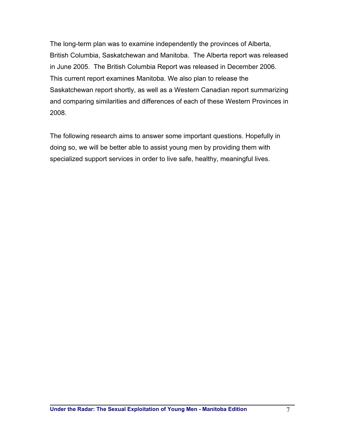The long-term plan was to examine independently the provinces of Alberta, British Columbia, Saskatchewan and Manitoba. The Alberta report was released in June 2005. The British Columbia Report was released in December 2006. This current report examines Manitoba. We also plan to release the Saskatchewan report shortly, as well as a Western Canadian report summarizing and comparing similarities and differences of each of these Western Provinces in 2008.

The following research aims to answer some important questions. Hopefully in doing so, we will be better able to assist young men by providing them with specialized support services in order to live safe, healthy, meaningful lives.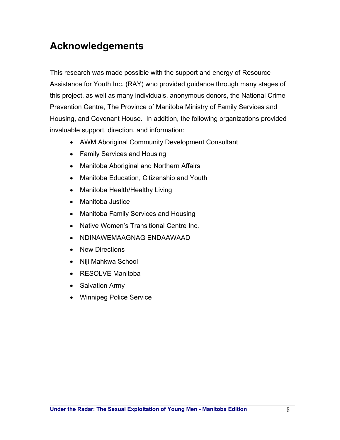# **Acknowledgements**

This research was made possible with the support and energy of Resource Assistance for Youth Inc. (RAY) who provided guidance through many stages of this project, as well as many individuals, anonymous donors, the National Crime Prevention Centre, The Province of Manitoba Ministry of Family Services and Housing, and Covenant House. In addition, the following organizations provided invaluable support, direction, and information:

- AWM Aboriginal Community Development Consultant
- Family Services and Housing
- Manitoba Aboriginal and Northern Affairs
- Manitoba Education, Citizenship and Youth
- Manitoba Health/Healthy Living
- Manitoba Justice
- Manitoba Family Services and Housing
- Native Women's Transitional Centre Inc.
- NDINAWEMAAGNAG ENDAAWAAD
- New Directions
- Niji Mahkwa School
- RESOLVE Manitoba
- Salvation Army
- Winnipeg Police Service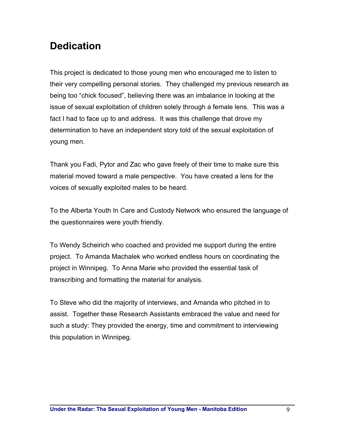# **Dedication**

This project is dedicated to those young men who encouraged me to listen to their very compelling personal stories. They challenged my previous research as being too "chick focused", believing there was an imbalance in looking at the issue of sexual exploitation of children solely through a female lens. This was a fact I had to face up to and address. It was this challenge that drove my determination to have an independent story told of the sexual exploitation of young men.

Thank you Fadi, Pytor and Zac who gave freely of their time to make sure this material moved toward a male perspective. You have created a lens for the voices of sexually exploited males to be heard.

To the Alberta Youth In Care and Custody Network who ensured the language of the questionnaires were youth friendly.

To Wendy Scheirich who coached and provided me support during the entire project. To Amanda Machalek who worked endless hours on coordinating the project in Winnipeg. To Anna Marie who provided the essential task of transcribing and formatting the material for analysis.

To Steve who did the majority of interviews, and Amanda who pitched in to assist. Together these Research Assistants embraced the value and need for such a study: They provided the energy, time and commitment to interviewing this population in Winnipeg.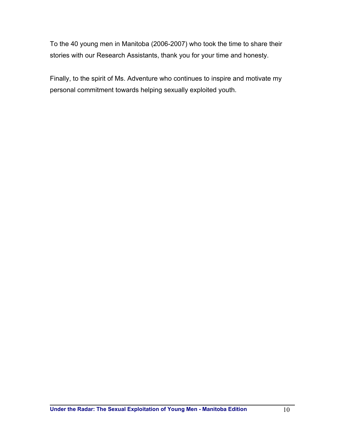To the 40 young men in Manitoba (2006-2007) who took the time to share their stories with our Research Assistants, thank you for your time and honesty.

Finally, to the spirit of Ms. Adventure who continues to inspire and motivate my personal commitment towards helping sexually exploited youth.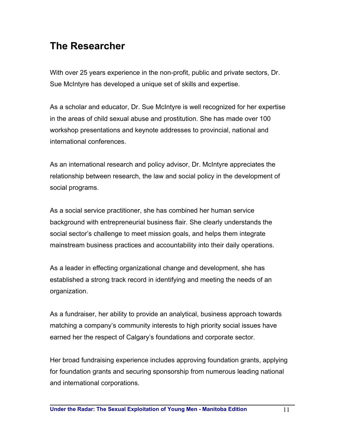# **The Researcher**

With over 25 years experience in the non-profit, public and private sectors, Dr. Sue McIntyre has developed a unique set of skills and expertise.

As a scholar and educator, Dr. Sue McIntyre is well recognized for her expertise in the areas of child sexual abuse and prostitution. She has made over 100 workshop presentations and keynote addresses to provincial, national and international conferences.

As an international research and policy advisor, Dr. McIntyre appreciates the relationship between research, the law and social policy in the development of social programs.

As a social service practitioner, she has combined her human service background with entrepreneurial business flair. She clearly understands the social sector's challenge to meet mission goals, and helps them integrate mainstream business practices and accountability into their daily operations.

As a leader in effecting organizational change and development, she has established a strong track record in identifying and meeting the needs of an organization.

As a fundraiser, her ability to provide an analytical, business approach towards matching a company's community interests to high priority social issues have earned her the respect of Calgary's foundations and corporate sector.

Her broad fundraising experience includes approving foundation grants, applying for foundation grants and securing sponsorship from numerous leading national and international corporations.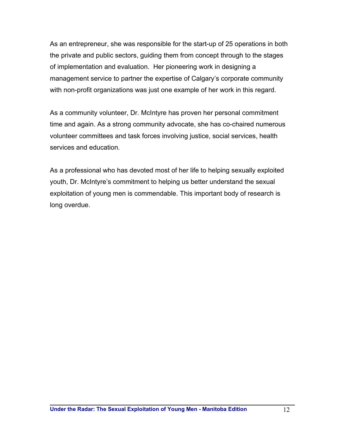As an entrepreneur, she was responsible for the start-up of 25 operations in both the private and public sectors, guiding them from concept through to the stages of implementation and evaluation. Her pioneering work in designing a management service to partner the expertise of Calgary's corporate community with non-profit organizations was just one example of her work in this regard.

As a community volunteer, Dr. McIntyre has proven her personal commitment time and again. As a strong community advocate, she has co-chaired numerous volunteer committees and task forces involving justice, social services, health services and education.

As a professional who has devoted most of her life to helping sexually exploited youth, Dr. McIntyre's commitment to helping us better understand the sexual exploitation of young men is commendable. This important body of research is long overdue.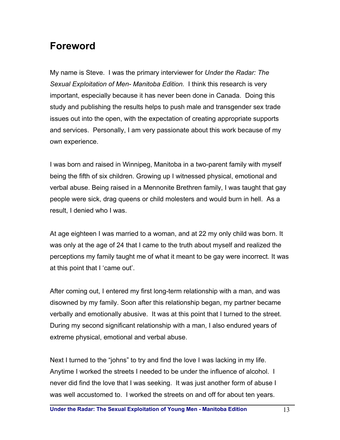# **Foreword**

My name is Steve. I was the primary interviewer for *Under the Radar: The Sexual Exploitation of Men- Manitoba Edition.* I think this research is very important, especially because it has never been done in Canada. Doing this study and publishing the results helps to push male and transgender sex trade issues out into the open, with the expectation of creating appropriate supports and services. Personally, I am very passionate about this work because of my own experience.

I was born and raised in Winnipeg, Manitoba in a two-parent family with myself being the fifth of six children. Growing up I witnessed physical, emotional and verbal abuse. Being raised in a Mennonite Brethren family, I was taught that gay people were sick, drag queens or child molesters and would burn in hell. As a result, I denied who I was.

At age eighteen I was married to a woman, and at 22 my only child was born. It was only at the age of 24 that I came to the truth about myself and realized the perceptions my family taught me of what it meant to be gay were incorrect. It was at this point that I 'came out'.

After coming out, I entered my first long-term relationship with a man, and was disowned by my family. Soon after this relationship began, my partner became verbally and emotionally abusive. It was at this point that I turned to the street. During my second significant relationship with a man, I also endured years of extreme physical, emotional and verbal abuse.

Next I turned to the "johns" to try and find the love I was lacking in my life. Anytime I worked the streets I needed to be under the influence of alcohol. I never did find the love that I was seeking. It was just another form of abuse I was well accustomed to. I worked the streets on and off for about ten years.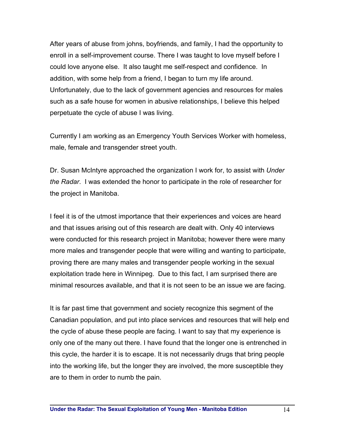After years of abuse from johns, boyfriends, and family, I had the opportunity to enroll in a self-improvement course. There I was taught to love myself before I could love anyone else. It also taught me self-respect and confidence. In addition, with some help from a friend, I began to turn my life around. Unfortunately, due to the lack of government agencies and resources for males such as a safe house for women in abusive relationships, I believe this helped perpetuate the cycle of abuse I was living.

Currently I am working as an Emergency Youth Services Worker with homeless, male, female and transgender street youth.

Dr. Susan McIntyre approached the organization I work for, to assist with *Under the Radar*. I was extended the honor to participate in the role of researcher for the project in Manitoba.

I feel it is of the utmost importance that their experiences and voices are heard and that issues arising out of this research are dealt with. Only 40 interviews were conducted for this research project in Manitoba; however there were many more males and transgender people that were willing and wanting to participate, proving there are many males and transgender people working in the sexual exploitation trade here in Winnipeg. Due to this fact, I am surprised there are minimal resources available, and that it is not seen to be an issue we are facing.

It is far past time that government and society recognize this segment of the Canadian population, and put into place services and resources that will help end the cycle of abuse these people are facing. I want to say that my experience is only one of the many out there. I have found that the longer one is entrenched in this cycle, the harder it is to escape. It is not necessarily drugs that bring people into the working life, but the longer they are involved, the more susceptible they are to them in order to numb the pain.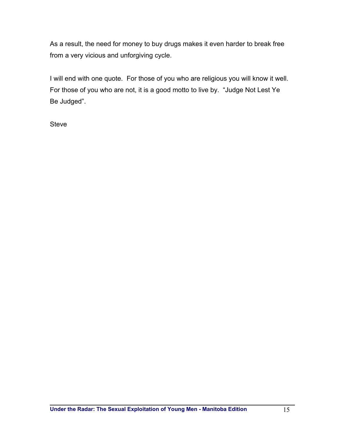As a result, the need for money to buy drugs makes it even harder to break free from a very vicious and unforgiving cycle.

I will end with one quote. For those of you who are religious you will know it well. For those of you who are not, it is a good motto to live by. "Judge Not Lest Ye Be Judged".

**Steve**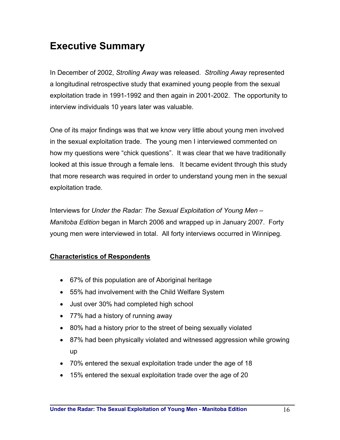# **Executive Summary**

In December of 2002, *Strolling Away* was released. *Strolling Away* represented a longitudinal retrospective study that examined young people from the sexual exploitation trade in 1991-1992 and then again in 2001-2002. The opportunity to interview individuals 10 years later was valuable.

One of its major findings was that we know very little about young men involved in the sexual exploitation trade. The young men I interviewed commented on how my questions were "chick questions". It was clear that we have traditionally looked at this issue through a female lens. It became evident through this study that more research was required in order to understand young men in the sexual exploitation trade.

Interviews for *Under the Radar: The Sexual Exploitation of Young Men* – *Manitoba Edition* began in March 2006 and wrapped up in January 2007. Forty young men were interviewed in total. All forty interviews occurred in Winnipeg.

### **Characteristics of Respondents**

- 67% of this population are of Aboriginal heritage
- 55% had involvement with the Child Welfare System
- Just over 30% had completed high school
- 77% had a history of running away
- 80% had a history prior to the street of being sexually violated
- 87% had been physically violated and witnessed aggression while growing up
- 70% entered the sexual exploitation trade under the age of 18
- 15% entered the sexual exploitation trade over the age of 20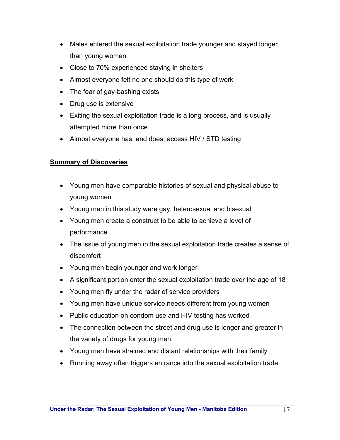- Males entered the sexual exploitation trade younger and stayed longer than young women
- Close to 70% experienced staying in shelters
- Almost everyone felt no one should do this type of work
- The fear of gay-bashing exists
- Drug use is extensive
- Exiting the sexual exploitation trade is a long process, and is usually attempted more than once
- Almost everyone has, and does, access HIV / STD testing

### **Summary of Discoveries**

- Young men have comparable histories of sexual and physical abuse to young women
- Young men in this study were gay, heterosexual and bisexual
- Young men create a construct to be able to achieve a level of performance
- The issue of young men in the sexual exploitation trade creates a sense of discomfort
- Young men begin younger and work longer
- A significant portion enter the sexual exploitation trade over the age of 18
- Young men fly under the radar of service providers
- Young men have unique service needs different from young women
- Public education on condom use and HIV testing has worked
- The connection between the street and drug use is longer and greater in the variety of drugs for young men
- Young men have strained and distant relationships with their family
- Running away often triggers entrance into the sexual exploitation trade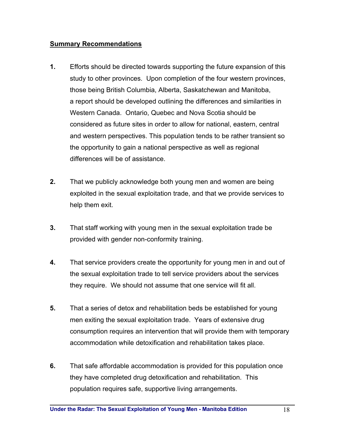#### **Summary Recommendations**

- **1.** Efforts should be directed towards supporting the future expansion of this study to other provinces. Upon completion of the four western provinces, those being British Columbia, Alberta, Saskatchewan and Manitoba, a report should be developed outlining the differences and similarities in Western Canada. Ontario, Quebec and Nova Scotia should be considered as future sites in order to allow for national, eastern, central and western perspectives. This population tends to be rather transient so the opportunity to gain a national perspective as well as regional differences will be of assistance.
- **2.** That we publicly acknowledge both young men and women are being exploited in the sexual exploitation trade, and that we provide services to help them exit.
- **3.** That staff working with young men in the sexual exploitation trade be provided with gender non-conformity training.
- **4.** That service providers create the opportunity for young men in and out of the sexual exploitation trade to tell service providers about the services they require. We should not assume that one service will fit all.
- **5.** That a series of detox and rehabilitation beds be established for young men exiting the sexual exploitation trade. Years of extensive drug consumption requires an intervention that will provide them with temporary accommodation while detoxification and rehabilitation takes place.
- **6.** That safe affordable accommodation is provided for this population once they have completed drug detoxification and rehabilitation. This population requires safe, supportive living arrangements.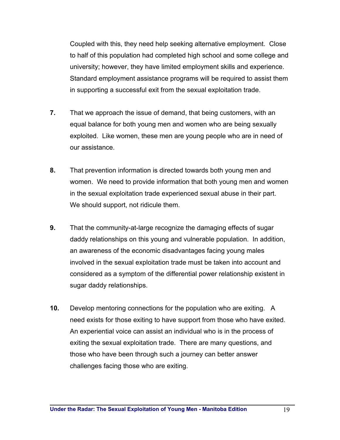Coupled with this, they need help seeking alternative employment. Close to half of this population had completed high school and some college and university; however, they have limited employment skills and experience. Standard employment assistance programs will be required to assist them in supporting a successful exit from the sexual exploitation trade.

- **7.** That we approach the issue of demand, that being customers, with an equal balance for both young men and women who are being sexually exploited. Like women, these men are young people who are in need of our assistance.
- **8.** That prevention information is directed towards both young men and women. We need to provide information that both young men and women in the sexual exploitation trade experienced sexual abuse in their part. We should support, not ridicule them.
- **9.** That the community-at-large recognize the damaging effects of sugar daddy relationships on this young and vulnerable population. In addition, an awareness of the economic disadvantages facing young males involved in the sexual exploitation trade must be taken into account and considered as a symptom of the differential power relationship existent in sugar daddy relationships.
- **10.** Develop mentoring connections for the population who are exiting. A need exists for those exiting to have support from those who have exited. An experiential voice can assist an individual who is in the process of exiting the sexual exploitation trade. There are many questions, and those who have been through such a journey can better answer challenges facing those who are exiting.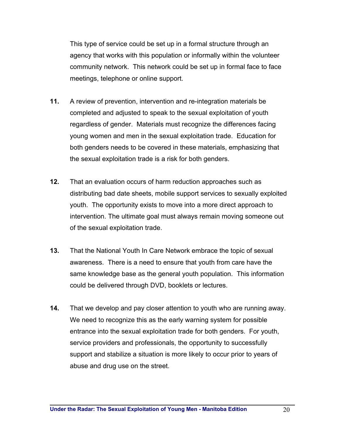This type of service could be set up in a formal structure through an agency that works with this population or informally within the volunteer community network. This network could be set up in formal face to face meetings, telephone or online support.

- **11.** A review of prevention, intervention and re-integration materials be completed and adjusted to speak to the sexual exploitation of youth regardless of gender. Materials must recognize the differences facing young women and men in the sexual exploitation trade. Education for both genders needs to be covered in these materials, emphasizing that the sexual exploitation trade is a risk for both genders.
- **12.** That an evaluation occurs of harm reduction approaches such as distributing bad date sheets, mobile support services to sexually exploited youth. The opportunity exists to move into a more direct approach to intervention. The ultimate goal must always remain moving someone out of the sexual exploitation trade.
- **13.** That the National Youth In Care Network embrace the topic of sexual awareness. There is a need to ensure that youth from care have the same knowledge base as the general youth population. This information could be delivered through DVD, booklets or lectures.
- **14.** That we develop and pay closer attention to youth who are running away. We need to recognize this as the early warning system for possible entrance into the sexual exploitation trade for both genders. For youth, service providers and professionals, the opportunity to successfully support and stabilize a situation is more likely to occur prior to years of abuse and drug use on the street.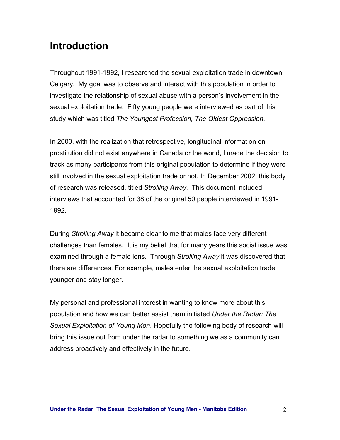# **Introduction**

Throughout 1991-1992, I researched the sexual exploitation trade in downtown Calgary. My goal was to observe and interact with this population in order to investigate the relationship of sexual abuse with a person's involvement in the sexual exploitation trade. Fifty young people were interviewed as part of this study which was titled *The Youngest Profession, The Oldest Oppression*.

In 2000, with the realization that retrospective, longitudinal information on prostitution did not exist anywhere in Canada or the world, I made the decision to track as many participants from this original population to determine if they were still involved in the sexual exploitation trade or not. In December 2002, this body of research was released, titled *Strolling Away*. This document included interviews that accounted for 38 of the original 50 people interviewed in 1991- 1992.

During *Strolling Away* it became clear to me that males face very different challenges than females. It is my belief that for many years this social issue was examined through a female lens. Through *Strolling Away* it was discovered that there are differences. For example, males enter the sexual exploitation trade younger and stay longer.

My personal and professional interest in wanting to know more about this population and how we can better assist them initiated *Under the Radar: The Sexual Exploitation of Young Men*. Hopefully the following body of research will bring this issue out from under the radar to something we as a community can address proactively and effectively in the future.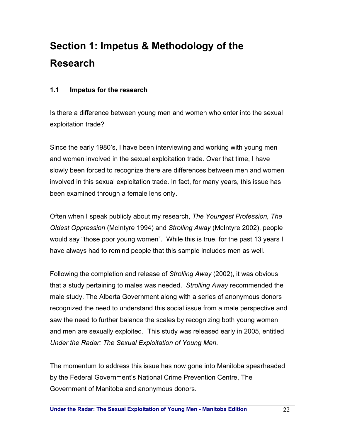# **Section 1: Impetus & Methodology of the Research**

### **1.1 Impetus for the research**

Is there a difference between young men and women who enter into the sexual exploitation trade?

Since the early 1980's, I have been interviewing and working with young men and women involved in the sexual exploitation trade. Over that time, I have slowly been forced to recognize there are differences between men and women involved in this sexual exploitation trade. In fact, for many years, this issue has been examined through a female lens only.

Often when I speak publicly about my research, *The Youngest Profession, The Oldest Oppression* (McIntyre 1994) and *Strolling Away* (McIntyre 2002), people would say "those poor young women". While this is true, for the past 13 years I have always had to remind people that this sample includes men as well.

Following the completion and release of *Strolling Away* (2002), it was obvious that a study pertaining to males was needed. *Strolling Away* recommended the male study. The Alberta Government along with a series of anonymous donors recognized the need to understand this social issue from a male perspective and saw the need to further balance the scales by recognizing both young women and men are sexually exploited. This study was released early in 2005, entitled *Under the Radar: The Sexual Exploitation of Young Men*.

The momentum to address this issue has now gone into Manitoba spearheaded by the Federal Government's National Crime Prevention Centre, The Government of Manitoba and anonymous donors.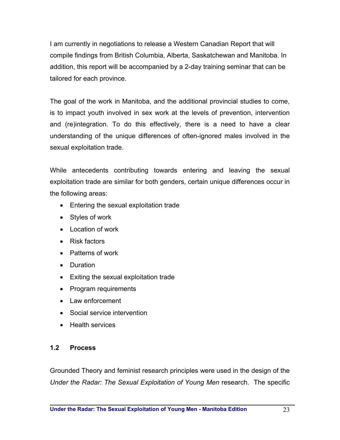I am currently in negotiations to release a Western Canadian Report that will compile findings from British Columbia, Alberta, Saskatchewan and Manitoba. In addition, this report will be accompanied by a 2-day training seminar that can be tailored for each province.

The goal of the work in Manitoba, and the additional provincial studies to come, is to impact youth involved in sex work at the levels of prevention, intervention and (re)integration. To do this effectively, there is a need to have a clear understanding of the unique differences of often-ignored males involved in the sexual exploitation trade.

While antecedents contributing towards entering and leaving the sexual exploitation trade are similar for both genders, certain unique differences occur in the following areas:

- Entering the sexual exploitation trade
- Styles of work
- Location of work
- Risk factors
- Patterns of work
- Duration
- Exiting the sexual exploitation trade
- Program requirements
- Law enforcement
- Social service intervention
- Health services

### **1.2 Process**

Grounded Theory and feminist research principles were used in the design of the *Under the Radar: The Sexual Exploitation of Young Men* research. The specific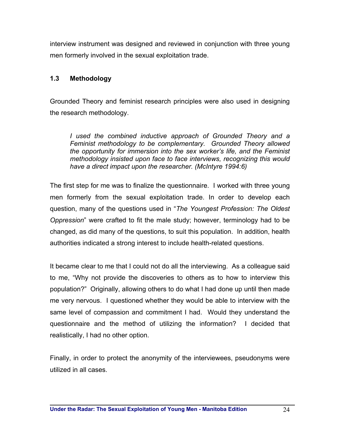interview instrument was designed and reviewed in conjunction with three young men formerly involved in the sexual exploitation trade.

### **1.3 Methodology**

Grounded Theory and feminist research principles were also used in designing the research methodology.

*I used the combined inductive approach of Grounded Theory and a Feminist methodology to be complementary. Grounded Theory allowed the opportunity for immersion into the sex worker's life, and the Feminist methodology insisted upon face to face interviews, recognizing this would have a direct impact upon the researcher. (McIntyre 1994:6)* 

The first step for me was to finalize the questionnaire. I worked with three young men formerly from the sexual exploitation trade. In order to develop each question, many of the questions used in "*The Youngest Profession: The Oldest Oppression*" were crafted to fit the male study; however, terminology had to be changed, as did many of the questions, to suit this population. In addition, health authorities indicated a strong interest to include health-related questions.

It became clear to me that I could not do all the interviewing. As a colleague said to me, "Why not provide the discoveries to others as to how to interview this population?" Originally, allowing others to do what I had done up until then made me very nervous. I questioned whether they would be able to interview with the same level of compassion and commitment I had. Would they understand the questionnaire and the method of utilizing the information? I decided that realistically, I had no other option.

Finally, in order to protect the anonymity of the interviewees, pseudonyms were utilized in all cases.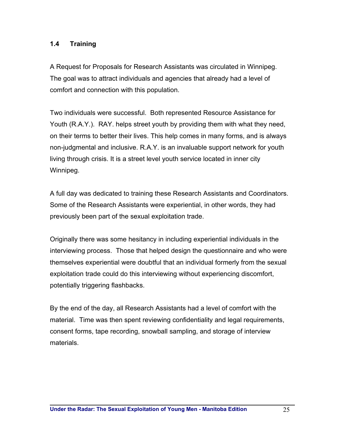### **1.4 Training**

A Request for Proposals for Research Assistants was circulated in Winnipeg. The goal was to attract individuals and agencies that already had a level of comfort and connection with this population.

Two individuals were successful. Both represented Resource Assistance for Youth (R.A.Y.). RAY. helps street youth by providing them with what they need, on their terms to better their lives. This help comes in many forms, and is always non-judgmental and inclusive. R.A.Y. is an invaluable support network for youth living through crisis. It is a street level youth service located in inner city Winnipeg.

A full day was dedicated to training these Research Assistants and Coordinators. Some of the Research Assistants were experiential, in other words, they had previously been part of the sexual exploitation trade.

Originally there was some hesitancy in including experiential individuals in the interviewing process. Those that helped design the questionnaire and who were themselves experiential were doubtful that an individual formerly from the sexual exploitation trade could do this interviewing without experiencing discomfort, potentially triggering flashbacks.

By the end of the day, all Research Assistants had a level of comfort with the material. Time was then spent reviewing confidentiality and legal requirements, consent forms, tape recording, snowball sampling, and storage of interview materials.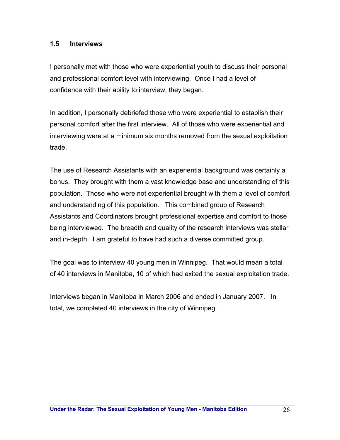#### **1.5 Interviews**

I personally met with those who were experiential youth to discuss their personal and professional comfort level with interviewing. Once I had a level of confidence with their ability to interview, they began.

In addition, I personally debriefed those who were experiential to establish their personal comfort after the first interview. All of those who were experiential and interviewing were at a minimum six months removed from the sexual exploitation trade.

The use of Research Assistants with an experiential background was certainly a bonus. They brought with them a vast knowledge base and understanding of this population. Those who were not experiential brought with them a level of comfort and understanding of this population. This combined group of Research Assistants and Coordinators brought professional expertise and comfort to those being interviewed. The breadth and quality of the research interviews was stellar and in-depth. I am grateful to have had such a diverse committed group.

The goal was to interview 40 young men in Winnipeg. That would mean a total of 40 interviews in Manitoba, 10 of which had exited the sexual exploitation trade.

Interviews began in Manitoba in March 2006 and ended in January 2007. In total, we completed 40 interviews in the city of Winnipeg.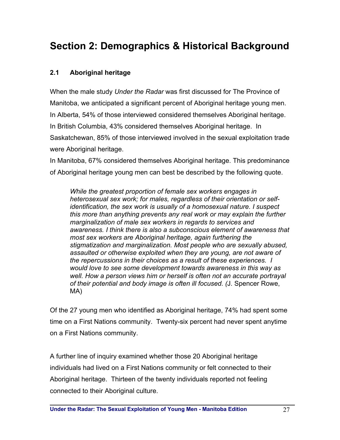# **Section 2: Demographics & Historical Background**

### **2.1 Aboriginal heritage**

When the male study *Under the Radar* was first discussed for The Province of Manitoba, we anticipated a significant percent of Aboriginal heritage young men. In Alberta, 54% of those interviewed considered themselves Aboriginal heritage. In British Columbia, 43% considered themselves Aboriginal heritage. In Saskatchewan, 85% of those interviewed involved in the sexual exploitation trade were Aboriginal heritage.

In Manitoba, 67% considered themselves Aboriginal heritage. This predominance of Aboriginal heritage young men can best be described by the following quote.

*While the greatest proportion of female sex workers engages in heterosexual sex work; for males, regardless of their orientation or selfidentification, the sex work is usually of a homosexual nature. I suspect this more than anything prevents any real work or may explain the further marginalization of male sex workers in regards to services and awareness. I think there is also a subconscious element of awareness that most sex workers are Aboriginal heritage, again furthering the stigmatization and marginalization. Most people who are sexually abused, assaulted or otherwise exploited when they are young, are not aware of the repercussions in their choices as a result of these experiences. I would love to see some development towards awareness in this way as well. How a person views him or herself is often not an accurate portrayal of their potential and body image is often ill focused. (*J. Spencer Rowe, MA)

Of the 27 young men who identified as Aboriginal heritage, 74% had spent some time on a First Nations community. Twenty-six percent had never spent anytime on a First Nations community.

A further line of inquiry examined whether those 20 Aboriginal heritage individuals had lived on a First Nations community or felt connected to their Aboriginal heritage. Thirteen of the twenty individuals reported not feeling connected to their Aboriginal culture.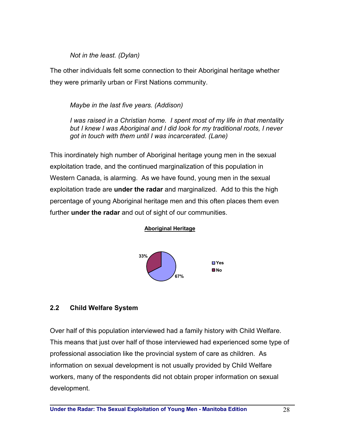#### *Not in the least. (Dylan)*

The other individuals felt some connection to their Aboriginal heritage whether they were primarily urban or First Nations community.

## *Maybe in the last five years. (Addison)*

*I was raised in a Christian home. I spent most of my life in that mentality but I knew I was Aboriginal and I did look for my traditional roots, I never got in touch with them until I was incarcerated. (Lane)* 

This inordinately high number of Aboriginal heritage young men in the sexual exploitation trade, and the continued marginalization of this population in Western Canada, is alarming. As we have found, young men in the sexual exploitation trade are **under the radar** and marginalized. Add to this the high percentage of young Aboriginal heritage men and this often places them even further **under the radar** and out of sight of our communities.





### **2.2 Child Welfare System**

Over half of this population interviewed had a family history with Child Welfare. This means that just over half of those interviewed had experienced some type of professional association like the provincial system of care as children. As information on sexual development is not usually provided by Child Welfare workers, many of the respondents did not obtain proper information on sexual development.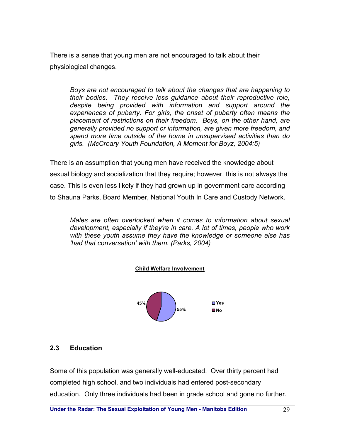There is a sense that young men are not encouraged to talk about their physiological changes.

*Boys are not encouraged to talk about the changes that are happening to their bodies. They receive less guidance about their reproductive role, despite being provided with information and support around the experiences of puberty. For girls, the onset of puberty often means the placement of restrictions on their freedom. Boys, on the other hand, are generally provided no support or information, are given more freedom, and spend more time outside of the home in unsupervised activities than do girls. (McCreary Youth Foundation, A Moment for Boyz, 2004:5)* 

There is an assumption that young men have received the knowledge about sexual biology and socialization that they require; however, this is not always the case. This is even less likely if they had grown up in government care according to Shauna Parks, Board Member, National Youth In Care and Custody Network.

*Males are often overlooked when it comes to information about sexual development, especially if they're in care. A lot of times, people who work with these youth assume they have the knowledge or someone else has 'had that conversation' with them. (Parks, 2004)* 





#### **2.3 Education**

Some of this population was generally well-educated. Over thirty percent had completed high school, and two individuals had entered post-secondary education. Only three individuals had been in grade school and gone no further.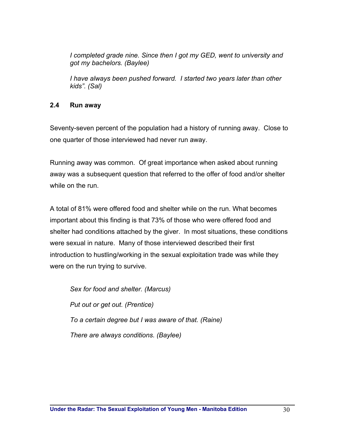*I* completed grade nine. Since then I got my GED, went to university and *got my bachelors. (Baylee)* 

*I have always been pushed forward. I started two years later than other kids". (Sal)* 

### **2.4 Run away**

Seventy-seven percent of the population had a history of running away. Close to one quarter of those interviewed had never run away.

Running away was common. Of great importance when asked about running away was a subsequent question that referred to the offer of food and/or shelter while on the run.

A total of 81% were offered food and shelter while on the run. What becomes important about this finding is that 73% of those who were offered food and shelter had conditions attached by the giver. In most situations, these conditions were sexual in nature. Many of those interviewed described their first introduction to hustling/working in the sexual exploitation trade was while they were on the run trying to survive.

*Sex for food and shelter. (Marcus) Put out or get out. (Prentice) To a certain degree but I was aware of that. (Raine) There are always conditions. (Baylee)*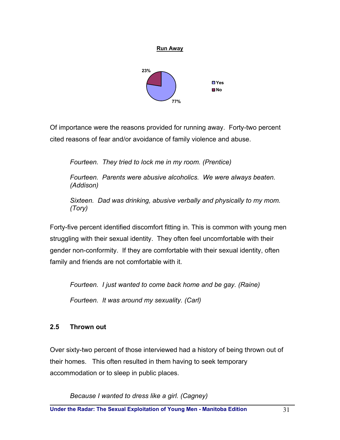

**Run Away**

Of importance were the reasons provided for running away. Forty-two percent cited reasons of fear and/or avoidance of family violence and abuse.

*Fourteen. They tried to lock me in my room. (Prentice)* 

*Fourteen. Parents were abusive alcoholics. We were always beaten. (Addison)* 

*Sixteen. Dad was drinking, abusive verbally and physically to my mom. (Tory)* 

Forty-five percent identified discomfort fitting in. This is common with young men struggling with their sexual identity. They often feel uncomfortable with their gender non-conformity. If they are comfortable with their sexual identity, often family and friends are not comfortable with it.

*Fourteen. I just wanted to come back home and be gay. (Raine) Fourteen. It was around my sexuality. (Carl)* 

# **2.5 Thrown out**

Over sixty-two percent of those interviewed had a history of being thrown out of their homes. This often resulted in them having to seek temporary accommodation or to sleep in public places.

*Because I wanted to dress like a girl. (Cagney)*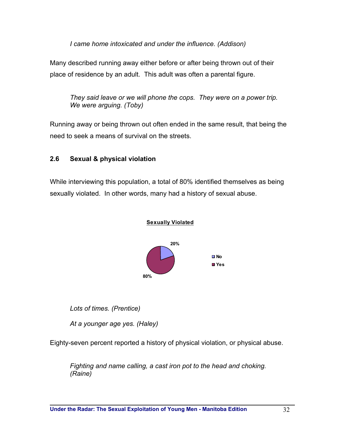*I came home intoxicated and under the influence. (Addison)* 

Many described running away either before or after being thrown out of their place of residence by an adult. This adult was often a parental figure.

*They said leave or we will phone the cops. They were on a power trip. We were arguing. (Toby)* 

Running away or being thrown out often ended in the same result, that being the need to seek a means of survival on the streets.

### **2.6 Sexual & physical violation**

While interviewing this population, a total of 80% identified themselves as being sexually violated. In other words, many had a history of sexual abuse.



*Lots of times. (Prentice)* 

*At a younger age yes. (Haley)* 

Eighty-seven percent reported a history of physical violation, or physical abuse.

*Fighting and name calling, a cast iron pot to the head and choking. (Raine)*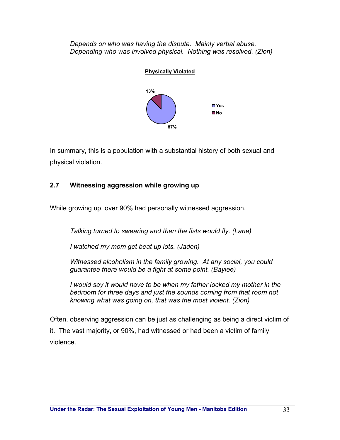*Depends on who was having the dispute. Mainly verbal abuse. Depending who was involved physical. Nothing was resolved. (Zion)* 



In summary, this is a population with a substantial history of both sexual and physical violation.

# **2.7 Witnessing aggression while growing up**

While growing up, over 90% had personally witnessed aggression.

*Talking turned to swearing and then the fists would fly. (Lane)* 

*I watched my mom get beat up lots. (Jaden)* 

*Witnessed alcoholism in the family growing. At any social, you could guarantee there would be a fight at some point. (Baylee)* 

*I would say it would have to be when my father locked my mother in the bedroom for three days and just the sounds coming from that room not knowing what was going on, that was the most violent. (Zion)* 

Often, observing aggression can be just as challenging as being a direct victim of it. The vast majority, or 90%, had witnessed or had been a victim of family violence.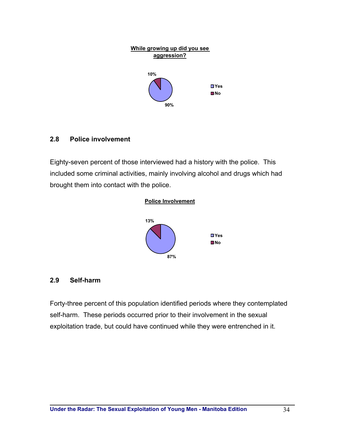

#### **2.8 Police involvement**

Eighty-seven percent of those interviewed had a history with the police. This included some criminal activities, mainly involving alcohol and drugs which had brought them into contact with the police.



#### **2.9 Self-harm**

Forty-three percent of this population identified periods where they contemplated self-harm. These periods occurred prior to their involvement in the sexual exploitation trade, but could have continued while they were entrenched in it.

**87%**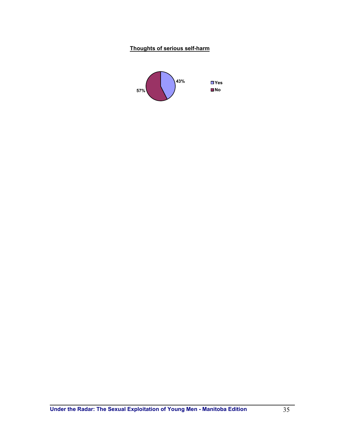#### **Thoughts of serious self-harm**

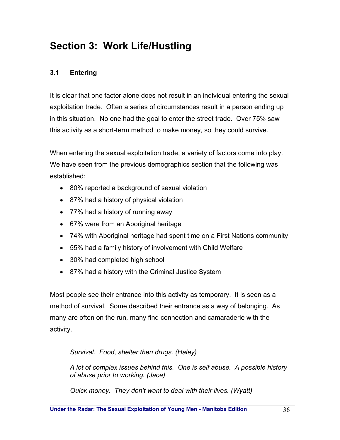# **Section 3: Work Life/Hustling**

# **3.1 Entering**

It is clear that one factor alone does not result in an individual entering the sexual exploitation trade. Often a series of circumstances result in a person ending up in this situation. No one had the goal to enter the street trade. Over 75% saw this activity as a short-term method to make money, so they could survive.

When entering the sexual exploitation trade, a variety of factors come into play. We have seen from the previous demographics section that the following was established:

- 80% reported a background of sexual violation
- 87% had a history of physical violation
- 77% had a history of running away
- 67% were from an Aboriginal heritage
- 74% with Aboriginal heritage had spent time on a First Nations community
- 55% had a family history of involvement with Child Welfare
- 30% had completed high school
- 87% had a history with the Criminal Justice System

Most people see their entrance into this activity as temporary. It is seen as a method of survival. Some described their entrance as a way of belonging. As many are often on the run, many find connection and camaraderie with the activity.

*Survival. Food, shelter then drugs. (Haley)* 

*A lot of complex issues behind this. One is self abuse. A possible history of abuse prior to working. (Jace)* 

*Quick money. They don't want to deal with their lives. (Wyatt)*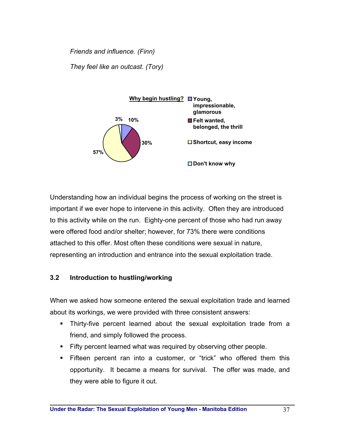*Friends and influence. (Finn) They feel like an outcast. (Tory)* 



Understanding how an individual begins the process of working on the street is important if we ever hope to intervene in this activity. Often they are introduced to this activity while on the run. Eighty-one percent of those who had run away were offered food and/or shelter; however, for 73% there were conditions attached to this offer. Most often these conditions were sexual in nature, representing an introduction and entrance into the sexual exploitation trade.

# **3.2 Introduction to hustling/working**

When we asked how someone entered the sexual exploitation trade and learned about its workings, we were provided with three consistent answers:

- Thirty-five percent learned about the sexual exploitation trade from a friend, and simply followed the process.
- Fifty percent learned what was required by observing other people.
- Fifteen percent ran into a customer, or "trick" who offered them this opportunity. It became a means for survival. The offer was made, and they were able to figure it out.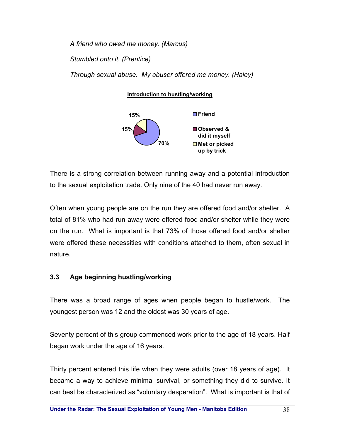*A friend who owed me money. (Marcus) Stumbled onto it. (Prentice) Through sexual abuse. My abuser offered me money. (Haley)* 

**Introduction to hustling/working**



There is a strong correlation between running away and a potential introduction to the sexual exploitation trade. Only nine of the 40 had never run away.

Often when young people are on the run they are offered food and/or shelter. A total of 81% who had run away were offered food and/or shelter while they were on the run. What is important is that 73% of those offered food and/or shelter were offered these necessities with conditions attached to them, often sexual in nature.

### **3.3 Age beginning hustling/working**

There was a broad range of ages when people began to hustle/work. The youngest person was 12 and the oldest was 30 years of age.

Seventy percent of this group commenced work prior to the age of 18 years. Half began work under the age of 16 years.

Thirty percent entered this life when they were adults (over 18 years of age). It became a way to achieve minimal survival, or something they did to survive. It can best be characterized as "voluntary desperation". What is important is that of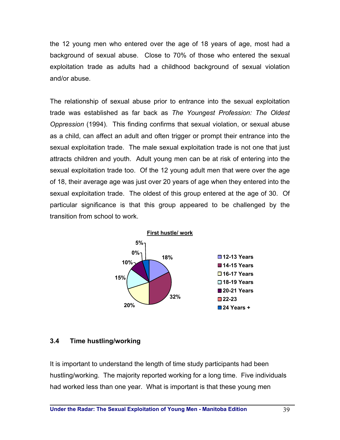the 12 young men who entered over the age of 18 years of age, most had a background of sexual abuse. Close to 70% of those who entered the sexual exploitation trade as adults had a childhood background of sexual violation and/or abuse.

The relationship of sexual abuse prior to entrance into the sexual exploitation trade was established as far back as *The Youngest Profession: The Oldest Oppression* (1994). This finding confirms that sexual violation, or sexual abuse as a child, can affect an adult and often trigger or prompt their entrance into the sexual exploitation trade. The male sexual exploitation trade is not one that just attracts children and youth. Adult young men can be at risk of entering into the sexual exploitation trade too. Of the 12 young adult men that were over the age of 18, their average age was just over 20 years of age when they entered into the sexual exploitation trade. The oldest of this group entered at the age of 30. Of particular significance is that this group appeared to be challenged by the transition from school to work.



#### **3.4 Time hustling/working**

It is important to understand the length of time study participants had been hustling/working. The majority reported working for a long time. Five individuals had worked less than one year. What is important is that these young men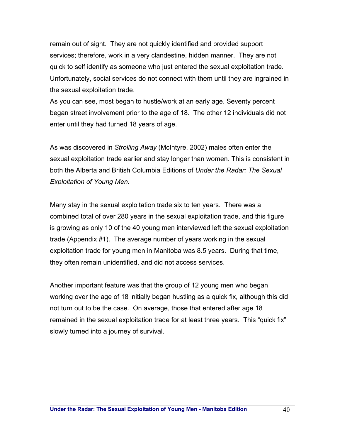remain out of sight. They are not quickly identified and provided support services; therefore, work in a very clandestine, hidden manner. They are not quick to self identify as someone who just entered the sexual exploitation trade. Unfortunately, social services do not connect with them until they are ingrained in the sexual exploitation trade.

As you can see, most began to hustle/work at an early age. Seventy percent began street involvement prior to the age of 18. The other 12 individuals did not enter until they had turned 18 years of age.

As was discovered in *Strolling Away* (McIntyre, 2002) males often enter the sexual exploitation trade earlier and stay longer than women. This is consistent in both the Alberta and British Columbia Editions of *Under the Radar: The Sexual Exploitation of Young Men.* 

Many stay in the sexual exploitation trade six to ten years. There was a combined total of over 280 years in the sexual exploitation trade, and this figure is growing as only 10 of the 40 young men interviewed left the sexual exploitation trade (Appendix #1). The average number of years working in the sexual exploitation trade for young men in Manitoba was 8.5 years. During that time, they often remain unidentified, and did not access services.

Another important feature was that the group of 12 young men who began working over the age of 18 initially began hustling as a quick fix, although this did not turn out to be the case. On average, those that entered after age 18 remained in the sexual exploitation trade for at least three years. This "quick fix" slowly turned into a journey of survival.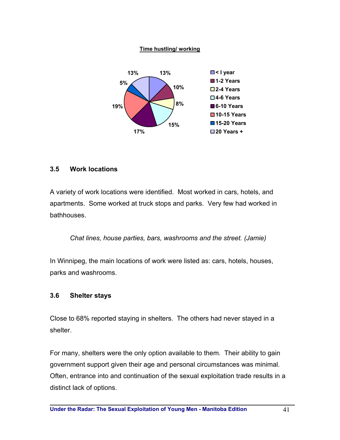#### **Time hustling/ working**



#### **3.5 Work locations**

A variety of work locations were identified. Most worked in cars, hotels, and apartments. Some worked at truck stops and parks. Very few had worked in bathhouses.

*Chat lines, house parties, bars, washrooms and the street. (Jamie)* 

In Winnipeg, the main locations of work were listed as: cars, hotels, houses, parks and washrooms.

### **3.6 Shelter stays**

Close to 68% reported staying in shelters. The others had never stayed in a shelter.

For many, shelters were the only option available to them. Their ability to gain government support given their age and personal circumstances was minimal. Often, entrance into and continuation of the sexual exploitation trade results in a distinct lack of options.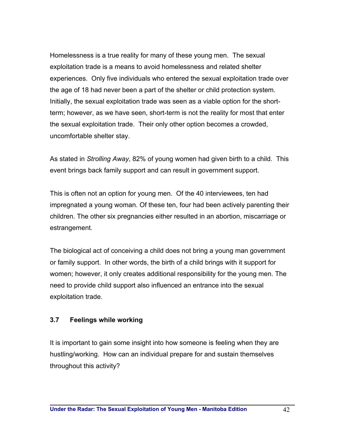Homelessness is a true reality for many of these young men. The sexual exploitation trade is a means to avoid homelessness and related shelter experiences. Only five individuals who entered the sexual exploitation trade over the age of 18 had never been a part of the shelter or child protection system. Initially, the sexual exploitation trade was seen as a viable option for the shortterm; however, as we have seen, short-term is not the reality for most that enter the sexual exploitation trade. Their only other option becomes a crowded, uncomfortable shelter stay.

As stated in *Strolling Away*, 82% of young women had given birth to a child. This event brings back family support and can result in government support.

This is often not an option for young men. Of the 40 interviewees, ten had impregnated a young woman. Of these ten, four had been actively parenting their children. The other six pregnancies either resulted in an abortion, miscarriage or estrangement.

The biological act of conceiving a child does not bring a young man government or family support. In other words, the birth of a child brings with it support for women; however, it only creates additional responsibility for the young men. The need to provide child support also influenced an entrance into the sexual exploitation trade.

### **3.7 Feelings while working**

It is important to gain some insight into how someone is feeling when they are hustling/working. How can an individual prepare for and sustain themselves throughout this activity?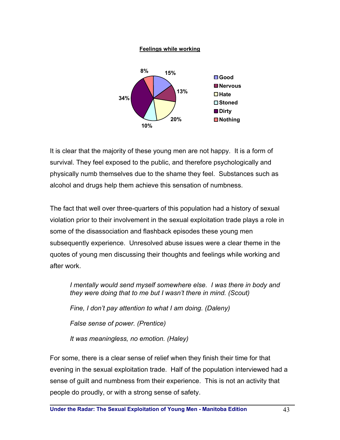#### **Feelings while working**



It is clear that the majority of these young men are not happy. It is a form of survival. They feel exposed to the public, and therefore psychologically and physically numb themselves due to the shame they feel. Substances such as alcohol and drugs help them achieve this sensation of numbness.

The fact that well over three-quarters of this population had a history of sexual violation prior to their involvement in the sexual exploitation trade plays a role in some of the disassociation and flashback episodes these young men subsequently experience. Unresolved abuse issues were a clear theme in the quotes of young men discussing their thoughts and feelings while working and after work.

*I mentally would send myself somewhere else. I was there in body and they were doing that to me but I wasn't there in mind. (Scout) Fine, I don't pay attention to what I am doing. (Daleny) False sense of power. (Prentice) It was meaningless, no emotion. (Haley)* 

For some, there is a clear sense of relief when they finish their time for that evening in the sexual exploitation trade. Half of the population interviewed had a sense of guilt and numbness from their experience. This is not an activity that people do proudly, or with a strong sense of safety.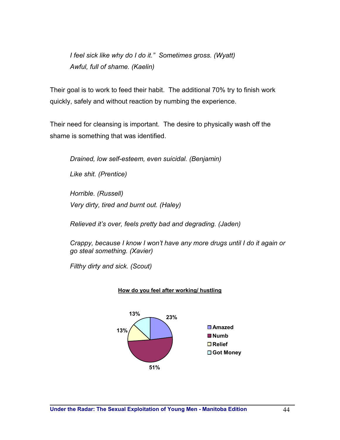*I feel sick like why do I do it." Sometimes gross. (Wyatt) Awful, full of shame. (Kaelin)* 

Their goal is to work to feed their habit. The additional 70% try to finish work quickly, safely and without reaction by numbing the experience.

Their need for cleansing is important. The desire to physically wash off the shame is something that was identified.

*Drained, low self-esteem, even suicidal. (Benjamin)* 

*Like shit. (Prentice)* 

*Horrible. (Russell) Very dirty, tired and burnt out. (Haley)* 

*Relieved it's over, feels pretty bad and degrading. (Jaden)* 

*Crappy, because I know I won't have any more drugs until I do it again or go steal something. (Xavier)* 

*Filthy dirty and sick. (Scout)* 



#### **How do you feel after working/ hustling**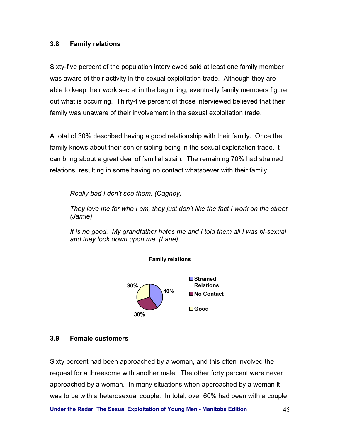#### **3.8 Family relations**

Sixty-five percent of the population interviewed said at least one family member was aware of their activity in the sexual exploitation trade. Although they are able to keep their work secret in the beginning, eventually family members figure out what is occurring. Thirty-five percent of those interviewed believed that their family was unaware of their involvement in the sexual exploitation trade.

A total of 30% described having a good relationship with their family. Once the family knows about their son or sibling being in the sexual exploitation trade, it can bring about a great deal of familial strain. The remaining 70% had strained relations, resulting in some having no contact whatsoever with their family.

*Really bad I don't see them. (Cagney)* 

*They love me for who I am, they just don't like the fact I work on the street. (Jamie)* 

*It is no good. My grandfather hates me and I told them all I was bi-sexual and they look down upon me. (Lane)* 



**Family relations**

#### **3.9 Female customers**

Sixty percent had been approached by a woman, and this often involved the request for a threesome with another male. The other forty percent were never approached by a woman. In many situations when approached by a woman it was to be with a heterosexual couple. In total, over 60% had been with a couple.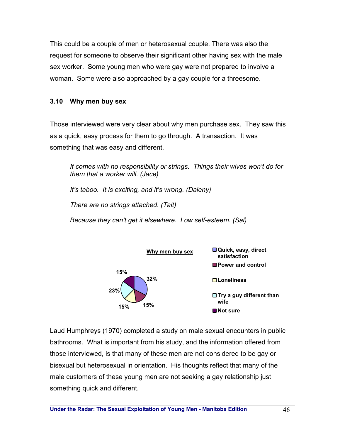This could be a couple of men or heterosexual couple. There was also the request for someone to observe their significant other having sex with the male sex worker. Some young men who were gay were not prepared to involve a woman. Some were also approached by a gay couple for a threesome.

### **3.10 Why men buy sex**

Those interviewed were very clear about why men purchase sex. They saw this as a quick, easy process for them to go through. A transaction. It was something that was easy and different.

*It comes with no responsibility or strings. Things their wives won't do for them that a worker will. (Jace) It's taboo. It is exciting, and it's wrong. (Daleny) There are no strings attached. (Tait) Because they can't get it elsewhere. Low self-esteem. (Sal)* 



Laud Humphreys (1970) completed a study on male sexual encounters in public bathrooms. What is important from his study, and the information offered from those interviewed, is that many of these men are not considered to be gay or bisexual but heterosexual in orientation. His thoughts reflect that many of the male customers of these young men are not seeking a gay relationship just something quick and different.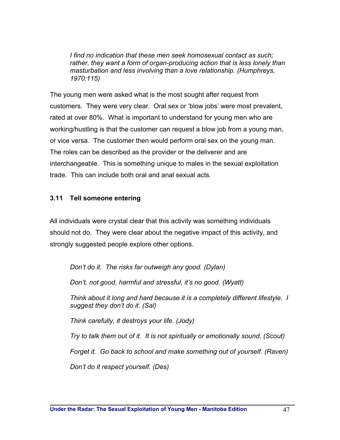*I find no indication that these men seek homosexual contact as such; rather, they want a form of organ-producing action that is less lonely than masturbation and less involving than a love relationship. (Humphreys, 1970:115)* 

The young men were asked what is the most sought after request from customers. They were very clear. Oral sex or 'blow jobs' were most prevalent, rated at over 80%. What is important to understand for young men who are working/hustling is that the customer can request a blow job from a young man, or vice versa. The customer then would perform oral sex on the young man. The roles can be described as the provider or the deliverer and are interchangeable. This is something unique to males in the sexual exploitation trade. This can include both oral and anal sexual acts.

### **3.11 Tell someone entering**

All individuals were crystal clear that this activity was something individuals should not do. They were clear about the negative impact of this activity, and strongly suggested people explore other options.

*Don't do it. The risks far outweigh any good. (Dylan)* 

*Don't, not good, harmful and stressful, it's no good. (Wyatt)* 

*Think about it long and hard because it is a completely different lifestyle. I suggest they don't do it. (Sal)* 

*Think carefully, it destroys your life. (Jody)* 

*Try to talk them out of it. It is not spiritually or emotionally sound. (Scout)* 

*Forget it. Go back to school and make something out of yourself. (Raven)* 

*Don't do it respect yourself. (Des)*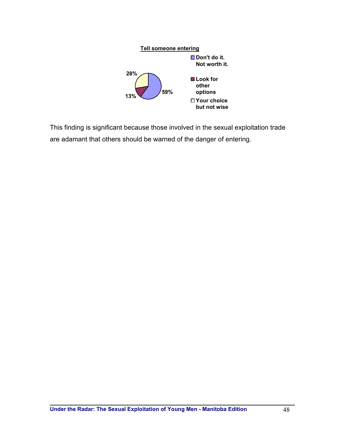

This finding is significant because those involved in the sexual exploitation trade are adamant that others should be warned of the danger of entering.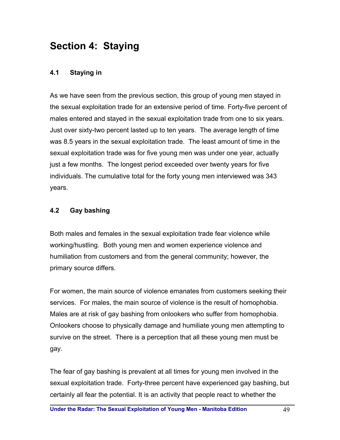# **Section 4: Staying**

### **4.1 Staying in**

As we have seen from the previous section, this group of young men stayed in the sexual exploitation trade for an extensive period of time. Forty-five percent of males entered and stayed in the sexual exploitation trade from one to six years. Just over sixty-two percent lasted up to ten years. The average length of time was 8.5 years in the sexual exploitation trade. The least amount of time in the sexual exploitation trade was for five young men was under one year, actually just a few months. The longest period exceeded over twenty years for five individuals. The cumulative total for the forty young men interviewed was 343 years.

### **4.2 Gay bashing**

Both males and females in the sexual exploitation trade fear violence while working/hustling. Both young men and women experience violence and humiliation from customers and from the general community; however, the primary source differs.

For women, the main source of violence emanates from customers seeking their services. For males, the main source of violence is the result of homophobia. Males are at risk of gay bashing from onlookers who suffer from homophobia. Onlookers choose to physically damage and humiliate young men attempting to survive on the street. There is a perception that all these young men must be gay.

The fear of gay bashing is prevalent at all times for young men involved in the sexual exploitation trade. Forty-three percent have experienced gay bashing, but certainly all fear the potential. It is an activity that people react to whether the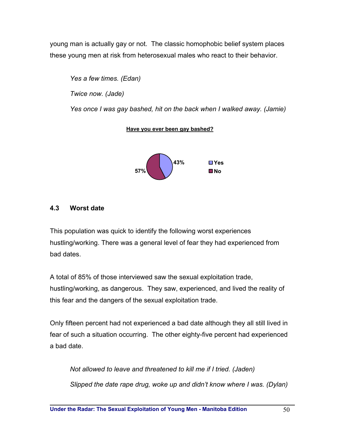young man is actually gay or not. The classic homophobic belief system places these young men at risk from heterosexual males who react to their behavior.

*Yes a few times. (Edan) Twice now. (Jade) Yes once I was gay bashed, hit on the back when I walked away. (Jamie)* 

#### **Have you ever been gay bashed?**



### **4.3 Worst date**

This population was quick to identify the following worst experiences hustling/working. There was a general level of fear they had experienced from bad dates.

A total of 85% of those interviewed saw the sexual exploitation trade, hustling/working, as dangerous. They saw, experienced, and lived the reality of this fear and the dangers of the sexual exploitation trade.

Only fifteen percent had not experienced a bad date although they all still lived in fear of such a situation occurring. The other eighty-five percent had experienced a bad date.

*Not allowed to leave and threatened to kill me if I tried. (Jaden) Slipped the date rape drug, woke up and didn't know where I was. (Dylan)*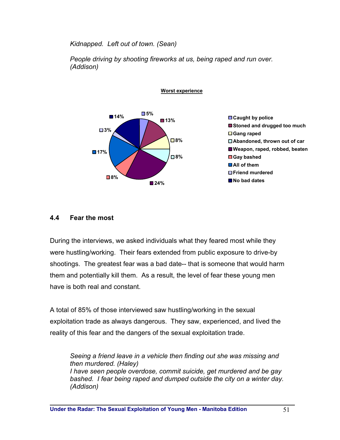*Kidnapped. Left out of town. (Sean)* 

*People driving by shooting fireworks at us, being raped and run over. (Addison)* 

**Worst experience**





### **4.4 Fear the most**

During the interviews, we asked individuals what they feared most while they were hustling/working. Their fears extended from public exposure to drive-by shootings. The greatest fear was a bad date-- that is someone that would harm them and potentially kill them. As a result, the level of fear these young men have is both real and constant.

A total of 85% of those interviewed saw hustling/working in the sexual exploitation trade as always dangerous. They saw, experienced, and lived the reality of this fear and the dangers of the sexual exploitation trade.

*Seeing a friend leave in a vehicle then finding out she was missing and then murdered. (Haley) I have seen people overdose, commit suicide, get murdered and be gay bashed. I fear being raped and dumped outside the city on a winter day. (Addison)*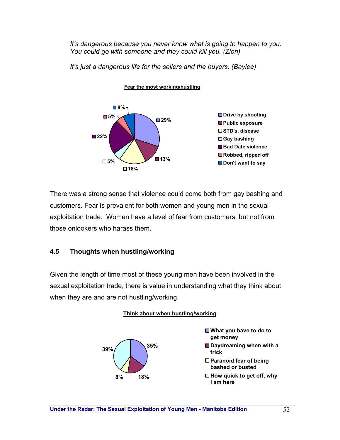*It's dangerous because you never know what is going to happen to you. You could go with someone and they could kill you. (Zion)* 

*It's just a dangerous life for the sellers and the buyers. (Baylee)* 



**Fear the most working/hustling**

There was a strong sense that violence could come both from gay bashing and customers. Fear is prevalent for both women and young men in the sexual exploitation trade. Women have a level of fear from customers, but not from those onlookers who harass them.

# **4.5 Thoughts when hustling/working**

Given the length of time most of these young men have been involved in the sexual exploitation trade, there is value in understanding what they think about when they are and are not hustling/working.



#### **Think about when hustling/working**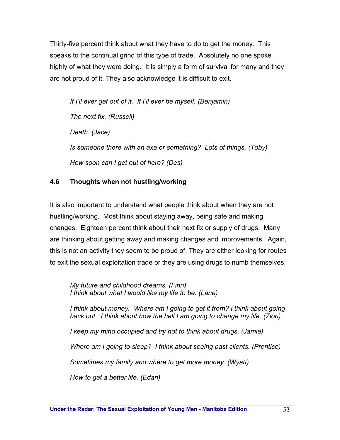Thirty-five percent think about what they have to do to get the money. This speaks to the continual grind of this type of trade. Absolutely no one spoke highly of what they were doing. It is simply a form of survival for many and they are not proud of it. They also acknowledge it is difficult to exit.

*If I'll ever get out of it. If I'll ever be myself. (Benjamin) The next fix. (Russell) Death. (Jace) Is someone there with an axe or something? Lots of things. (Toby) How soon can I get out of here? (Des)* 

# **4.6 Thoughts when not hustling/working**

It is also important to understand what people think about when they are not hustling/working. Most think about staying away, being safe and making changes. Eighteen percent think about their next fix or supply of drugs. Many are thinking about getting away and making changes and improvements. Again, this is not an activity they seem to be proud of. They are either looking for routes to exit the sexual exploitation trade or they are using drugs to numb themselves.

*My future and childhood dreams. (Finn) I think about what I would like my life to be. (Lane)* 

*I think about money. Where am I going to get it from? I think about going back out. I think about how the hell I am going to change my life. (Zion) I* keep my mind occupied and try not to think about drugs. (Jamie) *Where am I going to sleep? I think about seeing past clients. (Prentice) Sometimes my family and where to get more money. (Wyatt) How to get a better life. (Edan)*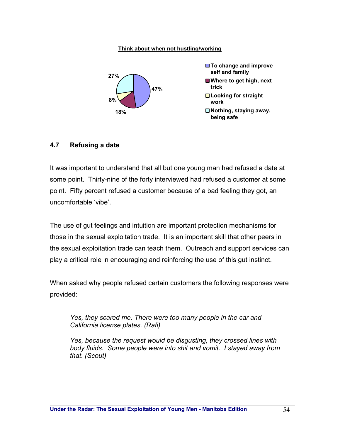#### **Think about when not hustling/working**



#### **4.7 Refusing a date**

It was important to understand that all but one young man had refused a date at some point. Thirty-nine of the forty interviewed had refused a customer at some point. Fifty percent refused a customer because of a bad feeling they got, an uncomfortable 'vibe'.

The use of gut feelings and intuition are important protection mechanisms for those in the sexual exploitation trade. It is an important skill that other peers in the sexual exploitation trade can teach them. Outreach and support services can play a critical role in encouraging and reinforcing the use of this gut instinct.

When asked why people refused certain customers the following responses were provided:

*Yes, they scared me. There were too many people in the car and California license plates. (Rafi)* 

*Yes, because the request would be disgusting, they crossed lines with body fluids. Some people were into shit and vomit. I stayed away from that. (Scout)*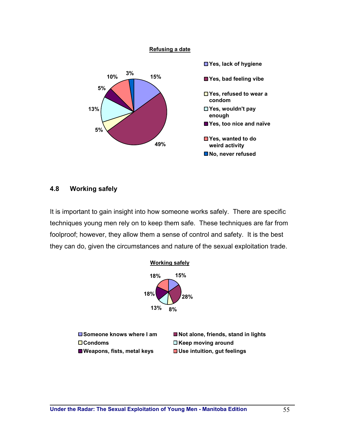

#### **4.8 Working safely**

It is important to gain insight into how someone works safely. There are specific techniques young men rely on to keep them safe. These techniques are far from foolproof; however, they allow them a sense of control and safety. It is the best they can do, given the circumstances and nature of the sexual exploitation trade.

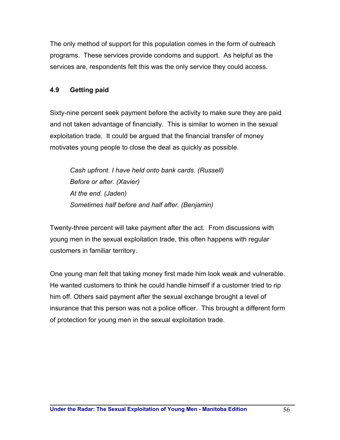The only method of support for this population comes in the form of outreach programs. These services provide condoms and support. As helpful as the services are, respondents felt this was the only service they could access.

# **4.9 Getting paid**

Sixty-nine percent seek payment before the activity to make sure they are paid and not taken advantage of financially. This is similar to women in the sexual exploitation trade. It could be argued that the financial transfer of money motivates young people to close the deal as quickly as possible.

*Cash upfront. I have held onto bank cards. (Russell) Before or after. (Xavier) At the end. (Jaden) Sometimes half before and half after. (Benjamin)* 

Twenty-three percent will take payment after the act. From discussions with young men in the sexual exploitation trade, this often happens with regular customers in familiar territory.

One young man felt that taking money first made him look weak and vulnerable. He wanted customers to think he could handle himself if a customer tried to rip him off. Others said payment after the sexual exchange brought a level of insurance that this person was not a police officer. This brought a different form of protection for young men in the sexual exploitation trade.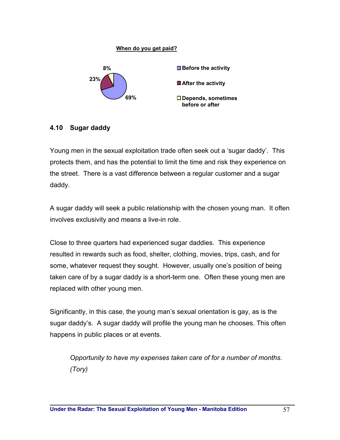# **When do you get paid? 69% 23% 8% Before the activity After the activity Depends, sometimes before or after**

# **4.10 Sugar daddy**

Young men in the sexual exploitation trade often seek out a 'sugar daddy'. This protects them, and has the potential to limit the time and risk they experience on the street. There is a vast difference between a regular customer and a sugar daddy.

A sugar daddy will seek a public relationship with the chosen young man. It often involves exclusivity and means a live-in role.

Close to three quarters had experienced sugar daddies. This experience resulted in rewards such as food, shelter, clothing, movies, trips, cash, and for some, whatever request they sought. However, usually one's position of being taken care of by a sugar daddy is a short-term one. Often these young men are replaced with other young men.

Significantly, in this case, the young man's sexual orientation is gay, as is the sugar daddy's. A sugar daddy will profile the young man he chooses. This often happens in public places or at events.

*Opportunity to have my expenses taken care of for a number of months. (Tory)*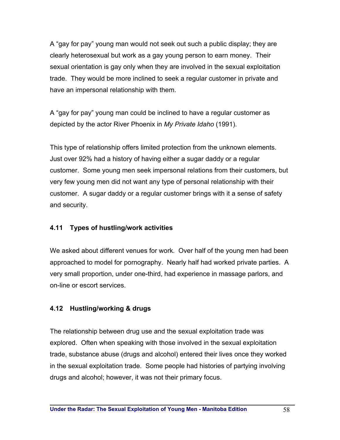A "gay for pay" young man would not seek out such a public display; they are clearly heterosexual but work as a gay young person to earn money. Their sexual orientation is gay only when they are involved in the sexual exploitation trade. They would be more inclined to seek a regular customer in private and have an impersonal relationship with them.

A "gay for pay" young man could be inclined to have a regular customer as depicted by the actor River Phoenix in *My Private Idaho* (1991).

This type of relationship offers limited protection from the unknown elements. Just over 92% had a history of having either a sugar daddy or a regular customer. Some young men seek impersonal relations from their customers, but very few young men did not want any type of personal relationship with their customer. A sugar daddy or a regular customer brings with it a sense of safety and security.

# **4.11 Types of hustling/work activities**

We asked about different venues for work. Over half of the young men had been approached to model for pornography. Nearly half had worked private parties. A very small proportion, under one-third, had experience in massage parlors, and on-line or escort services.

# **4.12 Hustling/working & drugs**

The relationship between drug use and the sexual exploitation trade was explored. Often when speaking with those involved in the sexual exploitation trade, substance abuse (drugs and alcohol) entered their lives once they worked in the sexual exploitation trade. Some people had histories of partying involving drugs and alcohol; however, it was not their primary focus.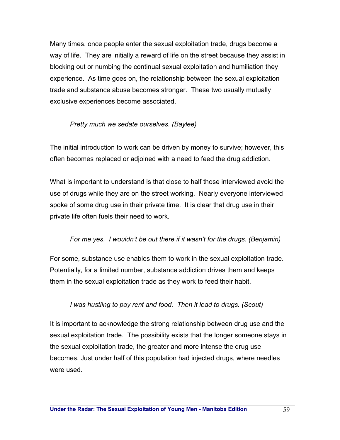Many times, once people enter the sexual exploitation trade, drugs become a way of life. They are initially a reward of life on the street because they assist in blocking out or numbing the continual sexual exploitation and humiliation they experience. As time goes on, the relationship between the sexual exploitation trade and substance abuse becomes stronger. These two usually mutually exclusive experiences become associated.

### *Pretty much we sedate ourselves. (Baylee)*

The initial introduction to work can be driven by money to survive; however, this often becomes replaced or adjoined with a need to feed the drug addiction.

What is important to understand is that close to half those interviewed avoid the use of drugs while they are on the street working. Nearly everyone interviewed spoke of some drug use in their private time. It is clear that drug use in their private life often fuels their need to work.

# *For me yes. I wouldn't be out there if it wasn't for the drugs. (Benjamin)*

For some, substance use enables them to work in the sexual exploitation trade. Potentially, for a limited number, substance addiction drives them and keeps them in the sexual exploitation trade as they work to feed their habit.

# *I* was hustling to pay rent and food. Then it lead to drugs. (Scout)

It is important to acknowledge the strong relationship between drug use and the sexual exploitation trade. The possibility exists that the longer someone stays in the sexual exploitation trade, the greater and more intense the drug use becomes. Just under half of this population had injected drugs, where needles were used.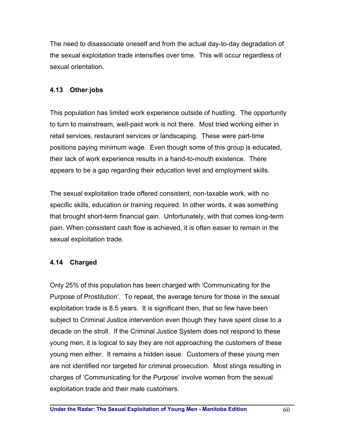The need to disassociate oneself and from the actual day-to-day degradation of the sexual exploitation trade intensifies over time. This will occur regardless of sexual orientation.

# **4.13 Other jobs**

This population has limited work experience outside of hustling. The opportunity to turn to mainstream, well-paid work is not there. Most tried working either in retail services, restaurant services or landscaping. These were part-time positions paying minimum wage. Even though some of this group is educated, their lack of work experience results in a hand-to-mouth existence. There appears to be a gap regarding their education level and employment skills.

The sexual exploitation trade offered consistent, non-taxable work, with no specific skills, education or training required. In other words, it was something that brought short-term financial gain. Unfortunately, with that comes long-term pain. When consistent cash flow is achieved, it is often easier to remain in the sexual exploitation trade.

# **4.14 Charged**

Only 25% of this population has been charged with 'Communicating for the Purpose of Prostitution'. To repeat, the average tenure for those in the sexual exploitation trade is 8.5 years. It is significant then, that so few have been subject to Criminal Justice intervention even though they have spent close to a decade on the stroll. If the Criminal Justice System does not respond to these young men, it is logical to say they are not approaching the customers of these young men either. It remains a hidden issue. Customers of these young men are not identified nor targeted for criminal prosecution. Most stings resulting in charges of 'Communicating for the Purpose' involve women from the sexual exploitation trade and their male customers.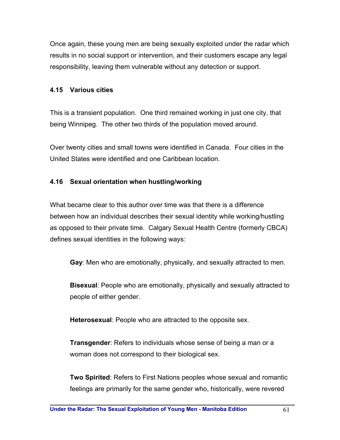Once again, these young men are being sexually exploited under the radar which results in no social support or intervention, and their customers escape any legal responsibility, leaving them vulnerable without any detection or support.

### **4.15 Various cities**

This is a transient population. One third remained working in just one city, that being Winnipeg. The other two thirds of the population moved around.

Over twenty cities and small towns were identified in Canada. Four cities in the United States were identified and one Caribbean location.

# **4.16 Sexual orientation when hustling/working**

What became clear to this author over time was that there is a difference between how an individual describes their sexual identity while working/hustling as opposed to their private time. Calgary Sexual Health Centre (formerly CBCA) defines sexual identities in the following ways:

**Gay**: Men who are emotionally, physically, and sexually attracted to men.

**Bisexual**: People who are emotionally, physically and sexually attracted to people of either gender.

**Heterosexual**: People who are attracted to the opposite sex.

**Transgender**: Refers to individuals whose sense of being a man or a woman does not correspond to their biological sex.

**Two Spirited**: Refers to First Nations peoples whose sexual and romantic feelings are primarily for the same gender who, historically, were revered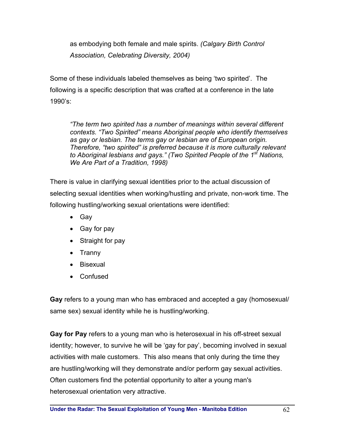as embodying both female and male spirits. *(Calgary Birth Control Association, Celebrating Diversity, 2004)* 

Some of these individuals labeled themselves as being 'two spirited'. The following is a specific description that was crafted at a conference in the late 1990's:

*"The term two spirited has a number of meanings within several different contexts. "Two Spirited" means Aboriginal people who identify themselves as gay or lesbian. The terms gay or lesbian are of European origin. Therefore, "two spirited" is preferred because it is more culturally relevant to Aboriginal lesbians and gays." (Two Spirited People of the 1st Nations, We Are Part of a Tradition, 1998)* 

There is value in clarifying sexual identities prior to the actual discussion of selecting sexual identities when working/hustling and private, non-work time. The following hustling/working sexual orientations were identified:

- Gay
- Gay for pay
- Straight for pay
- Tranny
- Bisexual
- Confused

**Gay** refers to a young man who has embraced and accepted a gay (homosexual/ same sex) sexual identity while he is hustling/working.

**Gay for Pay** refers to a young man who is heterosexual in his off-street sexual identity; however, to survive he will be 'gay for pay', becoming involved in sexual activities with male customers. This also means that only during the time they are hustling/working will they demonstrate and/or perform gay sexual activities. Often customers find the potential opportunity to alter a young man's heterosexual orientation very attractive.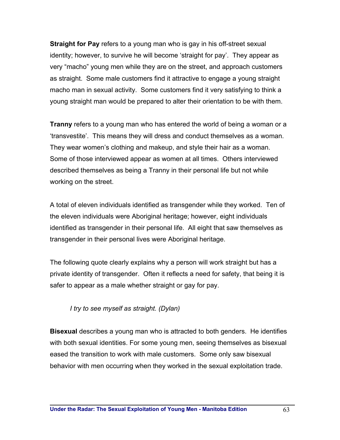**Straight for Pay** refers to a young man who is gay in his off-street sexual identity; however, to survive he will become 'straight for pay'. They appear as very "macho" young men while they are on the street, and approach customers as straight. Some male customers find it attractive to engage a young straight macho man in sexual activity. Some customers find it very satisfying to think a young straight man would be prepared to alter their orientation to be with them.

**Tranny** refers to a young man who has entered the world of being a woman or a 'transvestite'. This means they will dress and conduct themselves as a woman. They wear women's clothing and makeup, and style their hair as a woman. Some of those interviewed appear as women at all times. Others interviewed described themselves as being a Tranny in their personal life but not while working on the street.

A total of eleven individuals identified as transgender while they worked. Ten of the eleven individuals were Aboriginal heritage; however, eight individuals identified as transgender in their personal life. All eight that saw themselves as transgender in their personal lives were Aboriginal heritage.

The following quote clearly explains why a person will work straight but has a private identity of transgender. Often it reflects a need for safety, that being it is safer to appear as a male whether straight or gay for pay.

# *I try to see myself as straight. (Dylan)*

**Bisexual** describes a young man who is attracted to both genders. He identifies with both sexual identities. For some young men, seeing themselves as bisexual eased the transition to work with male customers. Some only saw bisexual behavior with men occurring when they worked in the sexual exploitation trade.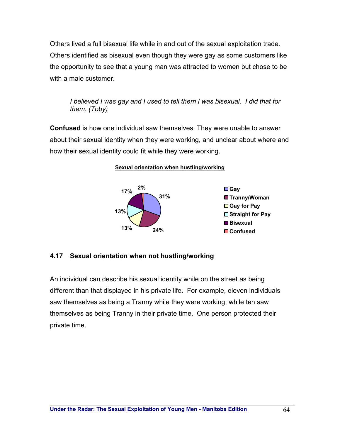Others lived a full bisexual life while in and out of the sexual exploitation trade. Others identified as bisexual even though they were gay as some customers like the opportunity to see that a young man was attracted to women but chose to be with a male customer.

*I believed I was gay and I used to tell them I was bisexual. I did that for them. (Toby)* 

**Confused** is how one individual saw themselves. They were unable to answer about their sexual identity when they were working, and unclear about where and how their sexual identity could fit while they were working.

**Sexual orientation when hustling/working**



### **4.17 Sexual orientation when not hustling/working**

An individual can describe his sexual identity while on the street as being different than that displayed in his private life. For example, eleven individuals saw themselves as being a Tranny while they were working; while ten saw themselves as being Tranny in their private time. One person protected their private time.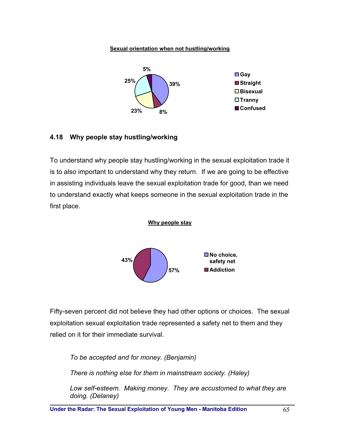#### **Sexual orientation when not hustling/working**



#### **4.18 Why people stay hustling/working**

To understand why people stay hustling/working in the sexual exploitation trade it is to also important to understand why they return. If we are going to be effective in assisting individuals leave the sexual exploitation trade for good, than we need to understand exactly what keeps someone in the sexual exploitation trade in the first place.



Fifty-seven percent did not believe they had other options or choices. The sexual exploitation sexual exploitation trade represented a safety net to them and they relied on it for their immediate survival.

*To be accepted and for money. (Benjamin)* 

*There is nothing else for them in mainstream society. (Haley)* 

*Low self-esteem. Making money. They are accustomed to what they are doing. (Delaney)*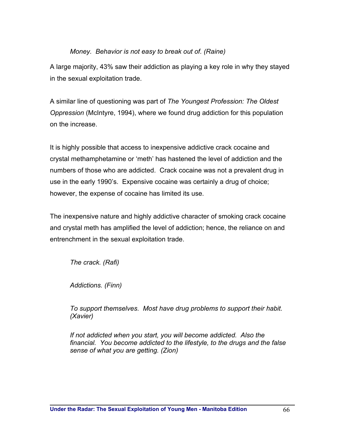#### *Money. Behavior is not easy to break out of. (Raine)*

A large majority, 43% saw their addiction as playing a key role in why they stayed in the sexual exploitation trade.

A similar line of questioning was part of *The Youngest Profession: The Oldest Oppression* (McIntyre, 1994), where we found drug addiction for this population on the increase.

It is highly possible that access to inexpensive addictive crack cocaine and crystal methamphetamine or 'meth' has hastened the level of addiction and the numbers of those who are addicted. Crack cocaine was not a prevalent drug in use in the early 1990's. Expensive cocaine was certainly a drug of choice; however, the expense of cocaine has limited its use.

The inexpensive nature and highly addictive character of smoking crack cocaine and crystal meth has amplified the level of addiction; hence, the reliance on and entrenchment in the sexual exploitation trade.

*The crack. (Rafi)* 

*Addictions. (Finn)* 

*To support themselves. Most have drug problems to support their habit. (Xavier)* 

*If not addicted when you start, you will become addicted. Also the financial. You become addicted to the lifestyle, to the drugs and the false sense of what you are getting. (Zion)*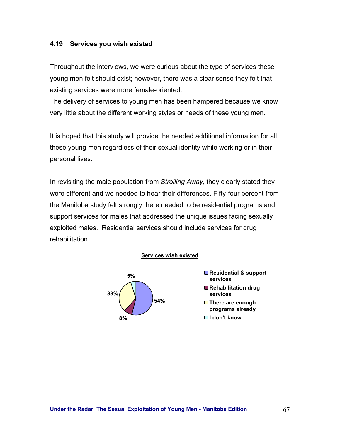#### **4.19 Services you wish existed**

Throughout the interviews, we were curious about the type of services these young men felt should exist; however, there was a clear sense they felt that existing services were more female-oriented.

The delivery of services to young men has been hampered because we know very little about the different working styles or needs of these young men.

It is hoped that this study will provide the needed additional information for all these young men regardless of their sexual identity while working or in their personal lives.

In revisiting the male population from *Strolling Away*, they clearly stated they were different and we needed to hear their differences. Fifty-four percent from the Manitoba study felt strongly there needed to be residential programs and support services for males that addressed the unique issues facing sexually exploited males. Residential services should include services for drug rehabilitation.

#### **Services wish existed**



**5% Residential & support services Rehabilitation drug services There are enough programs already I don't know**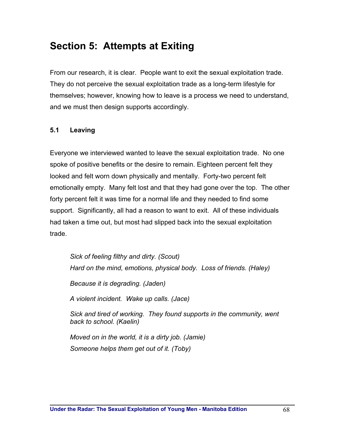# **Section 5: Attempts at Exiting**

From our research, it is clear. People want to exit the sexual exploitation trade. They do not perceive the sexual exploitation trade as a long-term lifestyle for themselves; however, knowing how to leave is a process we need to understand, and we must then design supports accordingly.

#### **5.1 Leaving**

Everyone we interviewed wanted to leave the sexual exploitation trade. No one spoke of positive benefits or the desire to remain. Eighteen percent felt they looked and felt worn down physically and mentally. Forty-two percent felt emotionally empty. Many felt lost and that they had gone over the top. The other forty percent felt it was time for a normal life and they needed to find some support. Significantly, all had a reason to want to exit. All of these individuals had taken a time out, but most had slipped back into the sexual exploitation trade.

*Sick of feeling filthy and dirty. (Scout) Hard on the mind, emotions, physical body. Loss of friends. (Haley) Because it is degrading. (Jaden) A violent incident. Wake up calls. (Jace) Sick and tired of working. They found supports in the community, went back to school. (Kaelin) Moved on in the world, it is a dirty job. (Jamie)* 

*Someone helps them get out of it. (Toby)*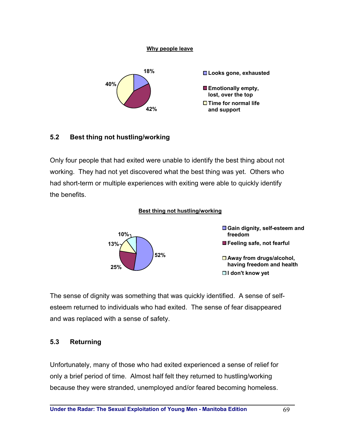#### **Why people leave**



### **5.2 Best thing not hustling/working**

Only four people that had exited were unable to identify the best thing about not working. They had not yet discovered what the best thing was yet. Others who had short-term or multiple experiences with exiting were able to quickly identify the benefits.

#### **Best thing not hustling/working**



The sense of dignity was something that was quickly identified. A sense of selfesteem returned to individuals who had exited. The sense of fear disappeared and was replaced with a sense of safety.

### **5.3 Returning**

Unfortunately, many of those who had exited experienced a sense of relief for only a brief period of time. Almost half felt they returned to hustling/working because they were stranded, unemployed and/or feared becoming homeless.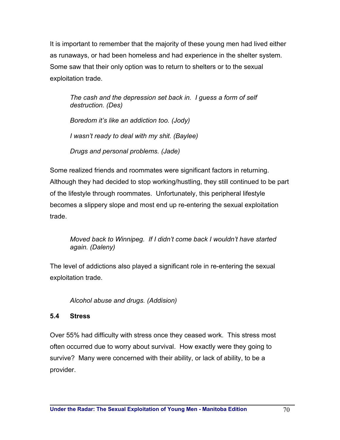It is important to remember that the majority of these young men had lived either as runaways, or had been homeless and had experience in the shelter system. Some saw that their only option was to return to shelters or to the sexual exploitation trade.

*The cash and the depression set back in. I guess a form of self destruction. (Des) Boredom it's like an addiction too. (Jody) I wasn't ready to deal with my shit. (Baylee) Drugs and personal problems. (Jade)* 

Some realized friends and roommates were significant factors in returning. Although they had decided to stop working/hustling, they still continued to be part of the lifestyle through roommates. Unfortunately, this peripheral lifestyle becomes a slippery slope and most end up re-entering the sexual exploitation trade.

*Moved back to Winnipeg. If I didn't come back I wouldn't have started again. (Daleny)* 

The level of addictions also played a significant role in re-entering the sexual exploitation trade.

*Alcohol abuse and drugs. (Addision)* 

# **5.4 Stress**

Over 55% had difficulty with stress once they ceased work. This stress most often occurred due to worry about survival. How exactly were they going to survive? Many were concerned with their ability, or lack of ability, to be a provider.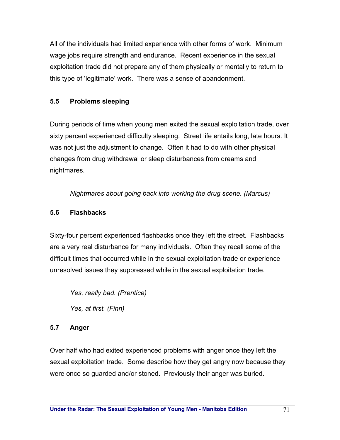All of the individuals had limited experience with other forms of work. Minimum wage jobs require strength and endurance. Recent experience in the sexual exploitation trade did not prepare any of them physically or mentally to return to this type of 'legitimate' work. There was a sense of abandonment.

# **5.5 Problems sleeping**

During periods of time when young men exited the sexual exploitation trade, over sixty percent experienced difficulty sleeping. Street life entails long, late hours. It was not just the adjustment to change. Often it had to do with other physical changes from drug withdrawal or sleep disturbances from dreams and nightmares.

*Nightmares about going back into working the drug scene. (Marcus)* 

# **5.6 Flashbacks**

Sixty-four percent experienced flashbacks once they left the street. Flashbacks are a very real disturbance for many individuals. Often they recall some of the difficult times that occurred while in the sexual exploitation trade or experience unresolved issues they suppressed while in the sexual exploitation trade.

*Yes, really bad. (Prentice) Yes, at first. (Finn)* 

# **5.7 Anger**

Over half who had exited experienced problems with anger once they left the sexual exploitation trade. Some describe how they get angry now because they were once so guarded and/or stoned. Previously their anger was buried.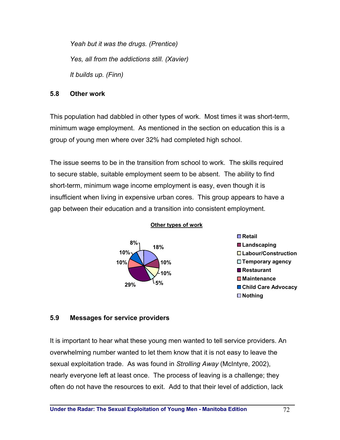*Yeah but it was the drugs. (Prentice) Yes, all from the addictions still. (Xavier) It builds up. (Finn)* 

#### **5.8 Other work**

This population had dabbled in other types of work. Most times it was short-term, minimum wage employment. As mentioned in the section on education this is a group of young men where over 32% had completed high school.

The issue seems to be in the transition from school to work. The skills required to secure stable, suitable employment seem to be absent. The ability to find short-term, minimum wage income employment is easy, even though it is insufficient when living in expensive urban cores. This group appears to have a gap between their education and a transition into consistent employment.



#### **Other types of work**



### **5.9 Messages for service providers**

It is important to hear what these young men wanted to tell service providers. An overwhelming number wanted to let them know that it is not easy to leave the sexual exploitation trade. As was found in *Strolling Away* (McIntyre, 2002), nearly everyone left at least once. The process of leaving is a challenge; they often do not have the resources to exit. Add to that their level of addiction, lack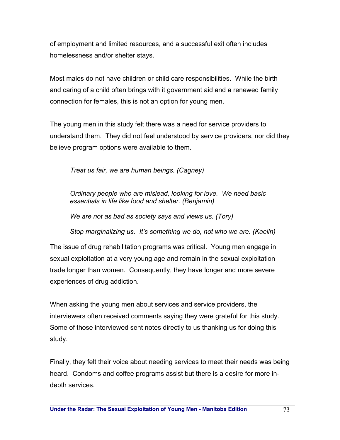of employment and limited resources, and a successful exit often includes homelessness and/or shelter stays.

Most males do not have children or child care responsibilities. While the birth and caring of a child often brings with it government aid and a renewed family connection for females, this is not an option for young men.

The young men in this study felt there was a need for service providers to understand them. They did not feel understood by service providers, nor did they believe program options were available to them.

*Treat us fair, we are human beings. (Cagney)* 

*Ordinary people who are mislead, looking for love. We need basic essentials in life like food and shelter. (Benjamin)* 

*We are not as bad as society says and views us. (Tory)* 

*Stop marginalizing us. It's something we do, not who we are. (Kaelin)* 

The issue of drug rehabilitation programs was critical. Young men engage in sexual exploitation at a very young age and remain in the sexual exploitation trade longer than women. Consequently, they have longer and more severe experiences of drug addiction.

When asking the young men about services and service providers, the interviewers often received comments saying they were grateful for this study. Some of those interviewed sent notes directly to us thanking us for doing this study.

Finally, they felt their voice about needing services to meet their needs was being heard. Condoms and coffee programs assist but there is a desire for more indepth services.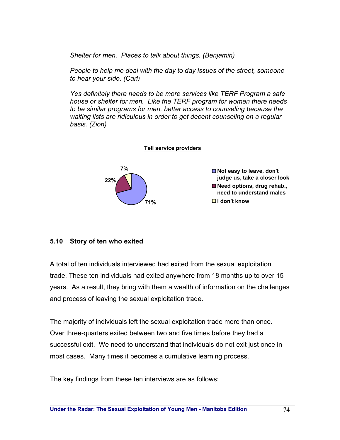*Shelter for men. Places to talk about things. (Benjamin)* 

*People to help me deal with the day to day issues of the street, someone to hear your side. (Carl)* 

*Yes definitely there needs to be more services like TERF Program a safe house or shelter for men. Like the TERF program for women there needs to be similar programs for men, better access to counseling because the waiting lists are ridiculous in order to get decent counseling on a regular basis. (Zion)* 



## **5.10 Story of ten who exited**

A total of ten individuals interviewed had exited from the sexual exploitation trade. These ten individuals had exited anywhere from 18 months up to over 15 years. As a result, they bring with them a wealth of information on the challenges and process of leaving the sexual exploitation trade.

The majority of individuals left the sexual exploitation trade more than once. Over three-quarters exited between two and five times before they had a successful exit. We need to understand that individuals do not exit just once in most cases. Many times it becomes a cumulative learning process.

The key findings from these ten interviews are as follows: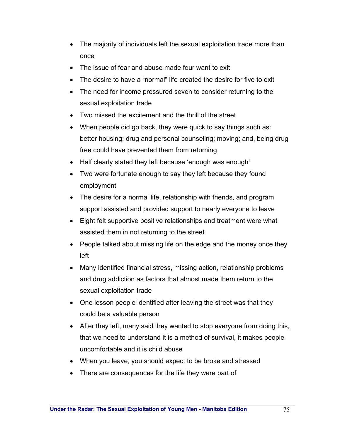- The majority of individuals left the sexual exploitation trade more than once
- The issue of fear and abuse made four want to exit
- The desire to have a "normal" life created the desire for five to exit
- The need for income pressured seven to consider returning to the sexual exploitation trade
- Two missed the excitement and the thrill of the street
- When people did go back, they were quick to say things such as: better housing; drug and personal counseling; moving; and, being drug free could have prevented them from returning
- Half clearly stated they left because 'enough was enough'
- Two were fortunate enough to say they left because they found employment
- The desire for a normal life, relationship with friends, and program support assisted and provided support to nearly everyone to leave
- Eight felt supportive positive relationships and treatment were what assisted them in not returning to the street
- People talked about missing life on the edge and the money once they left
- Many identified financial stress, missing action, relationship problems and drug addiction as factors that almost made them return to the sexual exploitation trade
- One lesson people identified after leaving the street was that they could be a valuable person
- After they left, many said they wanted to stop everyone from doing this, that we need to understand it is a method of survival, it makes people uncomfortable and it is child abuse
- When you leave, you should expect to be broke and stressed
- There are consequences for the life they were part of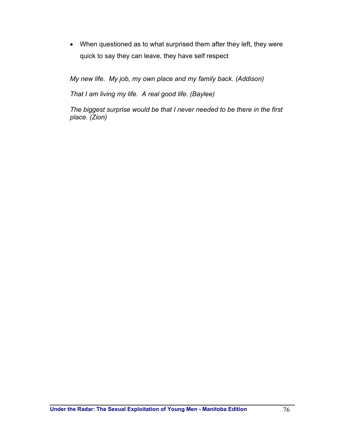• When questioned as to what surprised them after they left, they were quick to say they can leave, they have self respect

*My new life. My job, my own place and my family back. (Addison)* 

*That I am living my life. A real good life. (Baylee)* 

*The biggest surprise would be that I never needed to be there in the first place. (Zion)*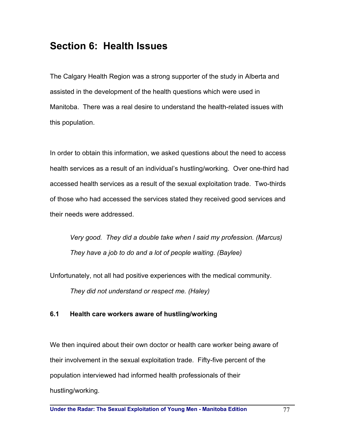# **Section 6: Health Issues**

The Calgary Health Region was a strong supporter of the study in Alberta and assisted in the development of the health questions which were used in Manitoba. There was a real desire to understand the health-related issues with this population.

In order to obtain this information, we asked questions about the need to access health services as a result of an individual's hustling/working. Over one-third had accessed health services as a result of the sexual exploitation trade. Two-thirds of those who had accessed the services stated they received good services and their needs were addressed.

*Very good. They did a double take when I said my profession. (Marcus) They have a job to do and a lot of people waiting. (Baylee)* 

Unfortunately, not all had positive experiences with the medical community.

*They did not understand or respect me. (Haley)* 

## **6.1 Health care workers aware of hustling/working**

We then inquired about their own doctor or health care worker being aware of their involvement in the sexual exploitation trade. Fifty-five percent of the population interviewed had informed health professionals of their hustling/working.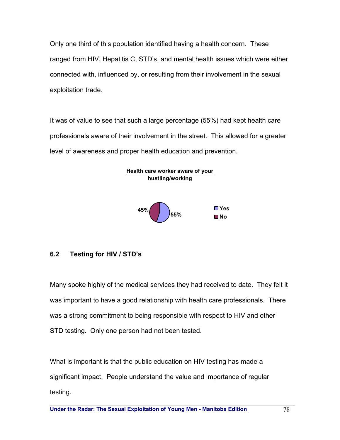Only one third of this population identified having a health concern. These ranged from HIV, Hepatitis C, STD's, and mental health issues which were either connected with, influenced by, or resulting from their involvement in the sexual exploitation trade.

It was of value to see that such a large percentage (55%) had kept health care professionals aware of their involvement in the street. This allowed for a greater level of awareness and proper health education and prevention.



## **6.2 Testing for HIV / STD's**

Many spoke highly of the medical services they had received to date. They felt it was important to have a good relationship with health care professionals. There was a strong commitment to being responsible with respect to HIV and other STD testing. Only one person had not been tested.

What is important is that the public education on HIV testing has made a significant impact. People understand the value and importance of regular testing.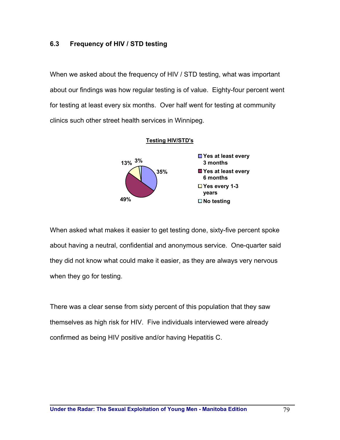## **6.3 Frequency of HIV / STD testing**

When we asked about the frequency of HIV / STD testing, what was important about our findings was how regular testing is of value. Eighty-four percent went for testing at least every six months. Over half went for testing at community clinics such other street health services in Winnipeg.



When asked what makes it easier to get testing done, sixty-five percent spoke about having a neutral, confidential and anonymous service. One-quarter said they did not know what could make it easier, as they are always very nervous when they go for testing.

There was a clear sense from sixty percent of this population that they saw themselves as high risk for HIV. Five individuals interviewed were already confirmed as being HIV positive and/or having Hepatitis C.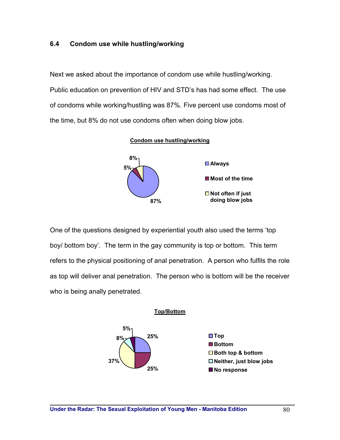## **6.4 Condom use while hustling/working**

Next we asked about the importance of condom use while hustling/working. Public education on prevention of HIV and STD's has had some effect. The use of condoms while working/hustling was 87%. Five percent use condoms most of the time, but 8% do not use condoms often when doing blow jobs.





One of the questions designed by experiential youth also used the terms 'top boy/ bottom boy'. The term in the gay community is top or bottom. This term refers to the physical positioning of anal penetration. A person who fulfils the role as top will deliver anal penetration. The person who is bottom will be the receiver who is being anally penetrated.

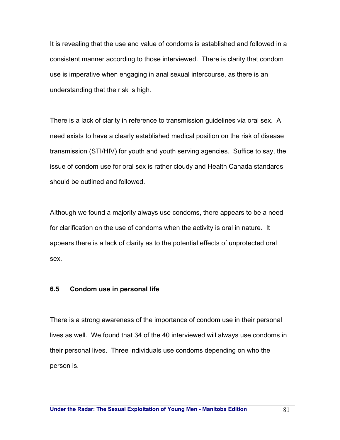It is revealing that the use and value of condoms is established and followed in a consistent manner according to those interviewed. There is clarity that condom use is imperative when engaging in anal sexual intercourse, as there is an understanding that the risk is high.

There is a lack of clarity in reference to transmission guidelines via oral sex. A need exists to have a clearly established medical position on the risk of disease transmission (STI/HIV) for youth and youth serving agencies. Suffice to say, the issue of condom use for oral sex is rather cloudy and Health Canada standards should be outlined and followed.

Although we found a majority always use condoms, there appears to be a need for clarification on the use of condoms when the activity is oral in nature. It appears there is a lack of clarity as to the potential effects of unprotected oral sex.

#### **6.5 Condom use in personal life**

There is a strong awareness of the importance of condom use in their personal lives as well. We found that 34 of the 40 interviewed will always use condoms in their personal lives. Three individuals use condoms depending on who the person is.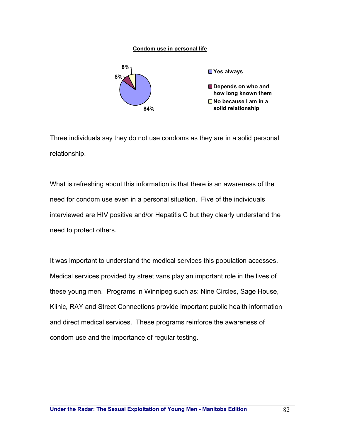#### **Condom use in personal life**



Three individuals say they do not use condoms as they are in a solid personal relationship.

What is refreshing about this information is that there is an awareness of the need for condom use even in a personal situation. Five of the individuals interviewed are HIV positive and/or Hepatitis C but they clearly understand the need to protect others.

It was important to understand the medical services this population accesses. Medical services provided by street vans play an important role in the lives of these young men. Programs in Winnipeg such as: Nine Circles, Sage House, Klinic, RAY and Street Connections provide important public health information and direct medical services. These programs reinforce the awareness of condom use and the importance of regular testing.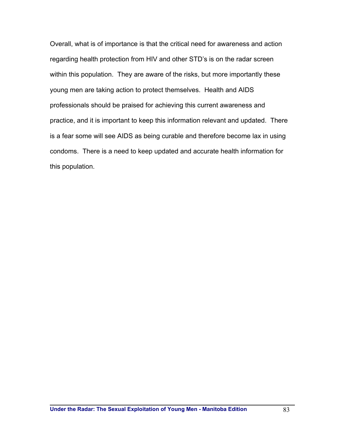Overall, what is of importance is that the critical need for awareness and action regarding health protection from HIV and other STD's is on the radar screen within this population. They are aware of the risks, but more importantly these young men are taking action to protect themselves. Health and AIDS professionals should be praised for achieving this current awareness and practice, and it is important to keep this information relevant and updated. There is a fear some will see AIDS as being curable and therefore become lax in using condoms. There is a need to keep updated and accurate health information for this population.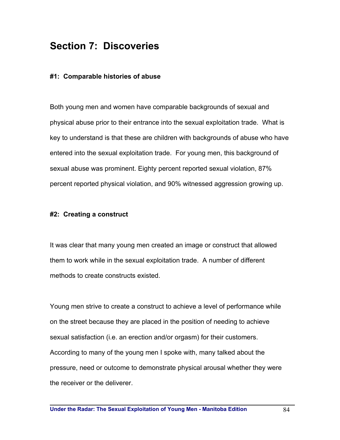## **Section 7: Discoveries**

## **#1: Comparable histories of abuse**

Both young men and women have comparable backgrounds of sexual and physical abuse prior to their entrance into the sexual exploitation trade. What is key to understand is that these are children with backgrounds of abuse who have entered into the sexual exploitation trade. For young men, this background of sexual abuse was prominent. Eighty percent reported sexual violation, 87% percent reported physical violation, and 90% witnessed aggression growing up.

## **#2: Creating a construct**

It was clear that many young men created an image or construct that allowed them to work while in the sexual exploitation trade. A number of different methods to create constructs existed.

Young men strive to create a construct to achieve a level of performance while on the street because they are placed in the position of needing to achieve sexual satisfaction (i.e. an erection and/or orgasm) for their customers. According to many of the young men I spoke with, many talked about the pressure, need or outcome to demonstrate physical arousal whether they were the receiver or the deliverer.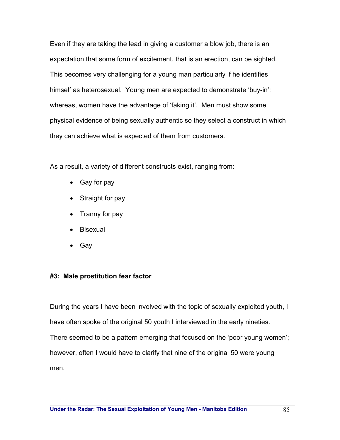Even if they are taking the lead in giving a customer a blow job, there is an expectation that some form of excitement, that is an erection, can be sighted. This becomes very challenging for a young man particularly if he identifies himself as heterosexual. Young men are expected to demonstrate 'buy-in'; whereas, women have the advantage of 'faking it'. Men must show some physical evidence of being sexually authentic so they select a construct in which they can achieve what is expected of them from customers.

As a result, a variety of different constructs exist, ranging from:

- Gay for pay
- Straight for pay
- Tranny for pay
- Bisexual
- Gay

## **#3: Male prostitution fear factor**

During the years I have been involved with the topic of sexually exploited youth, I have often spoke of the original 50 youth I interviewed in the early nineties. There seemed to be a pattern emerging that focused on the 'poor young women'; however, often I would have to clarify that nine of the original 50 were young men.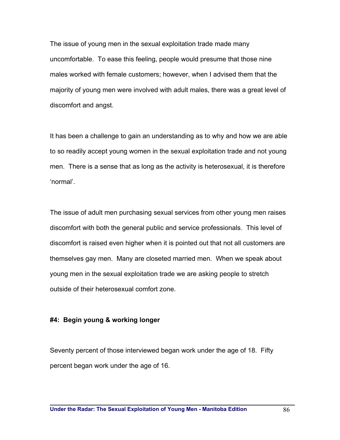The issue of young men in the sexual exploitation trade made many uncomfortable. To ease this feeling, people would presume that those nine males worked with female customers; however, when I advised them that the majority of young men were involved with adult males, there was a great level of discomfort and angst.

It has been a challenge to gain an understanding as to why and how we are able to so readily accept young women in the sexual exploitation trade and not young men. There is a sense that as long as the activity is heterosexual, it is therefore 'normal'.

The issue of adult men purchasing sexual services from other young men raises discomfort with both the general public and service professionals. This level of discomfort is raised even higher when it is pointed out that not all customers are themselves gay men. Many are closeted married men. When we speak about young men in the sexual exploitation trade we are asking people to stretch outside of their heterosexual comfort zone.

## **#4: Begin young & working longer**

Seventy percent of those interviewed began work under the age of 18. Fifty percent began work under the age of 16.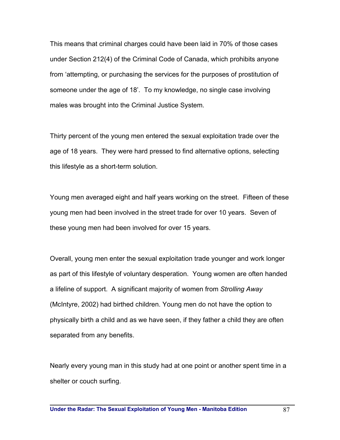This means that criminal charges could have been laid in 70% of those cases under Section 212(4) of the Criminal Code of Canada, which prohibits anyone from 'attempting, or purchasing the services for the purposes of prostitution of someone under the age of 18'. To my knowledge, no single case involving males was brought into the Criminal Justice System.

Thirty percent of the young men entered the sexual exploitation trade over the age of 18 years. They were hard pressed to find alternative options, selecting this lifestyle as a short-term solution.

Young men averaged eight and half years working on the street. Fifteen of these young men had been involved in the street trade for over 10 years. Seven of these young men had been involved for over 15 years.

Overall, young men enter the sexual exploitation trade younger and work longer as part of this lifestyle of voluntary desperation. Young women are often handed a lifeline of support. A significant majority of women from *Strolling Away* (McIntyre, 2002) had birthed children. Young men do not have the option to physically birth a child and as we have seen, if they father a child they are often separated from any benefits.

Nearly every young man in this study had at one point or another spent time in a shelter or couch surfing.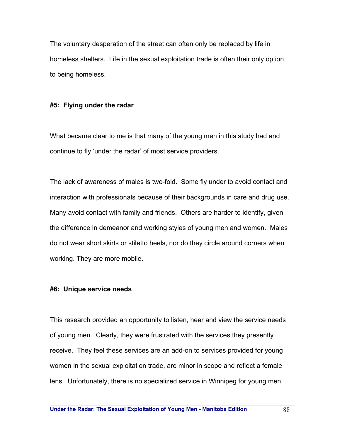The voluntary desperation of the street can often only be replaced by life in homeless shelters. Life in the sexual exploitation trade is often their only option to being homeless.

#### **#5: Flying under the radar**

What became clear to me is that many of the young men in this study had and continue to fly 'under the radar' of most service providers.

The lack of awareness of males is two-fold. Some fly under to avoid contact and interaction with professionals because of their backgrounds in care and drug use. Many avoid contact with family and friends. Others are harder to identify, given the difference in demeanor and working styles of young men and women. Males do not wear short skirts or stiletto heels, nor do they circle around corners when working. They are more mobile.

#### **#6: Unique service needs**

This research provided an opportunity to listen, hear and view the service needs of young men. Clearly, they were frustrated with the services they presently receive. They feel these services are an add-on to services provided for young women in the sexual exploitation trade, are minor in scope and reflect a female lens. Unfortunately, there is no specialized service in Winnipeg for young men.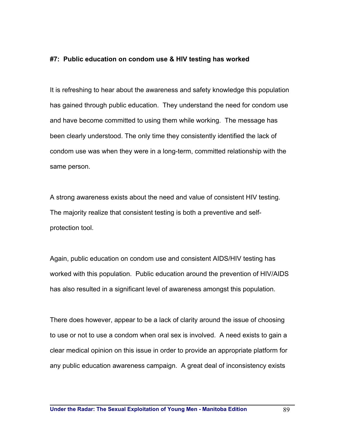## **#7: Public education on condom use & HIV testing has worked**

It is refreshing to hear about the awareness and safety knowledge this population has gained through public education. They understand the need for condom use and have become committed to using them while working. The message has been clearly understood. The only time they consistently identified the lack of condom use was when they were in a long-term, committed relationship with the same person.

A strong awareness exists about the need and value of consistent HIV testing. The majority realize that consistent testing is both a preventive and selfprotection tool.

Again, public education on condom use and consistent AIDS/HIV testing has worked with this population. Public education around the prevention of HIV/AIDS has also resulted in a significant level of awareness amongst this population.

There does however, appear to be a lack of clarity around the issue of choosing to use or not to use a condom when oral sex is involved. A need exists to gain a clear medical opinion on this issue in order to provide an appropriate platform for any public education awareness campaign. A great deal of inconsistency exists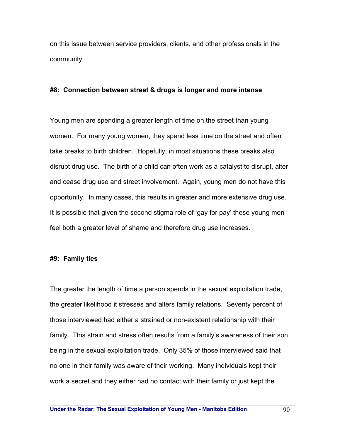on this issue between service providers, clients, and other professionals in the community.

#### **#8: Connection between street & drugs is longer and more intense**

Young men are spending a greater length of time on the street than young women. For many young women, they spend less time on the street and often take breaks to birth children. Hopefully, in most situations these breaks also disrupt drug use. The birth of a child can often work as a catalyst to disrupt, alter and cease drug use and street involvement. Again, young men do not have this opportunity. In many cases, this results in greater and more extensive drug use. It is possible that given the second stigma role of 'gay for pay' these young men feel both a greater level of shame and therefore drug use increases.

#### **#9: Family ties**

The greater the length of time a person spends in the sexual exploitation trade, the greater likelihood it stresses and alters family relations. Seventy percent of those interviewed had either a strained or non-existent relationship with their family. This strain and stress often results from a family's awareness of their son being in the sexual exploitation trade. Only 35% of those interviewed said that no one in their family was aware of their working. Many individuals kept their work a secret and they either had no contact with their family or just kept the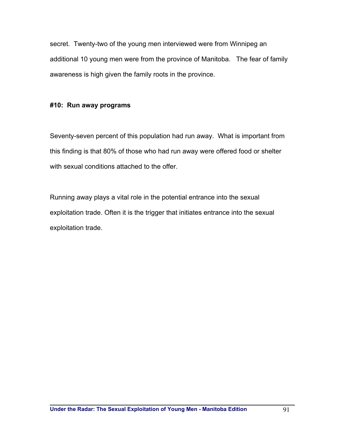secret. Twenty-two of the young men interviewed were from Winnipeg an additional 10 young men were from the province of Manitoba. The fear of family awareness is high given the family roots in the province.

## **#10: Run away programs**

Seventy-seven percent of this population had run away. What is important from this finding is that 80% of those who had run away were offered food or shelter with sexual conditions attached to the offer.

Running away plays a vital role in the potential entrance into the sexual exploitation trade. Often it is the trigger that initiates entrance into the sexual exploitation trade.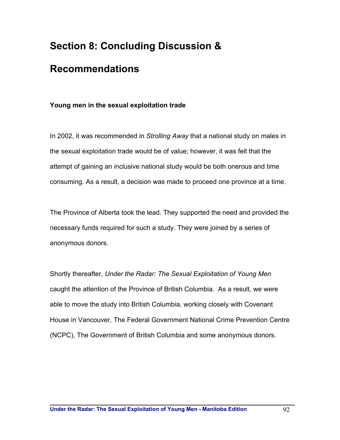# **Section 8: Concluding Discussion &**

# **Recommendations**

## **Young men in the sexual exploitation trade**

In 2002, it was recommended in *Strolling Away* that a national study on males in the sexual exploitation trade would be of value; however, it was felt that the attempt of gaining an inclusive national study would be both onerous and time consuming. As a result, a decision was made to proceed one province at a time.

The Province of Alberta took the lead. They supported the need and provided the necessary funds required for such a study. They were joined by a series of anonymous donors.

Shortly thereafter, *Under the Radar: The Sexual Exploitation of Young Men* caught the attention of the Province of British Columbia. As a result, we were able to move the study into British Columbia, working closely with Covenant House in Vancouver, The Federal Government National Crime Prevention Centre (NCPC), The Government of British Columbia and some anonymous donors.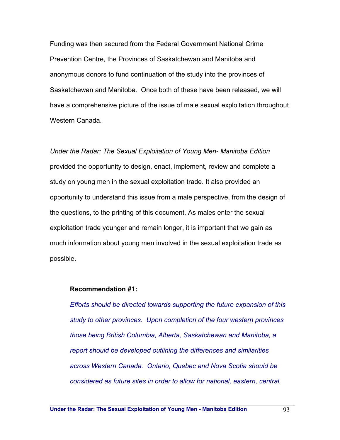Funding was then secured from the Federal Government National Crime Prevention Centre, the Provinces of Saskatchewan and Manitoba and anonymous donors to fund continuation of the study into the provinces of Saskatchewan and Manitoba. Once both of these have been released, we will have a comprehensive picture of the issue of male sexual exploitation throughout Western Canada.

*Under the Radar: The Sexual Exploitation of Young Men- Manitoba Edition*  provided the opportunity to design, enact, implement, review and complete a study on young men in the sexual exploitation trade. It also provided an opportunity to understand this issue from a male perspective, from the design of the questions, to the printing of this document. As males enter the sexual exploitation trade younger and remain longer, it is important that we gain as much information about young men involved in the sexual exploitation trade as possible.

#### **Recommendation #1:**

*Efforts should be directed towards supporting the future expansion of this study to other provinces. Upon completion of the four western provinces those being British Columbia, Alberta, Saskatchewan and Manitoba, a report should be developed outlining the differences and similarities across Western Canada. Ontario, Quebec and Nova Scotia should be considered as future sites in order to allow for national, eastern, central,*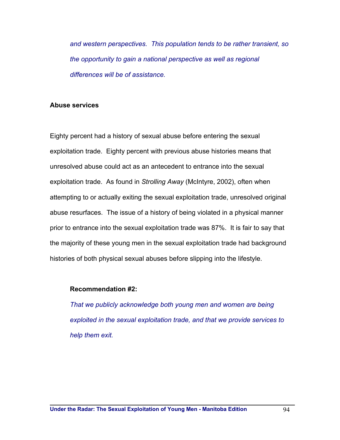*and western perspectives. This population tends to be rather transient, so the opportunity to gain a national perspective as well as regional differences will be of assistance.* 

#### **Abuse services**

Eighty percent had a history of sexual abuse before entering the sexual exploitation trade. Eighty percent with previous abuse histories means that unresolved abuse could act as an antecedent to entrance into the sexual exploitation trade. As found in *Strolling Away* (McIntyre, 2002), often when attempting to or actually exiting the sexual exploitation trade, unresolved original abuse resurfaces. The issue of a history of being violated in a physical manner prior to entrance into the sexual exploitation trade was 87%. It is fair to say that the majority of these young men in the sexual exploitation trade had background histories of both physical sexual abuses before slipping into the lifestyle.

#### **Recommendation #2:**

*That we publicly acknowledge both young men and women are being exploited in the sexual exploitation trade, and that we provide services to help them exit.*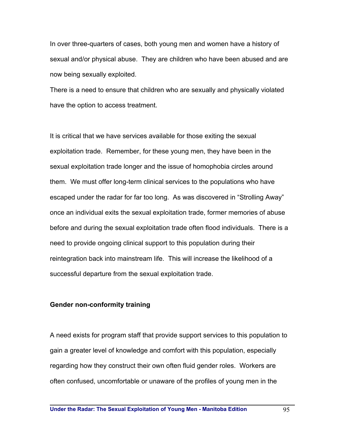In over three-quarters of cases, both young men and women have a history of sexual and/or physical abuse. They are children who have been abused and are now being sexually exploited.

There is a need to ensure that children who are sexually and physically violated have the option to access treatment.

It is critical that we have services available for those exiting the sexual exploitation trade. Remember, for these young men, they have been in the sexual exploitation trade longer and the issue of homophobia circles around them. We must offer long-term clinical services to the populations who have escaped under the radar for far too long. As was discovered in "Strolling Away" once an individual exits the sexual exploitation trade, former memories of abuse before and during the sexual exploitation trade often flood individuals. There is a need to provide ongoing clinical support to this population during their reintegration back into mainstream life. This will increase the likelihood of a successful departure from the sexual exploitation trade.

#### **Gender non-conformity training**

A need exists for program staff that provide support services to this population to gain a greater level of knowledge and comfort with this population, especially regarding how they construct their own often fluid gender roles. Workers are often confused, uncomfortable or unaware of the profiles of young men in the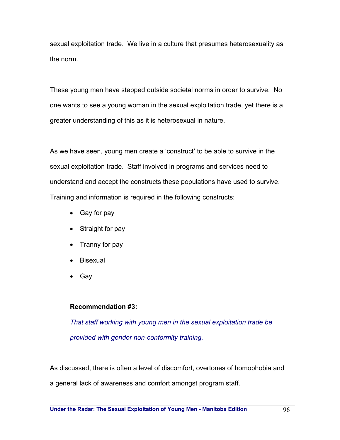sexual exploitation trade. We live in a culture that presumes heterosexuality as the norm.

These young men have stepped outside societal norms in order to survive. No one wants to see a young woman in the sexual exploitation trade, yet there is a greater understanding of this as it is heterosexual in nature.

As we have seen, young men create a 'construct' to be able to survive in the sexual exploitation trade. Staff involved in programs and services need to understand and accept the constructs these populations have used to survive. Training and information is required in the following constructs:

- Gay for pay
- Straight for pay
- Tranny for pay
- Bisexual
- Gay

## **Recommendation #3:**

*That staff working with young men in the sexual exploitation trade be provided with gender non-conformity training.* 

As discussed, there is often a level of discomfort, overtones of homophobia and

a general lack of awareness and comfort amongst program staff.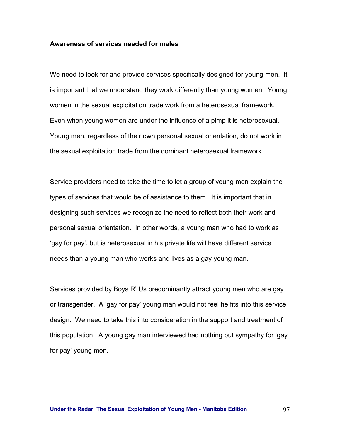## **Awareness of services needed for males**

We need to look for and provide services specifically designed for young men. It is important that we understand they work differently than young women. Young women in the sexual exploitation trade work from a heterosexual framework. Even when young women are under the influence of a pimp it is heterosexual. Young men, regardless of their own personal sexual orientation, do not work in the sexual exploitation trade from the dominant heterosexual framework.

Service providers need to take the time to let a group of young men explain the types of services that would be of assistance to them. It is important that in designing such services we recognize the need to reflect both their work and personal sexual orientation. In other words, a young man who had to work as 'gay for pay', but is heterosexual in his private life will have different service needs than a young man who works and lives as a gay young man.

Services provided by Boys R' Us predominantly attract young men who are gay or transgender. A 'gay for pay' young man would not feel he fits into this service design. We need to take this into consideration in the support and treatment of this population. A young gay man interviewed had nothing but sympathy for 'gay for pay' young men.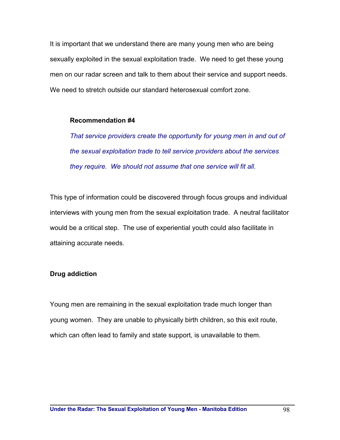It is important that we understand there are many young men who are being sexually exploited in the sexual exploitation trade. We need to get these young men on our radar screen and talk to them about their service and support needs. We need to stretch outside our standard heterosexual comfort zone.

#### **Recommendation #4**

*That service providers create the opportunity for young men in and out of the sexual exploitation trade to tell service providers about the services they require. We should not assume that one service will fit all.* 

This type of information could be discovered through focus groups and individual interviews with young men from the sexual exploitation trade. A neutral facilitator would be a critical step. The use of experiential youth could also facilitate in attaining accurate needs.

## **Drug addiction**

Young men are remaining in the sexual exploitation trade much longer than young women. They are unable to physically birth children, so this exit route, which can often lead to family and state support, is unavailable to them.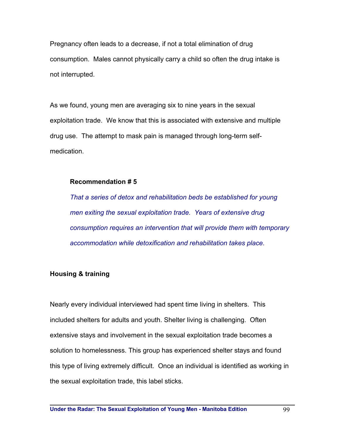Pregnancy often leads to a decrease, if not a total elimination of drug consumption. Males cannot physically carry a child so often the drug intake is not interrupted.

As we found, young men are averaging six to nine years in the sexual exploitation trade. We know that this is associated with extensive and multiple drug use. The attempt to mask pain is managed through long-term selfmedication.

## **Recommendation # 5**

*That a series of detox and rehabilitation beds be established for young men exiting the sexual exploitation trade. Years of extensive drug consumption requires an intervention that will provide them with temporary accommodation while detoxification and rehabilitation takes place.* 

## **Housing & training**

Nearly every individual interviewed had spent time living in shelters. This included shelters for adults and youth. Shelter living is challenging. Often extensive stays and involvement in the sexual exploitation trade becomes a solution to homelessness. This group has experienced shelter stays and found this type of living extremely difficult. Once an individual is identified as working in the sexual exploitation trade, this label sticks.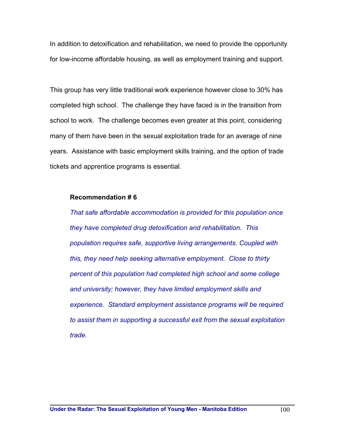In addition to detoxification and rehabilitation, we need to provide the opportunity for low-income affordable housing, as well as employment training and support.

This group has very little traditional work experience however close to 30% has completed high school. The challenge they have faced is in the transition from school to work. The challenge becomes even greater at this point, considering many of them have been in the sexual exploitation trade for an average of nine years. Assistance with basic employment skills training, and the option of trade tickets and apprentice programs is essential.

## **Recommendation # 6**

*That safe affordable accommodation is provided for this population once they have completed drug detoxification and rehabilitation. This population requires safe, supportive living arrangements. Coupled with this, they need help seeking alternative employment. Close to thirty percent of this population had completed high school and some college and university; however, they have limited employment skills and experience. Standard employment assistance programs will be required to assist them in supporting a successful exit from the sexual exploitation trade.*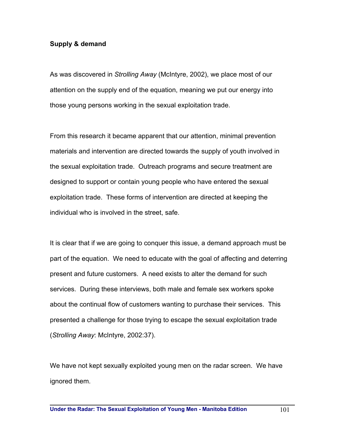## **Supply & demand**

As was discovered in *Strolling Away* (McIntyre, 2002), we place most of our attention on the supply end of the equation, meaning we put our energy into those young persons working in the sexual exploitation trade.

From this research it became apparent that our attention, minimal prevention materials and intervention are directed towards the supply of youth involved in the sexual exploitation trade. Outreach programs and secure treatment are designed to support or contain young people who have entered the sexual exploitation trade. These forms of intervention are directed at keeping the individual who is involved in the street, safe.

It is clear that if we are going to conquer this issue, a demand approach must be part of the equation. We need to educate with the goal of affecting and deterring present and future customers. A need exists to alter the demand for such services. During these interviews, both male and female sex workers spoke about the continual flow of customers wanting to purchase their services. This presented a challenge for those trying to escape the sexual exploitation trade (*Strolling Away*: McIntyre, 2002:37).

We have not kept sexually exploited young men on the radar screen. We have ignored them.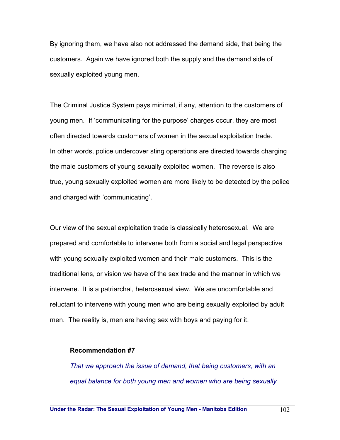By ignoring them, we have also not addressed the demand side, that being the customers. Again we have ignored both the supply and the demand side of sexually exploited young men.

The Criminal Justice System pays minimal, if any, attention to the customers of young men. If 'communicating for the purpose' charges occur, they are most often directed towards customers of women in the sexual exploitation trade. In other words, police undercover sting operations are directed towards charging the male customers of young sexually exploited women. The reverse is also true, young sexually exploited women are more likely to be detected by the police and charged with 'communicating'.

Our view of the sexual exploitation trade is classically heterosexual. We are prepared and comfortable to intervene both from a social and legal perspective with young sexually exploited women and their male customers. This is the traditional lens, or vision we have of the sex trade and the manner in which we intervene. It is a patriarchal, heterosexual view. We are uncomfortable and reluctant to intervene with young men who are being sexually exploited by adult men. The reality is, men are having sex with boys and paying for it.

#### **Recommendation #7**

*That we approach the issue of demand, that being customers, with an equal balance for both young men and women who are being sexually*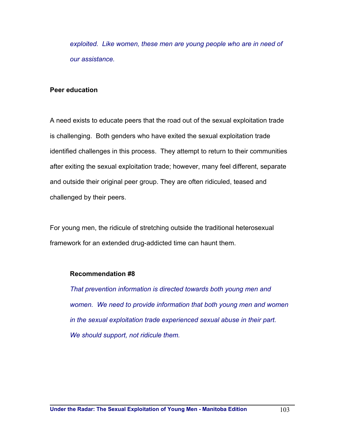*exploited. Like women, these men are young people who are in need of our assistance.* 

## **Peer education**

A need exists to educate peers that the road out of the sexual exploitation trade is challenging. Both genders who have exited the sexual exploitation trade identified challenges in this process. They attempt to return to their communities after exiting the sexual exploitation trade; however, many feel different, separate and outside their original peer group. They are often ridiculed, teased and challenged by their peers.

For young men, the ridicule of stretching outside the traditional heterosexual framework for an extended drug-addicted time can haunt them.

## **Recommendation #8**

*That prevention information is directed towards both young men and women. We need to provide information that both young men and women in the sexual exploitation trade experienced sexual abuse in their part. We should support, not ridicule them.*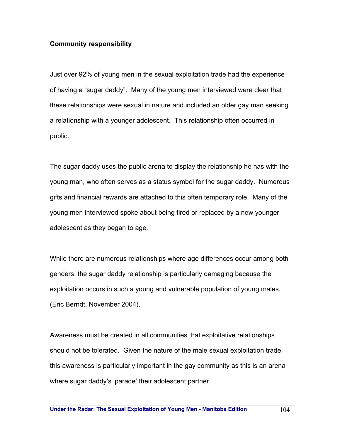## **Community responsibility**

Just over 92% of young men in the sexual exploitation trade had the experience of having a "sugar daddy". Many of the young men interviewed were clear that these relationships were sexual in nature and included an older gay man seeking a relationship with a younger adolescent. This relationship often occurred in public.

The sugar daddy uses the public arena to display the relationship he has with the young man, who often serves as a status symbol for the sugar daddy. Numerous gifts and financial rewards are attached to this often temporary role. Many of the young men interviewed spoke about being fired or replaced by a new younger adolescent as they began to age.

While there are numerous relationships where age differences occur among both genders, the sugar daddy relationship is particularly damaging because the exploitation occurs in such a young and vulnerable population of young males. (Eric Berndt, November 2004).

Awareness must be created in all communities that exploitative relationships should not be tolerated. Given the nature of the male sexual exploitation trade, this awareness is particularly important in the gay community as this is an arena where sugar daddy's 'parade' their adolescent partner.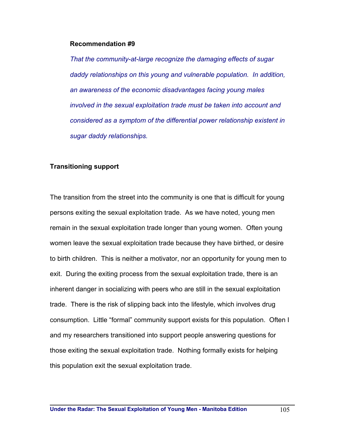#### **Recommendation #9**

*That the community-at-large recognize the damaging effects of sugar daddy relationships on this young and vulnerable population. In addition, an awareness of the economic disadvantages facing young males involved in the sexual exploitation trade must be taken into account and considered as a symptom of the differential power relationship existent in sugar daddy relationships.* 

#### **Transitioning support**

The transition from the street into the community is one that is difficult for young persons exiting the sexual exploitation trade. As we have noted, young men remain in the sexual exploitation trade longer than young women. Often young women leave the sexual exploitation trade because they have birthed, or desire to birth children. This is neither a motivator, nor an opportunity for young men to exit. During the exiting process from the sexual exploitation trade, there is an inherent danger in socializing with peers who are still in the sexual exploitation trade. There is the risk of slipping back into the lifestyle, which involves drug consumption. Little "formal" community support exists for this population. Often I and my researchers transitioned into support people answering questions for those exiting the sexual exploitation trade. Nothing formally exists for helping this population exit the sexual exploitation trade.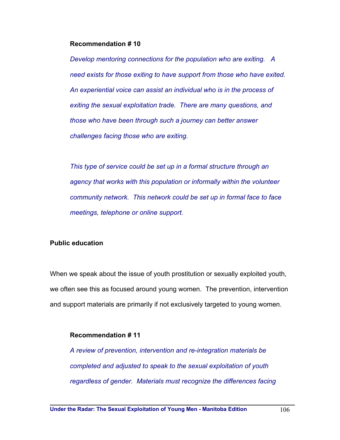#### **Recommendation # 10**

*Develop mentoring connections for the population who are exiting. A need exists for those exiting to have support from those who have exited. An experiential voice can assist an individual who is in the process of exiting the sexual exploitation trade. There are many questions, and those who have been through such a journey can better answer challenges facing those who are exiting.* 

*This type of service could be set up in a formal structure through an agency that works with this population or informally within the volunteer community network. This network could be set up in formal face to face meetings, telephone or online support.* 

## **Public education**

When we speak about the issue of youth prostitution or sexually exploited youth, we often see this as focused around young women. The prevention, intervention and support materials are primarily if not exclusively targeted to young women.

## **Recommendation # 11**

*A review of prevention, intervention and re-integration materials be completed and adjusted to speak to the sexual exploitation of youth regardless of gender. Materials must recognize the differences facing*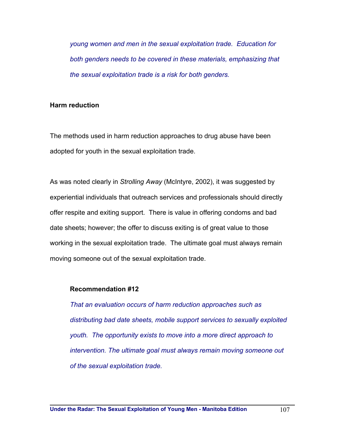*young women and men in the sexual exploitation trade. Education for both genders needs to be covered in these materials, emphasizing that the sexual exploitation trade is a risk for both genders.* 

## **Harm reduction**

The methods used in harm reduction approaches to drug abuse have been adopted for youth in the sexual exploitation trade.

As was noted clearly in *Strolling Away* (McIntyre, 2002), it was suggested by experiential individuals that outreach services and professionals should directly offer respite and exiting support. There is value in offering condoms and bad date sheets; however; the offer to discuss exiting is of great value to those working in the sexual exploitation trade. The ultimate goal must always remain moving someone out of the sexual exploitation trade.

## **Recommendation #12**

*That an evaluation occurs of harm reduction approaches such as distributing bad date sheets, mobile support services to sexually exploited youth. The opportunity exists to move into a more direct approach to intervention. The ultimate goal must always remain moving someone out of the sexual exploitation trade.*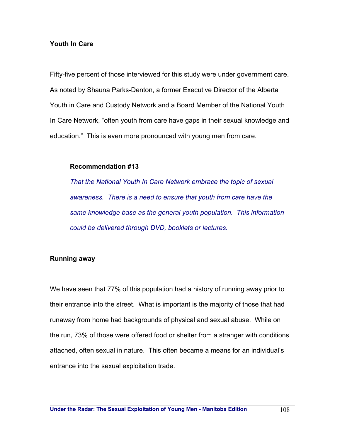## **Youth In Care**

Fifty-five percent of those interviewed for this study were under government care. As noted by Shauna Parks-Denton, a former Executive Director of the Alberta Youth in Care and Custody Network and a Board Member of the National Youth In Care Network, "often youth from care have gaps in their sexual knowledge and education." This is even more pronounced with young men from care.

## **Recommendation #13**

*That the National Youth In Care Network embrace the topic of sexual awareness. There is a need to ensure that youth from care have the same knowledge base as the general youth population. This information could be delivered through DVD, booklets or lectures.* 

## **Running away**

We have seen that 77% of this population had a history of running away prior to their entrance into the street. What is important is the majority of those that had runaway from home had backgrounds of physical and sexual abuse. While on the run, 73% of those were offered food or shelter from a stranger with conditions attached, often sexual in nature. This often became a means for an individual's entrance into the sexual exploitation trade.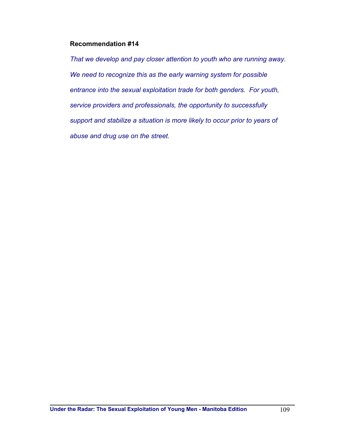#### **Recommendation #14**

*That we develop and pay closer attention to youth who are running away. We need to recognize this as the early warning system for possible entrance into the sexual exploitation trade for both genders. For youth, service providers and professionals, the opportunity to successfully support and stabilize a situation is more likely to occur prior to years of abuse and drug use on the street.*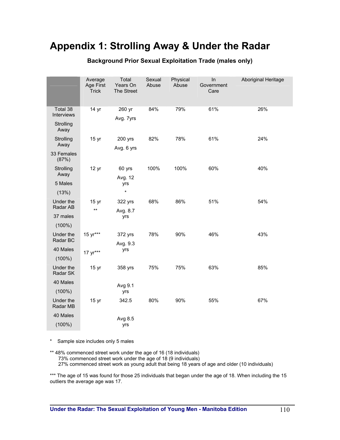# **Appendix 1: Strolling Away & Under the Radar**

|                                   | Average<br>Age First<br><b>Trick</b> | Total<br>Years On<br>The Street | Sexual<br>Abuse | Physical<br>Abuse | In<br>Government<br>Care | Aboriginal Heritage |
|-----------------------------------|--------------------------------------|---------------------------------|-----------------|-------------------|--------------------------|---------------------|
| Total 38<br>Interviews            | 14 yr                                | 260 yr                          | 84%             | 79%               | 61%                      | 26%                 |
|                                   |                                      | Avg. 7yrs                       |                 |                   |                          |                     |
| Strolling<br>Away                 |                                      |                                 |                 |                   |                          |                     |
| Strolling<br>Away                 | 15 yr                                | 200 yrs                         | 82%             | 78%               | 61%                      | 24%                 |
|                                   |                                      | Avg. 6 yrs                      |                 |                   |                          |                     |
| 33 Females<br>(87%)               |                                      |                                 |                 |                   |                          |                     |
| Strolling<br>Away                 | 12 <sub>yr</sub>                     | 60 yrs                          | 100%            | 100%              | 60%                      | 40%                 |
|                                   |                                      | Avg. 12                         |                 |                   |                          |                     |
| 5 Males                           |                                      | yrs                             |                 |                   |                          |                     |
| (13%)                             |                                      | $\star$                         |                 |                   |                          |                     |
| Under the<br>Radar AB             | 15 <sub>yr</sub>                     | 322 yrs                         | 68%             | 86%               | 51%                      | 54%                 |
|                                   | $\star\star$                         | Avg. 8.7                        |                 |                   |                          |                     |
| 37 males                          |                                      | yrs                             |                 |                   |                          |                     |
| $(100\%)$                         |                                      |                                 |                 |                   |                          |                     |
| Under the<br>Radar BC<br>40 Males | 15 yr***                             | 372 yrs                         | 78%             | 90%               | 46%                      | 43%                 |
|                                   |                                      | Avg. 9.3                        |                 |                   |                          |                     |
|                                   | 17 yr***                             | yrs                             |                 |                   |                          |                     |
| $(100\%)$                         |                                      |                                 |                 |                   |                          |                     |
| Under the<br>Radar SK             | 15 <sub>yr</sub>                     | 358 yrs                         | 75%             | 75%               | 63%                      | 85%                 |
| 40 Males                          |                                      | Avg 9.1                         |                 |                   |                          |                     |
| $(100\%)$                         |                                      | yrs                             |                 |                   |                          |                     |
| Under the<br>Radar MB             | 15 <sub>yr</sub>                     | 342.5                           | 80%             | 90%               | 55%                      | 67%                 |
| 40 Males                          |                                      | Avg 8.5                         |                 |                   |                          |                     |
| $(100\%)$                         |                                      | yrs                             |                 |                   |                          |                     |
|                                   |                                      |                                 |                 |                   |                          |                     |

#### **Background Prior Sexual Exploitation Trade (males only)**

\* Sample size includes only 5 males

\*\* 48% commenced street work under the age of 16 (18 individuals) 73% commenced street work under the age of 18 (9 individuals) 27% commenced street work as young adult that being 18 years of age and older (10 individuals)

\*\*\* The age of 15 was found for those 25 individuals that began under the age of 18. When including the 15 outliers the average age was 17.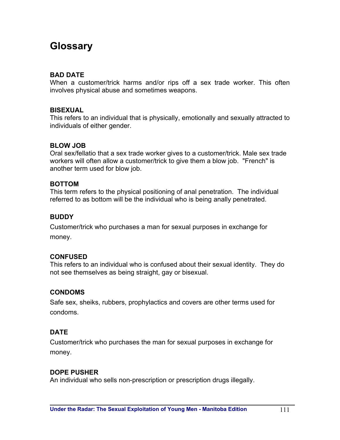# **Glossary**

# **BAD DATE**

When a customer/trick harms and/or rips off a sex trade worker. This often involves physical abuse and sometimes weapons.

#### **BISEXUAL**

This refers to an individual that is physically, emotionally and sexually attracted to individuals of either gender.

#### **BLOW JOB**

Oral sex/fellatio that a sex trade worker gives to a customer/trick. Male sex trade workers will often allow a customer/trick to give them a blow job. "French" is another term used for blow job.

#### **BOTTOM**

This term refers to the physical positioning of anal penetration. The individual referred to as bottom will be the individual who is being anally penetrated.

# **BUDDY**

Customer/trick who purchases a man for sexual purposes in exchange for money.

#### **CONFUSED**

This refers to an individual who is confused about their sexual identity. They do not see themselves as being straight, gay or bisexual.

#### **CONDOMS**

Safe sex, sheiks, rubbers, prophylactics and covers are other terms used for condoms.

#### **DATE**

Customer/trick who purchases the man for sexual purposes in exchange for money.

#### **DOPE PUSHER**

An individual who sells non-prescription or prescription drugs illegally.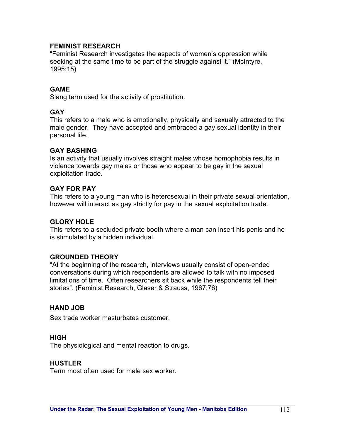# **FEMINIST RESEARCH**

"Feminist Research investigates the aspects of women's oppression while seeking at the same time to be part of the struggle against it." (McIntyre, 1995:15)

# **GAME**

Slang term used for the activity of prostitution.

#### **GAY**

This refers to a male who is emotionally, physically and sexually attracted to the male gender. They have accepted and embraced a gay sexual identity in their personal life.

#### **GAY BASHING**

Is an activity that usually involves straight males whose homophobia results in violence towards gay males or those who appear to be gay in the sexual exploitation trade.

# **GAY FOR PAY**

This refers to a young man who is heterosexual in their private sexual orientation, however will interact as gay strictly for pay in the sexual exploitation trade.

#### **GLORY HOLE**

This refers to a secluded private booth where a man can insert his penis and he is stimulated by a hidden individual.

#### **GROUNDED THEORY**

"At the beginning of the research, interviews usually consist of open-ended conversations during which respondents are allowed to talk with no imposed limitations of time. Often researchers sit back while the respondents tell their stories". (Feminist Research, Glaser & Strauss, 1967:76)

#### **HAND JOB**

Sex trade worker masturbates customer.

#### **HIGH**

The physiological and mental reaction to drugs.

#### **HUSTLER**

Term most often used for male sex worker.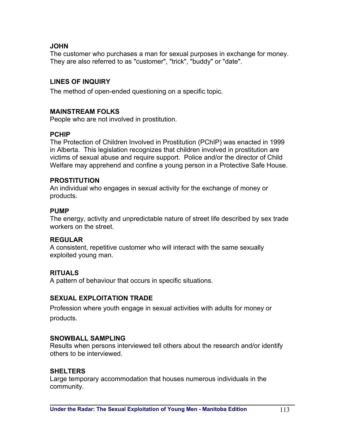# **JOHN**

The customer who purchases a man for sexual purposes in exchange for money. They are also referred to as "customer", "trick", "buddy" or "date".

# **LINES OF INQUIRY**

The method of open-ended questioning on a specific topic.

#### **MAINSTREAM FOLKS**

People who are not involved in prostitution.

# **PCHIP**

The Protection of Children Involved in Prostitution (PChIP) was enacted in 1999 in Alberta. This legislation recognizes that children involved in prostitution are victims of sexual abuse and require support. Police and/or the director of Child Welfare may apprehend and confine a young person in a Protective Safe House.

#### **PROSTITUTION**

An individual who engages in sexual activity for the exchange of money or products.

#### **PUMP**

The energy, activity and unpredictable nature of street life described by sex trade workers on the street.

#### **REGULAR**

A consistent, repetitive customer who will interact with the same sexually exploited young man.

# **RITUALS**

A pattern of behaviour that occurs in specific situations.

#### **SEXUAL EXPLOITATION TRADE**

Profession where youth engage in sexual activities with adults for money or products.

#### **SNOWBALL SAMPLING**

Results when persons interviewed tell others about the research and/or identify others to be interviewed.

#### **SHELTERS**

Large temporary accommodation that houses numerous individuals in the community.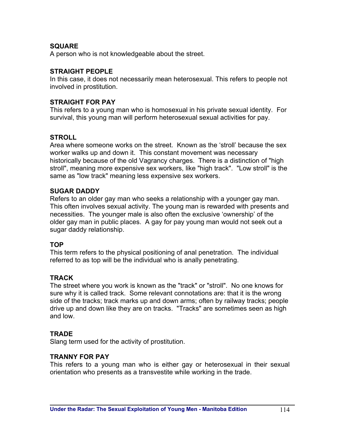# **SQUARE**

A person who is not knowledgeable about the street.

# **STRAIGHT PEOPLE**

In this case, it does not necessarily mean heterosexual. This refers to people not involved in prostitution.

# **STRAIGHT FOR PAY**

This refers to a young man who is homosexual in his private sexual identity. For survival, this young man will perform heterosexual sexual activities for pay.

# **STROLL**

Area where someone works on the street. Known as the 'stroll' because the sex worker walks up and down it. This constant movement was necessary historically because of the old Vagrancy charges. There is a distinction of "high stroll", meaning more expensive sex workers, like "high track". "Low stroll" is the same as "low track" meaning less expensive sex workers.

# **SUGAR DADDY**

Refers to an older gay man who seeks a relationship with a younger gay man. This often involves sexual activity. The young man is rewarded with presents and necessities. The younger male is also often the exclusive 'ownership' of the older gay man in public places. A gay for pay young man would not seek out a sugar daddy relationship.

#### **TOP**

This term refers to the physical positioning of anal penetration. The individual referred to as top will be the individual who is anally penetrating.

# **TRACK**

The street where you work is known as the "track" or "stroll". No one knows for sure why it is called track. Some relevant connotations are: that it is the wrong side of the tracks; track marks up and down arms; often by railway tracks; people drive up and down like they are on tracks. "Tracks" are sometimes seen as high and low.

#### **TRADE**

Slang term used for the activity of prostitution.

# **TRANNY FOR PAY**

This refers to a young man who is either gay or heterosexual in their sexual orientation who presents as a transvestite while working in the trade.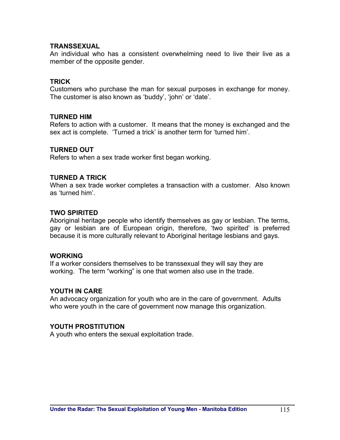#### **TRANSSEXUAL**

An individual who has a consistent overwhelming need to live their live as a member of the opposite gender.

#### **TRICK**

Customers who purchase the man for sexual purposes in exchange for money. The customer is also known as 'buddy', 'john' or 'date'.

#### **TURNED HIM**

Refers to action with a customer. It means that the money is exchanged and the sex act is complete. 'Turned a trick' is another term for 'turned him'.

# **TURNED OUT**

Refers to when a sex trade worker first began working.

#### **TURNED A TRICK**

When a sex trade worker completes a transaction with a customer. Also known as 'turned him'.

#### **TWO SPIRITED**

Aboriginal heritage people who identify themselves as gay or lesbian. The terms, gay or lesbian are of European origin, therefore, 'two spirited' is preferred because it is more culturally relevant to Aboriginal heritage lesbians and gays.

#### **WORKING**

If a worker considers themselves to be transsexual they will say they are working. The term "working" is one that women also use in the trade.

#### **YOUTH IN CARE**

An advocacy organization for youth who are in the care of government. Adults who were youth in the care of government now manage this organization.

#### **YOUTH PROSTITUTION**

A youth who enters the sexual exploitation trade.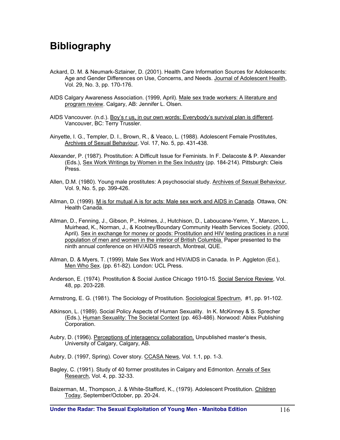# **Bibliography**

- Ackard, D. M. & Neumark-Sztainer, D. (2001). Health Care Information Sources for Adolescents: Age and Gender Differences on Use, Concerns, and Needs. Journal of Adolescent Health, Vol. 29, No. 3, pp. 170-176.
- AIDS Calgary Awareness Association. (1999, April). Male sex trade workers: A literature and program review. Calgary, AB: Jennifer L. Olsen.
- AIDS Vancouver. (n.d.). Boy's r us, in our own words: Everybody's survival plan is different. Vancouver, BC: Terry Trussler.
- Ainyette, I. G., Templer, D. I., Brown, R., & Veaco, L. (1988). Adolescent Female Prostitutes, Archives of Sexual Behaviour, Vol. 17, No. 5, pp. 431-438.
- Alexander, P. (1987). Prostitution: A Difficult Issue for Feminists. In F. Delacoste & P. Alexander (Eds.), Sex Work Writings by Women in the Sex Industry (pp. 184-214). Pittsburgh: Cleis Press.
- Allen, D.M. (1980). Young male prostitutes: A psychosocial study. Archives of Sexual Behaviour, Vol. 9, No. 5, pp. 399-426.
- Allman, D. (1999). M is for mutual A is for acts: Male sex work and AIDS in Canada. Ottawa, ON: Health Canada.
- Allman, D., Fenning, J., Gibson, P., Holmes, J., Hutchison, D., Laboucane-Yemn, Y., Manzon, L., Muirhead, K., Norman, J., & Kootney/Boundary Community Health Services Society. (2000, April). Sex in exchange for money or goods: Prostitution and HIV testing practices in a rural population of men and women in the interior of British Columbia. Paper presented to the ninth annual conference on HIV/AIDS research, Montreal, QUE.
- Allman, D. & Myers, T. (1999). Male Sex Work and HIV/AIDS in Canada. In P. Aggleton (Ed.), Men Who Sex. (pp. 61-82). London: UCL Press.
- Anderson, E. (1974). Prostitution & Social Justice Chicago 1910-15. Social Service Review, Vol. 48, pp. 203-228.
- Armstrong, E. G. (1981). The Sociology of Prostitution. Sociological Spectrum, #1, pp. 91-102.
- Atkinson, L. (1989). Social Policy Aspects of Human Sexuality. In K. McKinney & S. Sprecher (Eds.), Human Sexuality: The Societal Context (pp. 463-486). Norwood: Ablex Publishing Corporation.
- Aubry, D. (1996). Perceptions of interagency collaboration. Unpublished master's thesis, University of Calgary, Calgary, AB.
- Aubry, D. (1997, Spring). Cover story. CCASA News, Vol. 1.1, pp. 1-3.
- Bagley, C. (1991). Study of 40 former prostitutes in Calgary and Edmonton. Annals of Sex Research, Vol. 4, pp. 32-33.
- Baizerman, M., Thompson, J. & White-Stafford, K., (1979). Adolescent Prostitution. Children Today, September/October, pp. 20-24.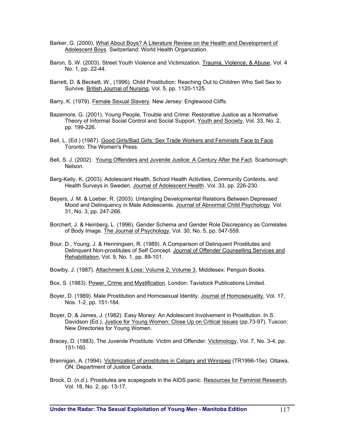- Barker, G. (2000). What About Boys? A Literature Review on the Health and Development of Adolescent Boys. Switzerland: World Health Organization.
- Baron, S. W. (2003). Street Youth Violence and Victimization. Trauma, Violence, & Abuse, Vol. 4 No. 1, pp. 22-44.
- Barrett, D. & Beckett, W., (1996). Child Prostitution: Reaching Out to Children Who Sell Sex to Survive. British Journal of Nursing, Vol. 5, pp. 1120-1125.

Barry, K. (1979). Female Sexual Slavery. New Jersey: Englewood Cliffs.

- Bazemore, G. (2001). Young People, Trouble and Crime: Restorative Justice as a Normative Theory of Informal Social Control and Social Support. Youth and Society, Vol. 33, No. 2, pp. 199-226.
- Bell, L. (Ed.) (1987). Good Girls/Bad Girls: Sex Trade Workers and Feminists Face to Face. Toronto: The Women's Press.
- Bell, S. J. (2002). Young Offenders and Juvenile Justice: A Century After the Fact. Scarborough: Nelson.
- Berg-Kelly, K. (2003). Adolescent Health, School Health Activities, Community Contexts, and Health Surveys in Sweden. Journal of Adolescent Health. Vol. 33, pp. 226-230.
- Beyers, J. M. & Loeber, R. (2003). Untangling Developmental Relations Between Depressed Mood and Delinquency in Male Adolescents. Journal of Abnormal Child Psychology. Vol. 31, No. 3, pp. 247-266.
- Borchert, J. & Heinberg, L. (1996). Gender Schema and Gender Role Discrepancy as Correlates of Body Image. The Journal of Psychology. Vol. 30, No. 5, pp. 547-559.
- Bour, D., Young, J. & Henningsen, R. (1989). A Comparison of Delinquent Prostitutes and Delinquent Non-prostitutes of Self Concept. Journal of Offender Counselling Services and Rehabilitation, Vol. 9, No. 1, pp. 89-101.

Bowlby, J. (1987). Attachment & Loss: Volume 2, Volume 3, Middlesex: Penguin Books.

- Box, S. (1983). Power, Crime and Mystification. London: Tavistock Publications Limited.
- Boyer, D. (1989). Male Prostitution and Homosexual Identity. Journal of Homosexuality, Vol. 17, Nos. 1-2, pp. 151-184.
- Boyer, D. & James, J. (1982). Easy Money: An Adolescent Involvement in Prostitution. In S. Davidson (Ed.), Justice for Young Women: Close Up on Critical Issues (pp.73-97). Tuscon: New Directories for Young Women.
- Bracey, D. (1983). The Juvenile Prostitute: Victim and Offender. Victimology, Vol. 7, No. 3-4, pp. 151-160.
- Brannigan, A. (1994). Victimization of prostitutes in Calgary and Winnipeg (TR1996-15e). Ottawa, ON: Department of Justice Canada.
- Brock, D. (n.d.). Prostitutes are scapegoats in the AIDS panic. Resources for Feminist Research, Vol. 18, No. 2, pp. 13-17.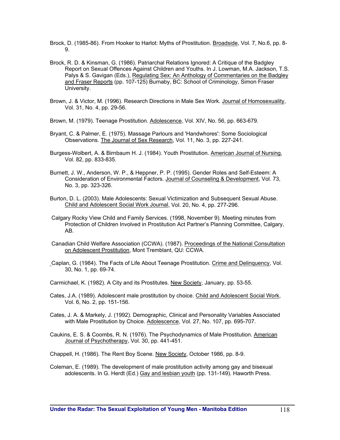Brock, D. (1985-86). From Hooker to Harlot: Myths of Prostitution. Broadside, Vol. 7, No.6, pp. 8-9.

- Brock, R. D. & Kinsman, G. (1986). Patriarchal Relations Ignored: A Critique of the Badgley Report on Sexual Offences Against Children and Youths. In J. Lowman, M.A. Jackson, T.S. Palys & S. Gavigan (Eds.), Regulating Sex: An Anthology of Commentaries on the Badgley and Fraser Reports (pp. 107-125) Burnaby, BC: School of Criminology, Simon Fraser University.
- Brown, J. & Victor, M. (1996). Research Directions in Male Sex Work. Journal of Homosexuality, Vol. 31, No. 4, pp. 29-56.
- Brown, M. (1979). Teenage Prostitution. Adolescence, Vol. XIV, No. 56, pp. 663-679.
- Bryant, C. & Palmer, E. (1975). Massage Parlours and 'Handwhores': Some Sociological Observations. The Journal of Sex Research, Vol. 11, No. 3, pp. 227-241.
- Burgess-Wolbert, A. & Birnbaum H. J. (1984). Youth Prostitution. American Journal of Nursing, Vol. 82, pp. 833-835.
- Burnett, J. W., Anderson, W. P., & Heppner, P. P. (1995). Gender Roles and Self-Esteem: A Consideration of Environmental Factors. Journal of Counseling & Development, Vol. 73, No. 3, pp. 323-326.
- Burton, D. L. (2003). Male Adolescents: Sexual Victimization and Subsequent Sexual Abuse. Child and Adolescent Social Work Journal, Vol. 20, No. 4, pp. 277-296.
- Calgary Rocky View Child and Family Services. (1998, November 9). Meeting minutes from Protection of Children Involved in Prostitution Act Partner's Planning Committee, Calgary, AB.
- Canadian Child Welfare Association (CCWA). (1987). Proceedings of the National Consultation on Adolescent Prostitution, Mont Tremblant, QU: CCWA.
- Caplan, G. (1984). The Facts of Life About Teenage Prostitution. Crime and Delinquency, Vol. 30, No. 1, pp. 69-74.
- Carmichael, K. (1982). A City and its Prostitutes. New Society, January, pp. 53-55.
- Cates, J.A. (1989). Adolescent male prostitution by choice. Child and Adolescent Social Work, Vol. 6, No. 2, pp. 151-156.
- Cates, J. A. & Markely, J. (1992). Demographic, Clinical and Personality Variables Associated with Male Prostitution by Choice. Adolescence, Vol. 27, No. 107, pp. 695-707.
- Caukins, E. S. & Coombs, R. N. (1976). The Psychodynamics of Male Prostitution. American Journal of Psychotherapy, Vol. 30, pp. 441-451.
- Chappell, H. (1986). The Rent Boy Scene. New Society, October 1986, pp. 8-9.
- Coleman, E. (1989). The development of male prostitution activity among gay and bisexual adolescents. In G. Herdt (Ed.) Gay and lesbian youth (pp. 131-149). Haworth Press.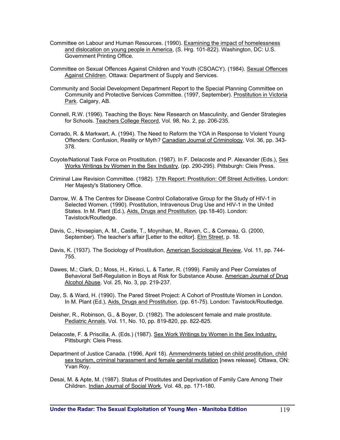- Committee on Labour and Human Resources. (1990). Examining the impact of homelessness and dislocation on young people in America, (S. Hrg. 101-822). Washington, DC: U.S. Government Printing Office.
- Committee on Sexual Offences Against Children and Youth (CSOACY). (1984). Sexual Offences Against Children. Ottawa: Department of Supply and Services.
- Community and Social Development Department Report to the Special Planning Committee on Community and Protective Services Committee. (1997, September). Prostitution in Victoria Park. Calgary, AB.
- Connell, R.W. (1996). Teaching the Boys: New Research on Masculinity, and Gender Strategies for Schools. Teachers College Record, Vol. 98, No. 2, pp. 206-235.
- Corrado, R. & Markwart, A. (1994). The Need to Reform the YOA in Response to Violent Young Offenders: Confusion, Reality or Myth? Canadian Journal of Criminology, Vol. 36, pp. 343- 378.
- Coyote/National Task Force on Prostitution. (1987). In F. Delacoste and P. Alexander (Eds.), Sex Works Writings by Women in the Sex Industry, (pp. 290-295). Pittsburgh: Cleis Press.
- Criminal Law Revision Committee. (1982). 17th Report: Prostitution: Off Street Activities, London: Her Majesty's Stationery Office.
- Darrow, W. & The Centres for Disease Control Collaborative Group for the Study of HIV-1 in Selected Women. (1990). Prostitution, Intravenous Drug Use and HIV-1 in the United States. In M. Plant (Ed.), Aids, Drugs and Prostitution, (pp.18-40). London: Tavistock/Routledge.
- Davis, C., Hovsepian, A. M., Castle, T., Moynihan, M., Raven, C., & Comeau, G. (2000, September). The teacher's affair [Letter to the editor]. Elm Street, p. 18.
- Davis, K. (1937). The Sociology of Prostitution, American Sociological Review, Vol. 11, pp. 744-755.
- Dawes, M.; Clark, D.; Moss, H., Kirisci, L. & Tarter, R. (1999). Family and Peer Correlates of Behavioral Self-Regulation in Boys at Risk for Substance Abuse. American Journal of Drug Alcohol Abuse. Vol. 25, No. 3, pp. 219-237.
- Day, S. & Ward, H. (1990). The Pared Street Project: A Cohort of Prostitute Women in London. In M. Plant (Ed.), Aids, Drugs and Prostitution, (pp. 61-75). London: Tavistock/Routledge.
- Deisher, R., Robinson, G., & Boyer, D. (1982). The adolescent female and male prostitute. Pediatric Annals, Vol. 11, No. 10, pp. 819-820, pp. 822-825.
- Delacoste, F. & Priscilla, A. (Eds.) (1987). Sex Work Writings by Women in the Sex Industry, Pittsburgh: Cleis Press.
- Department of Justice Canada. (1996, April 18). Ammendments tabled on child prostitution, child sex tourism, criminal harassment and female genital mutilation [news release]. Ottawa, ON: Yvan Roy.
- Desai, M. & Apte, M. (1987). Status of Prostitutes and Deprivation of Family Care Among Their Children. Indian Journal of Social Work, Vol. 48, pp. 171-180.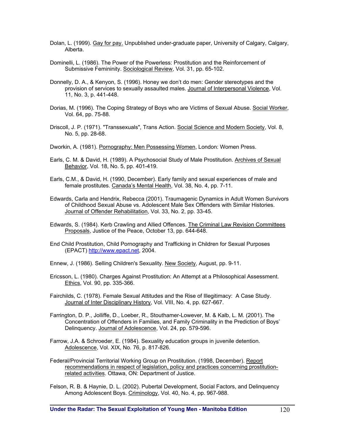- Dolan, L. (1999). Gay for pay. Unpublished under-graduate paper, University of Calgary, Calgary, Alberta.
- Dominelli, L. (1986). The Power of the Powerless: Prostitution and the Reinforcement of Submissive Femininity. Sociological Review, Vol. 31, pp. 65-102.
- Donnelly, D. A., & Kenyon, S. (1996). Honey we don't do men: Gender stereotypes and the provision of services to sexually assaulted males. Journal of Interpersonal Violence, Vol. 11, No. 3, p. 441-448.
- Dorias, M. (1996). The Coping Strategy of Boys who are Victims of Sexual Abuse. Social Worker, Vol. 64, pp. 75-88.
- Driscoll, J. P. (1971). "Transsexuals", Trans Action. Social Science and Modern Society, Vol. 8, No. 5, pp. 28-68.
- Dworkin, A. (1981). Pornography: Men Possessing Women, London: Women Press.
- Earls, C. M. & David, H. (1989). A Psychosocial Study of Male Prostitution. Archives of Sexual Behavior, Vol. 18, No. 5, pp. 401-419.
- Earls, C.M., & David, H. (1990, December). Early family and sexual experiences of male and female prostitutes. Canada's Mental Health, Vol. 38, No. 4, pp. 7-11.
- Edwards, Carla and Hendrix, Rebecca (2001). Traumagenic Dynamics in Adult Women Survivors of Childhood Sexual Abuse vs. Adolescent Male Sex Offenders with Similar Histories. Journal of Offender Rehabilitation, Vol. 33, No. 2, pp. 33-45.
- Edwards, S. (1984). Kerb Crawling and Allied Offences. The Criminal Law Revision Committees Proposals, Justice of the Peace, October 13, pp. 644-648.
- End Child Prostitution, Child Pornography and Trafficking in Children for Sexual Purposes (EPACT) http://www.epact.net, 2004.
- Ennew, J. (1986). Selling Children's Sexuality. New Society, August, pp. 9-11.
- Ericsson, L. (1980). Charges Against Prostitution: An Attempt at a Philosophical Assessment. Ethics, Vol. 90, pp. 335-366.
- Fairchilds, C. (1978). Female Sexual Attitudes and the Rise of Illegitimacy: A Case Study. Journal of Inter Disciplinary History, Vol. VIII, No. 4, pp. 627-667.
- Farrington, D. P., Jolliffe, D., Loeber, R., Stouthamer-Lowever, M. & Kalb, L. M. (2001). The Concentration of Offenders in Families, and Family Criminality in the Prediction of Boys' Delinquency. Journal of Adolescence, Vol. 24, pp. 579-596.
- Farrow, J.A. & Schroeder, E. (1984). Sexuality education groups in juvenile detention. Adolescence, Vol. XIX, No. 76, p. 817-826.
- Federal/Provincial Territorial Working Group on Prostitution. (1998, December). Report recommendations in respect of legislation, policy and practices concerning prostitutionrelated activities. Ottawa, ON: Department of Justice.
- Felson, R. B. & Haynie, D. L. (2002). Pubertal Development, Social Factors, and Delinquency Among Adolescent Boys. Criminology, Vol. 40, No. 4, pp. 967-988.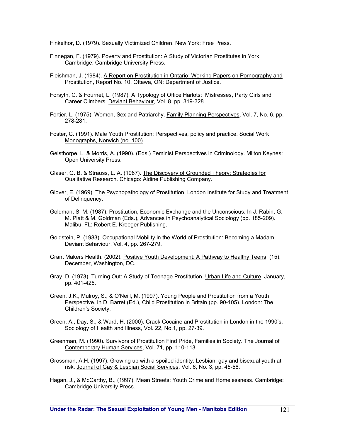Finkelhor, D. (1979). Sexually Victimized Children. New York: Free Press.

- Finnegan, F. (1979). Poverty and Prostitution: A Study of Victorian Prostitutes in York. Cambridge: Cambridge University Press.
- Fleishman, J. (1984). A Report on Prostitution in Ontario: Working Papers on Pornography and Prostitution, Report No. 10. Ottawa, ON: Department of Justice.
- Forsyth, C. & Fournet, L. (1987). A Typology of Office Harlots: Mistresses, Party Girls and Career Climbers. Deviant Behaviour, Vol. 8, pp. 319-328.
- Fortier, L. (1975). Women, Sex and Patriarchy. Family Planning Perspectives, Vol. 7, No. 6, pp. 278-281.
- Foster, C. (1991). Male Youth Prostitution: Perspectives, policy and practice. Social Work Monographs, Norwich (no. 100).
- Gelsthorpe, L. & Morris, A. (1990). (Eds.) Feminist Perspectives in Criminology. Milton Keynes: Open University Press.
- Glaser, G. B. & Strauss, L. A. (1967). The Discovery of Grounded Theory: Strategies for Qualitative Research. Chicago: Aldine Publishing Company.
- Glover, E. (1969). The Psychopathology of Prostitution. London Institute for Study and Treatment of Delinquency.
- Goldman, S. M. (1987). Prostitution, Economic Exchange and the Unconscious. In J. Rabin, G. M. Platt & M. Goldman (Eds.), Advances in Psychoanalytical Sociology (pp. 185-209). Malibu, FL: Robert E. Kreeger Publishing.
- Goldstein, P. (1983). Occupational Mobility in the World of Prostitution: Becoming a Madam. Deviant Behaviour, Vol. 4, pp. 267-279.
- Grant Makers Health. (2002). Positive Youth Development: A Pathway to Healthy Teens. (15), December, Washington, DC.
- Gray, D. (1973). Turning Out: A Study of Teenage Prostitution. Urban Life and Culture, January, pp. 401-425.
- Green, J.K., Mulroy, S., & O'Neill, M. (1997). Young People and Prostitution from a Youth Perspective. In D. Barret (Ed.), Child Prostitution in Britain (pp. 90-105). London: The Children's Society.
- Green, A., Day, S., & Ward, H. (2000). Crack Cocaine and Prostitution in London in the 1990's. Sociology of Health and Illness, Vol. 22, No.1, pp. 27-39.
- Greenman, M. (1990). Survivors of Prostitution Find Pride, Families in Society. The Journal of Contemporary Human Services, Vol. 71, pp. 110-113.
- Grossman, A.H. (1997). Growing up with a spoiled identity: Lesbian, gay and bisexual youth at risk. Journal of Gay & Lesbian Social Services, Vol. 6, No. 3, pp. 45-56.
- Hagan, J., & McCarthy, B., (1997). Mean Streets: Youth Crime and Homelessness. Cambridge: Cambridge University Press.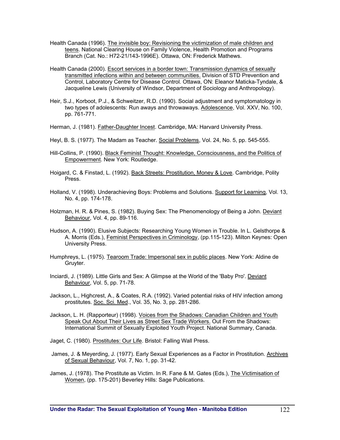- Health Canada (1996). The invisible boy: Revisioning the victimization of male children and teens. National Clearing House on Family Violence, Health Promotion and Programs Branch (Cat. No.: H72-21/143-1996E). Ottawa, ON: Frederick Mathews.
- Health Canada (2000). Escort services in a border town: Transmission dynamics of sexually transmitted infections within and between communities. Division of STD Prevention and Control, Laboratory Centre for Disease Control. Ottawa, ON: Eleanor Maticka-Tyndale, & Jacqueline Lewis (University of Windsor, Department of Sociology and Anthropology).
- Heir, S.J., Korboot, P.J., & Schweitzer, R.D. (1990). Social adjustment and symptomatology in two types of adolescents: Run aways and throwaways. Adolescence, Vol. XXV, No. 100, pp. 761-771.
- Herman, J. (1981). Father-Daughter Incest. Cambridge, MA: Harvard University Press.
- Heyl, B. S. (1977). The Madam as Teacher. Social Problems, Vol. 24, No. 5, pp. 545-555.
- Hill-Collins, P. (1990). Black Feminist Thought: Knowledge, Consciousness, and the Politics of Empowerment. New York: Routledge.
- Hoigard, C. & Finstad, L. (1992). Back Streets: Prostitution, Money & Love. Cambridge, Polity Press.
- Holland, V. (1998). Underachieving Boys: Problems and Solutions. Support for Learning, Vol. 13, No. 4, pp. 174-178.
- Holzman, H. R. & Pines, S. (1982). Buying Sex: The Phenomenology of Being a John. Deviant Behaviour, Vol. 4, pp. 89-116.
- Hudson, A. (1990). Elusive Subjects: Researching Young Women in Trouble. In L. Gelsthorpe & A. Morris (Eds.), Feminist Perspectives in Criminology, (pp.115-123). Milton Keynes: Open University Press.
- Humphreys, L. (1975). Tearoom Trade: Impersonal sex in public places. New York: Aldine de Gruyter.
- Inciardi, J. (1989). Little Girls and Sex: A Glimpse at the World of the 'Baby Pro'. Deviant Behaviour, Vol. 5, pp. 71-78.
- Jackson, L., Highcrest, A., & Coates, R.A. (1992). Varied potential risks of HIV infection among prostitutes. Soc. Sci. Med., Vol. 35, No. 3, pp. 281-286.
- Jackson, L. H. (Rapporteur) (1998). Voices from the Shadows: Canadian Children and Youth Speak Out About Their Lives as Street Sex Trade Workers. Out From the Shadows: International Summit of Sexually Exploited Youth Project. National Summary, Canada.

Jaget, C. (1980). Prostitutes: Our Life. Bristol: Falling Wall Press.

James, J. & Meyerding, J. (1977). Early Sexual Experiences as a Factor in Prostitution. Archives of Sexual Behaviour, Vol. 7, No. 1, pp. 31-42.

James, J. (1978). The Prostitute as Victim. In R. Fane & M. Gates (Eds.), The Victimisation of Women, (pp. 175-201) Beverley Hills: Sage Publications.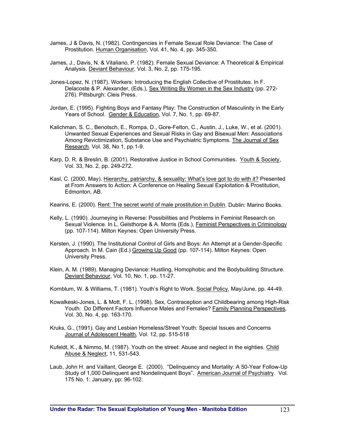- James, J & Davis, N. (1982). Contingencies in Female Sexual Role Deviance: The Case of Prostitution. Human Organisation, Vol. 41, No. 4, pp. 345-350.
- James, J., Davis, N. & Vitaliano, P. (1982). Female Sexual Deviance: A Theoretical & Empirical Analysis. Deviant Behaviour, Vol. 3, No. 2, pp. 175-195.
- Jones-Lopez, N. (1987). Workers: Introducing the English Collective of Prostitutes. In F. Delacoste & P. Alexander, (Eds.), Sex Writing By Women in the Sex Industry (pp. 272- 276). Pittsburgh: Cleis Press.
- Jordan, E. (1995). Fighting Boys and Fantasy Play: The Construction of Masculinity in the Early Years of School. Gender & Education, Vol. 7, No. 1, pp. 69-87.
- Kalichman, S. C., Benotsch, E., Rompa, D., Gore-Felton, C., Austin, J., Luke, W., et al. (2001). Unwanted Sexual Experiences and Sexual Risks in Gay and Bisexual Men: Associations Among Revictimization, Substance Use and Psychiatric Symptoms. The Journal of Sex Research. Vol. 38, No 1, pp.1-9.
- Karp, D. R. & Breslin, B. (2001). Restorative Justice in School Communities. Youth & Society, Vol. 33, No. 2, pp. 249-272.
- Kasl, C. (2000, May). Hierarchy, patriarchy, & sexuality: What's love got to do with it? Presented at From Answers to Action: A Conference on Healing Sexual Exploitation & Prostitution, Edmonton, AB.
- Kearins, E. (2000). Rent: The secret world of male prostitution in Dublin. Dublin: Marino Books.
- Kelly, L. (1990). Journeying in Reverse: Possibilities and Problems in Feminist Research on Sexual Violence. In L. Gelsthorpe & A. Morris (Eds.), Feminist Perspectives in Criminology (pp. 107-114). Milton Keynes: Open University Press.
- Kersten, J. (1990). The Institutional Control of Girls and Boys: An Attempt at a Gender-Specific Approach. In M. Cain (Ed.) Growing Up Good (pp. 107-114). Milton Keynes: Open University Press.
- Klein, A. M. (1989). Managing Deviance: Hustling, Homophobic and the Bodybuilding Structure. Deviant Behaviour, Vol. 10, No. 1, pp. 11-27.

Kornblum, W. & Williams, T. (1981). Youth's Right to Work. Social Policy, May/June, pp. 44-49.

- Kowalkeski-Jones, L. & Mott, F. L. (1998). Sex, Contraception and Childbearing among High-Risk Youth: Do Different Factors Influence Males and Females? Family Planning Perspectives, Vol. 30, No. 4, pp. 163-170.
- Kruks, G., (1991). Gay and Lesbian Homeless/Street Youth: Special Issues and Concerns Journal of Adolescent Health*,* Vol. 12, pp. 515-518
- Kufeldt, K., & Nimmo, M. (1987). Youth on the street: Abuse and neglect in the eighties. Child Abuse & Neglect, 11, 531-543.
- Laub, John H. and Vaillant, George E. (2000). "Delinquency and Mortality: A 50-Year Follow-Up Study of 1,000 Delinquent and Nondelinquent Boys". American Journal of Psychiatry. Vol. 175 No. 1: January, pp: 96-102.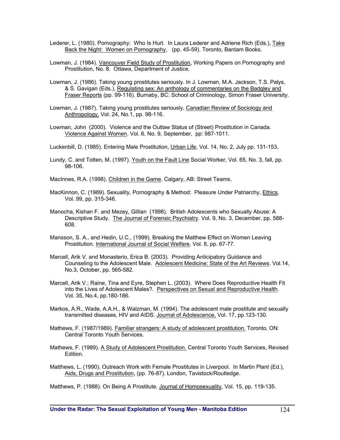- Lederer, L. (1980). Pornography: Who Is Hurt. In Laura Lederer and Adriene Rich (Eds.), Take Back the Night: Women on Pornography, (pp. 45-59). Toronto, Bantam Books.
- Lowman, J. (1984). Vancouver Field Study of Prostitution, Working Papers on Pornography and Prostitution, No. 8. Ottawa, Department of Justice.
- Lowman, J. (1986). Taking young prostitutes seriously. In J. Lowman, M.A. Jackson, T.S. Palys, & S. Gavigan (Eds.), Regulating sex: An anthology of commentaries on the Badgley and Fraser Reports (pp. 99-116). Burnaby, BC: School of Criminology, Simon Fraser University.
- Lowman, J. (1987). Taking young prostitutes seriously, Canadian Review of Sociology and Anthropology. Vol. 24, No.1, pp. 98-116.
- Lowman, John (2000). Violence and the Outlaw Status of (Street) Prostitution in Canada. Violence Against Women. Vol. 6, No. 9, September, pp: 987-1011.
- Luckenbill, D. (1985). Entering Male Prostitution, Urban Life, Vol. 14, No. 2, July pp. 131-153.
- Lundy, C. and Totten, M. (1997). Youth on the Fault Line Social Worker*,* Vol. 65, No. 3, fall, pp. 98-106.
- MacInnes, R.A. (1998). Children in the Game. Calgary, AB: Street Teams.
- MacKinnon, C. (1989). Sexuality, Pornography & Method: Pleasure Under Patriarchy, Ethics, Vol. 99, pp. 315-346.
- Manocha, Kishan F. and Mezey, Gillian (1998). British Adolescents who Sexually Abuse: A Descriptive Study. The Journal of Forensic Psychiatry. Vol. 9, No. 3, December, pp. 588- 608.
- Mansson, S. A., and Hedin, U.C., (1999). Breaking the Matthew Effect on Women Leaving Prostitution*.* International Journal of Social Welfare*,* Vol. 8, pp. 67-77.
- Marcell, Arik V. and Monasterio, Erica B. (2003). Providing Anticipatory Guidance and Counseling to the Adolescent Male. Adolescent Medicine: State of the Art Reviews. Vol.14, No.3, October, pp. 565-582.
- Marcell, Arik V.; Raine, Tina and Eyre, Stephen L. (2003). Where Does Reproductive Health Fit into the Lives of Adolescent Males?. Perspectives on Sexual and Reproductive Health. Vol. 35, No.4, pp.180-186.
- Markos, A.R., Wade, A.A.H., & Walzman, M. (1994). The adolescent male prostitute and sexually transmitted diseases, HIV and AIDS. Journal of Adolescence, Vol. 17, pp.123-130.
- Mathews, F. (1987/1989). Familiar strangers: A study of adolescent prostitution. Toronto, ON: Central Toronto Youth Services.
- Mathews, F. (1989). A Study of Adolescent Prostitution. Central Toronto Youth Services, Revised Edition.
- Matthews, L. (1990). Outreach Work with Female Prostitutes in Liverpool. In Martin Plant (Ed.), Aids, Drugs and Prostitution, (pp. 76-87). London, Tavistock/Routledge.
- Matthews, P. (1988). On Being A Prostitute. Journal of Homosexuality, Vol. 15, pp. 119-135.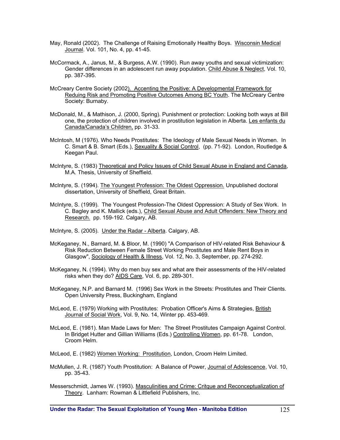- May, Ronald (2002). The Challenge of Raising Emotionally Healthy Boys. Wisconsin Medical Journal. Vol. 101, No. 4, pp. 41-45.
- McCormack, A., Janus, M., & Burgess, A.W. (1990). Run away youths and sexual victimization: Gender differences in an adolescent run away population. Child Abuse & Neglect, Vol. 10, pp. 387-395.
- McCreary Centre Society (2002). Accenting the Positive: A Developmental Framework for Reduing Risk and Promoting Positive Outcomes Among BC Youth. The McCreary Centre Society: Burnaby.
- McDonald, M., & Mathison, J. (2000, Spring). Punishment or protection: Looking both ways at Bill one, the protection of children involved in prostitution legislation in Alberta. Les enfants du Canada/Canada's Children, pp. 31-33.
- McIntosh, M (1976). Who Needs Prostitutes: The Ideology of Male Sexual Needs in Women. In C. Smart & B. Smart (Eds.), Sexuality & Social Control, (pp. 71-92). London, Routledge & Keegan Paul.
- McIntyre, S. (1983) Theoretical and Policy Issues of Child Sexual Abuse in England and Canada, M.A. Thesis, University of Sheffield.
- McIntyre, S. (1994). The Youngest Profession: The Oldest Oppression. Unpublished doctoral dissertation, University of Sheffield, Great Britain.
- McIntyre, S. (1999). The Youngest Profession-The Oldest Oppression: A Study of Sex Work. In C. Bagley and K. Mallick (eds.), Child Sexual Abuse and Adult Offenders: New Theory and Research. pp. 159-192. Calgary, AB.
- McIntyre, S. (2005). Under the Radar Alberta. Calgary, AB.
- McKeganey, N., Barnard, M. & Bloor, M. (1990) "A Comparison of HIV-related Risk Behaviour & Risk Reduction Between Female Street Working Prostitutes and Male Rent Boys in Glasgow", Sociology of Health & Illness, Vol. 12, No. 3, September, pp. 274-292.
- McKeganey, N. (1994). Why do men buy sex and what are their assessments of the HIV-related risks when they do? AIDS Care, Vol. 6, pp. 289-301.
- McKeganey, N.P. and Barnard M. (1996) Sex Work in the Streets: Prostitutes and Their Clients. Open University Press, Buckingham, England
- McLeod, E. (1979) Working with Prostitutes: Probation Officer's Aims & Strategies, British Journal of Social Work, Vol. 9, No. 14, Winter pp. 453-469.
- McLeod, E. (1981). Man Made Laws for Men: The Street Prostitutes Campaign Against Control. In Bridget Hutter and Gillian Williams (Eds.) Controlling Women, pp. 61-78. London, Croom Helm.

McLeod, E. (1982) Women Working: Prostitution, London, Croom Helm Limited.

- McMullen, J. R. (1987) Youth Prostitution: A Balance of Power, Journal of Adolescence, Vol. 10, pp. 35-43.
- Messerschmidt, James W. (1993). Masculinities and Crime: Critque and Reconceptualization of Theory. Lanham: Rowman & Littlefield Publishers, Inc.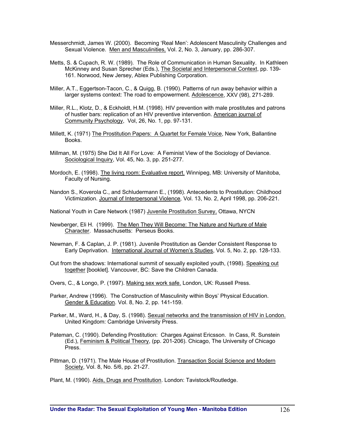- Messerchmidt, James W. (2000). Becoming 'Real Men': Adolescent Masculinity Challenges and Sexual Violence. Men and Masculinities, Vol. 2, No. 3, January, pp. 286-307.
- Metts, S. & Cupach, R. W. (1989). The Role of Communication in Human Sexuality. In Kathleen McKinney and Susan Sprecher (Eds.), The Societal and Interpersonal Context, pp. 139- 161. Norwood, New Jersey, Ablex Publishing Corporation.
- Miller, A.T., Eggertson-Tacon, C., & Quigg, B. (1990). Patterns of run away behavior within a larger systems context: The road to empowerment. Adolescence, XXV (98), 271-289.
- Miller, R.L., Klotz, D., & Eckholdt, H.M. (1998). HIV prevention with male prostitutes and patrons of hustler bars: replication of an HIV preventive intervention. American journal of Community Psychology, Vol, 26, No. 1, pp. 97-131.
- Millett, K. (1971) The Prostitution Papers: A Quartet for Female Voice, New York, Ballantine Books.
- Millman, M. (1975) She Did It All For Love: A Feminist View of the Sociology of Deviance. Sociological Inquiry, Vol. 45, No. 3, pp. 251-277.
- Mordoch, E. (1998). The living room: Evaluative report. Winnipeg, MB: University of Manitoba, Faculty of Nursing.
- Nandon S., Koverola C., and Schludermann E., (1998). Antecedents to Prostitution: Childhood Victimization. Journal of Interpersonal Violence*,* Vol. 13, No. 2, April 1998, pp. 206-221.

National Youth in Care Network (1987) Juvenile Prostitution Survey, Ottawa, NYCN

- Newberger, Eli H. (1999). The Men They Will Become: The Nature and Nurture of Male Character. Massachusetts: Perseus Books.
- Newman, F. & Caplan, J. P. (1981). Juvenile Prostitution as Gender Consistent Response to Early Deprivation. International Journal of Women's Studies, Vol. 5, No. 2, pp. 128-133.
- Out from the shadows: International summit of sexually exploited youth, (1998). Speaking out together [booklet]. Vancouver, BC: Save the Children Canada.
- Overs, C., & Longo, P. (1997). Making sex work safe. London, UK: Russell Press.
- Parker, Andrew (1996). The Construction of Masculinity within Boys' Physical Education. Gender & Education. Vol. 8, No. 2, pp. 141-159.
- Parker, M., Ward, H., & Day, S. (1998). Sexual networks and the transmission of HIV in London. United Kingdom: Cambridge University Press.
- Pateman, C. (1990). Defending Prostitution: Charges Against Ericsson. In Cass, R. Sunstein (Ed.), Feminism & Political Theory, (pp. 201-206). Chicago, The University of Chicago Press.
- Pittman, D. (1971). The Male House of Prostitution. Transaction Social Science and Modern Society, Vol. 8, No. 5/6, pp. 21-27.

Plant, M. (1990). Aids, Drugs and Prostitution. London: Tavistock/Routledge.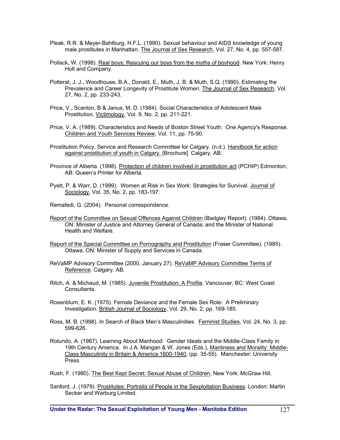- Pleak, R.R. & Meyer-Bahlburg, H.F.L. (1990). Sexual behaviour and AIDS knowledge of young male prostitutes in Manhattan. The Journal of Sex Research, Vol. 27, No. 4, pp. 557-587.
- Pollack, W. (1998). Real boys: Rescuing our boys from the myths of boyhood. New York: Henry Holt and Company.
- Potterat, J. J., Woodhouse, B.A., Donald, E., Muth, J. B. & Muth, S.Q. (1990). Estimating the Prevalence and Career Longevity of Prostitute Women. The Journal of Sex Research, Vol. 27, No. 2, pp. 233-243.
- Price, V., Scanlon, B & Janus, M. D. (1984). Social Characteristics of Adolescent Male Prostitution. Victimology, Vol. 9, No. 2, pp. 211-221.
- Price, V. A. (1989). Characteristics and Needs of Boston Street Youth: One Agency's Response. Children and Youth Services Review, Vol. 11, pp. 75-90.
- Prostitution Policy, Service and Research Committee for Calgary. (n.d.). Handbook for action against prostitution of youth in Calgary. [Brochure]. Calgary, AB.
- Province of Alberta. (1998). Protection of children involved in prostitution act (PCHIP) Edmonton, AB: Queen's Printer for Alberta.
- Pyett, P. & Warr, D. (1999). Women at Risk in Sex Work: Strategies for Survival. Journal of Sociology, Vol. 35, No. 2, pp. 183-197.
- Remafedi, G. (2004). Personal correspondence.
- Report of the Committee on Sexual Offences Against Children (Badgley Report). (1984). Ottawa, ON: Minister of Justice and Attorney General of Canada; and the Minister of National Health and Welfare.
- Report of the Special Committee on Pornography and Prostitution (Fraser Committee). (1985). Ottawa, ON: Minister of Supply and Services in Canada.
- ReVaMP Advisory Committee (2000, January 27). ReVaMP Advisory Committee Terms of Reference. Calgary, AB.
- Ritch, A. & Michaud, M. (1985). Juvenile Prostitution: A Profile. Vancouver, BC: West Coast Consultants.
- Rosenblum, E. K. (1975). Female Deviance and the Female Sex Role: A Preliminary Investigation. British Journal of Sociology, Vol. 29, No. 2, pp. 169-185.
- Ross, M. B. (1998). In Search of Black Men's Masculinities. Feminist Studies, Vol. 24, No. 3, pp. 599-626.
- Rotundo, A. (1987). Learning About Manhood: Gender Ideals and the Middle-Class Family in 19th Century America. In J.A. Mangan & W. Jones (Eds.), Manliness and Morality: Middle-Class Masculinity in Britain & America 1800-1940, (pp. 35-55). Manchester: University Press.
- Rush, F. (1980). The Best Kept Secret: Sexual Abuse of Children, New York: McGraw Hill.
- Sanford, J. (1979). Prostitutes: Portraits of People in the Sexploitation Business. London: Martin Secker and Warburg Limited.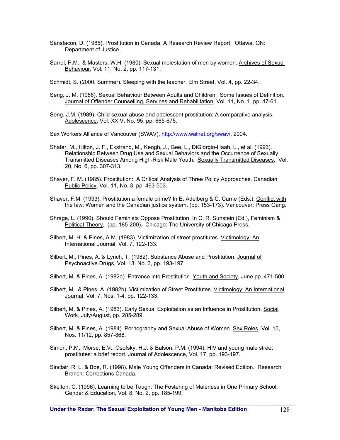- Sansfacon, D. (1985). Prostitution in Canada: A Research Review Report. Ottawa, ON: Department of Justice.
- Sarrel, P.M., & Masters, W.H. (1980). Sexual molestation of men by women. Archives of Sexual Behaviour, Vol. 11, No. 2, pp. 117-131.
- Schmidt, S. (2000, Summer). Sleeping with the teacher. Elm Street, Vol. 4, pp. 22-34.
- Seng, J. M. (1986). Sexual Behaviour Between Adults and Children: Some Issues of Definition. Journal of Offender Counselling, Services and Rehabilitation, Vol. 11, No. 1, pp. 47-61.
- Seng, J.M. (1989). Child sexual abuse and adolescent prostitution: A comparative analysis. Adolescence, Vol. XXIV, No. 95, pp. 665-675.

Sex Workers Alliance of Vancouver (SWAV), http://www.walnet.org/swav/, 2004.

- Shafer, M., Hilton, J. F., Ekstrand, M., Keogh, J., Gee, L., DiGiorgio-Haah, L., et al. (1993). Relationship Between Drug Use and Sexual Behaviors and the Occurrence of Sexually Transmitted Diseases Among High-Risk Male Youth. Sexually Transmitted Diseases, Vol. 20, No. 6, pp. 307-313.
- Shaver, F. M. (1985). Prostitution: A Critical Analysis of Three Policy Approaches. Canadian Public Policy, Vol. 11, No. 3, pp. 493-503.
- Shaver, F.M. (1993). Prostitution a female crime? In E. Adelberg & C. Currie (Eds.), Conflict with the law: Women and the Canadian justice system, (pp. 153-173). Vancouver: Press Gang.
- Shrage, L. (1990). Should Feminists Oppose Prostitution. In C. R. Sunstein (Ed.), Feminism & Political Theory, (pp. 185-200). Chicago: The University of Chicago Press.
- Silbert, M. H. & Pines, A.M. (1983). Victimization of street prostitutes. Victimology: An International Journal, Vol. 7, 122-133.
- Silbert, M., Pines, A. & Lynch, T. (1982). Substance Abuse and Prostitution. Journal of Psychoactive Drugs, Vol. 13, No. 3, pp. 193-197.
- Silbert, M. & Pines, A. (1982a). Entrance into Prostitution. Youth and Society, June pp. 471-500.
- Silbert, M. & Pines, A. (1982b). Victimization of Street Prostitutes. Victimology: An International Journal, Vol. 7, Nos. 1-4, pp. 122-133.
- Silbert, M. & Pines, A. (1983). Early Sexual Exploitation as an Influence in Prostitution. Social Work, July/August, pp. 285-289.
- Silbert, M. & Pines, A. (1984). Pornography and Sexual Abuse of Women. Sex Roles, Vol. 10, Nos. 11/12, pp. 857-868.
- Simon, P.M., Morse, E.V., Osofsky, H.J. & Balson, P.M. (1994). HIV and young male street prostitutes: a brief report. Journal of Adolescence, Vol. 17, pp. 193-197.
- Sinclair, R. L. & Boe, R. (1998). Male Young Offenders in Canada: Revised Edition. Research Branch: Corrections Canada.
- Skelton, C. (1996). Learning to be Tough: The Fostering of Maleness in One Primary School. Gender & Education, Vol. 8, No. 2, pp. 185-199.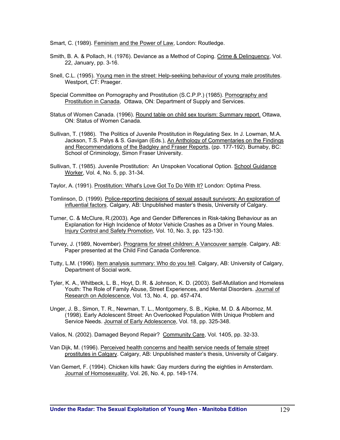Smart, C. (1989). Feminism and the Power of Law, London: Routledge.

- Smith, B. A. & Pollach, H. (1976). Deviance as a Method of Coping. Crime & Delinquency, Vol. 22, January, pp. 3-16.
- Snell, C.L. (1995). Young men in the street: Help-seeking behaviour of voung male prostitutes. Westport, CT: Praeger.
- Special Committee on Pornography and Prostitution (S.C.P.P.) (1985). Pornography and Prostitution in Canada, Ottawa, ON: Department of Supply and Services.
- Status of Women Canada. (1996). Round table on child sex tourism: Summary report. Ottawa, ON: Status of Women Canada.
- Sullivan, T. (1986). The Politics of Juvenile Prostitution in Regulating Sex. In J. Lowman, M.A. Jackson, T.S. Palys & S. Gavigan (Eds.), An Anthology of Commentaries on the Findings and Recommendations of the Badgley and Fraser Reports, (pp. 177-192). Burnaby, BC: School of Criminology, Simon Fraser University.
- Sullivan, T. (1985). Juvenile Prostitution: An Unspoken Vocational Option. School Guidance Worker, Vol. 4, No. 5, pp. 31-34.
- Taylor, A. (1991). Prostitution: What's Love Got To Do With It? London: Optima Press.
- Tomlinson, D. (1999). Police-reporting decisions of sexual assault survivors: An exploration of influential factors. Calgary, AB: Unpublished master's thesis, University of Calgary.
- Turner, C. & McClure, R.(2003). Age and Gender Differences in Risk-taking Behaviour as an Explanation for High Incidence of Motor Vehicle Crashes as a Driver in Young Males. Injury Control and Safety Promotion, Vol. 10, No. 3, pp. 123-130.
- Turvey, J. (1989, November). Programs for street children: A Vancouver sample. Calgary, AB: Paper presented at the Child Find Canada Conference.
- Tutty, L.M. (1996). Item analysis summary: Who do you tell. Calgary, AB: University of Calgary, Department of Social work.
- Tyler, K. A., Whitbeck, L. B., Hoyt, D. R. & Johnson, K. D. (2003). Self-Mutilation and Homeless Youth: The Role of Family Abuse, Street Experiences, and Mental Disorders. Journal of Research on Adolescence, Vol. 13, No. 4, pp. 457-474.
- Unger, J. B., Simon, T. R., Newman, T. L., Montgomery, S. B., Kipke, M. D. & Albornoz, M. (1998). Early Adolescent Street: An Overlooked Population With Unique Problem and Service Needs. Journal of Early Adolescence, Vol. 18, pp. 325-348.
- Valios, N. (2002). Damaged Beyond Repair? Community Care, Vol. 1405, pp. 32-33.
- Van Dijk, M. (1996). Perceived health concerns and health service needs of female street prostitutes in Calgary. Calgary, AB: Unpublished master's thesis, University of Calgary.
- Van Gemert, F. (1994). Chicken kills hawk: Gay murders during the eighties in Amsterdam. Journal of Homosexuality, Vol. 26, No. 4, pp. 149-174.